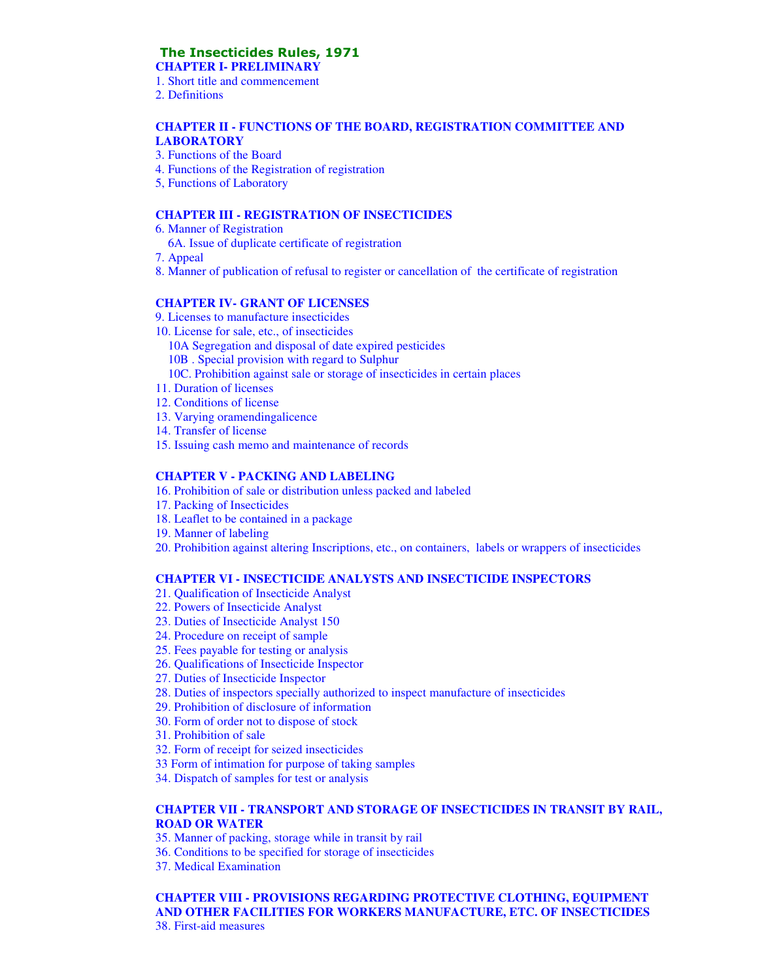# The Insecticides Rules, 1971

**CHAPTER I- PRELIMINARY** 

- 1. Short title and commencement
- 2. Definitions

#### **CHAPTER II - FUNCTIONS OF THE BOARD, REGISTRATION COMMITTEE AND LABORATORY**

- 3. Functions of the Board
- 4. Functions of the Registration of registration
- 5, Functions of Laboratory

#### **CHAPTER III - REGISTRATION OF INSECTICIDES**

- 6. Manner of Registration
- 6A. Issue of duplicate certificate of registration
- 7. Appeal
- 8. Manner of publication of refusal to register or cancellation of the certificate of registration

#### **CHAPTER IV- GRANT OF LICENSES**

- 9. Licenses to manufacture insecticides
- 10. License for sale, etc., of insecticides
	- 10A Segregation and disposal of date expired pesticides
	- 10B . Special provision with regard to Sulphur
	- 10C. Prohibition against sale or storage of insecticides in certain places
- 11. Duration of licenses
- 12. Conditions of license
- 13. Varying oramendingalicence
- 14. Transfer of license
- 15. Issuing cash memo and maintenance of records

#### **CHAPTER V - PACKING AND LABELING**

- 16. Prohibition of sale or distribution unless packed and labeled
- 17. Packing of Insecticides
- 18. Leaflet to be contained in a package
- 19. Manner of labeling
- 20. Prohibition against altering Inscriptions, etc., on containers, labels or wrappers of insecticides

#### **CHAPTER VI - INSECTICIDE ANALYSTS AND INSECTICIDE INSPECTORS**

- 21. Qualification of Insecticide Analyst
- 22. Powers of Insecticide Analyst
- 23. Duties of Insecticide Analyst 150
- 24. Procedure on receipt of sample
- 25. Fees payable for testing or analysis
- 26. Qualifications of Insecticide Inspector
- 27. Duties of Insecticide Inspector
- 28. Duties of inspectors specially authorized to inspect manufacture of insecticides
- 29. Prohibition of disclosure of information
- 30. Form of order not to dispose of stock
- 31. Prohibition of sale
- 32. Form of receipt for seized insecticides
- 33 Form of intimation for purpose of taking samples
- 34. Dispatch of samples for test or analysis

#### **CHAPTER VII - TRANSPORT AND STORAGE OF INSECTICIDES IN TRANSIT BY RAIL, ROAD OR WATER**

- 35. Manner of packing, storage while in transit by rail
- 36. Conditions to be specified for storage of insecticides
- 37. Medical Examination

**CHAPTER VIII - PROVISIONS REGARDING PROTECTIVE CLOTHING, EQUIPMENT AND OTHER FACILITIES FOR WORKERS MANUFACTURE, ETC. OF INSECTICIDES**  38. First-aid measures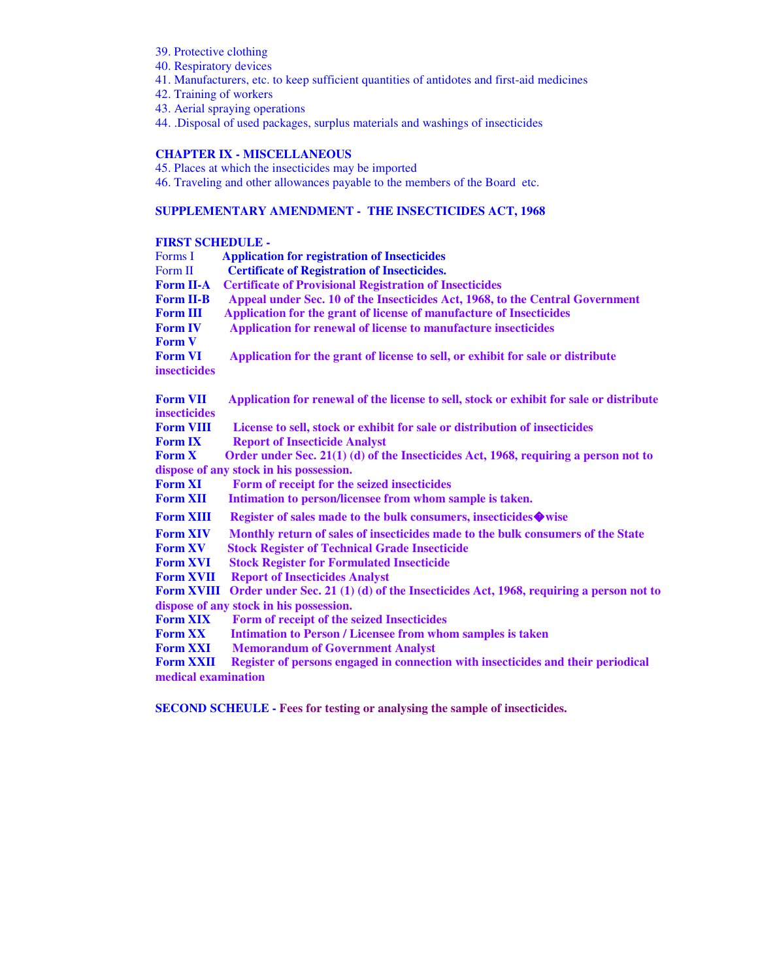- 39. Protective clothing
- 40. Respiratory devices
- 41. Manufacturers, etc. to keep sufficient quantities of antidotes and first-aid medicines
- 42. Training of workers
- 43. Aerial spraying operations
- 44. .Disposal of used packages, surplus materials and washings of insecticides

#### **CHAPTER IX - MISCELLANEOUS**

- 45. Places at which the insecticides may be imported
- 46. Traveling and other allowances payable to the members of the Board etc.

#### **SUPPLEMENTARY AMENDMENT - THE INSECTICIDES ACT, 1968**

#### **FIRST SCHEDULE -**

| Forms I             | <b>Application for registration of Insecticides</b>                                     |
|---------------------|-----------------------------------------------------------------------------------------|
| Form II             | <b>Certificate of Registration of Insecticides.</b>                                     |
| <b>Form II-A</b>    | <b>Certificate of Provisional Registration of Insecticides</b>                          |
| <b>Form II-B</b>    | Appeal under Sec. 10 of the Insecticides Act, 1968, to the Central Government           |
| <b>Form III</b>     | Application for the grant of license of manufacture of Insecticides                     |
| <b>Form IV</b>      | Application for renewal of license to manufacture insecticides                          |
| <b>Form V</b>       |                                                                                         |
| <b>Form VI</b>      | Application for the grant of license to sell, or exhibit for sale or distribute         |
| insecticides        |                                                                                         |
| <b>Form VII</b>     | Application for renewal of the license to sell, stock or exhibit for sale or distribute |
| <b>insecticides</b> |                                                                                         |
| <b>Form VIII</b>    | License to sell, stock or exhibit for sale or distribution of insecticides              |
| <b>Form IX</b>      | <b>Report of Insecticide Analyst</b>                                                    |
| <b>Form X</b>       | Order under Sec. 21(1) (d) of the Insecticides Act, 1968, requiring a person not to     |
|                     | dispose of any stock in his possession.                                                 |
| <b>Form XI</b>      | Form of receipt for the seized insecticides                                             |
| <b>Form XII</b>     | Intimation to person/licensee from whom sample is taken.                                |
| <b>Form XIII</b>    | Register of sales made to the bulk consumers, insecticides ♦ wise                       |
| <b>Form XIV</b>     | Monthly return of sales of insecticides made to the bulk consumers of the State         |
| <b>Form XV</b>      | <b>Stock Register of Technical Grade Insecticide</b>                                    |
| <b>Form XVI</b>     | <b>Stock Register for Formulated Insecticide</b>                                        |
| <b>Form XVII</b>    | <b>Report of Insecticides Analyst</b>                                                   |
| <b>Form XVIII</b>   | Order under Sec. 21 (1) (d) of the Insecticides Act, 1968, requiring a person not to    |
|                     | dispose of any stock in his possession.                                                 |
| <b>Form XIX</b>     | Form of receipt of the seized Insecticides                                              |
| <b>Form XX</b>      | <b>Intimation to Person / Licensee from whom samples is taken</b>                       |
| <b>Form XXI</b>     | <b>Memorandum of Government Analyst</b>                                                 |
| <b>Form XXII</b>    | Register of persons engaged in connection with insecticides and their periodical        |
| medical examination |                                                                                         |
|                     |                                                                                         |

**SECOND SCHEULE - Fees for testing or analysing the sample of insecticides.**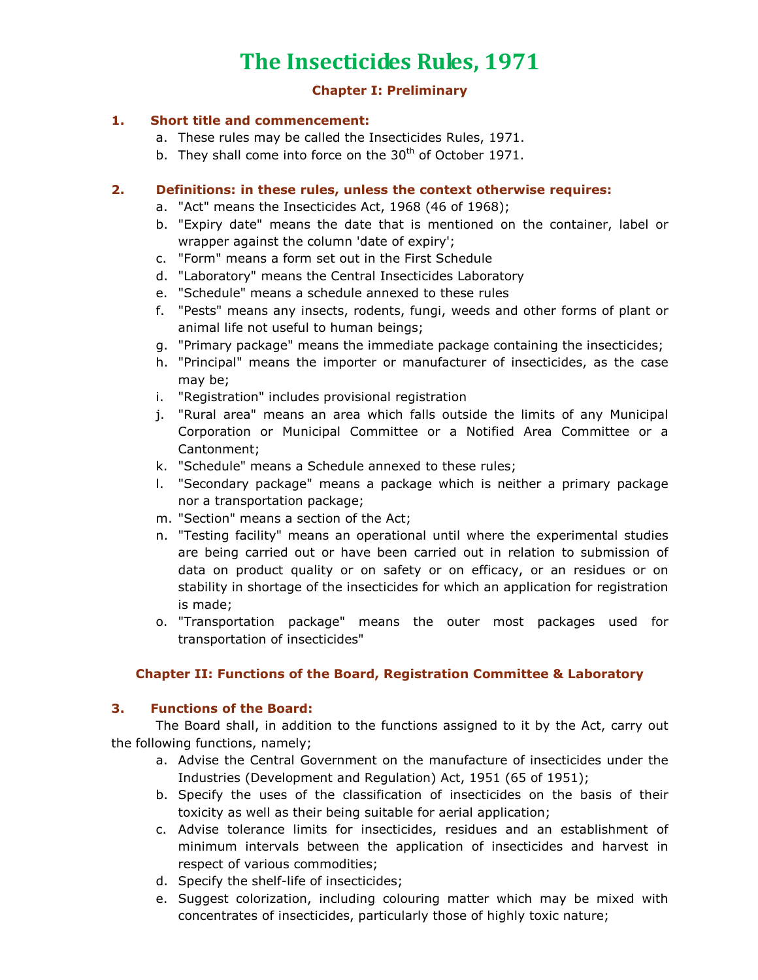# The Insecticides Rules, 1971

#### Chapter I: Preliminary

#### 1. Short title and commencement:

- a. These rules may be called the Insecticides Rules, 1971.
- b. They shall come into force on the  $30<sup>th</sup>$  of October 1971.

#### 2. Definitions: in these rules, unless the context otherwise requires:

- a. "Act" means the Insecticides Act, 1968 (46 of 1968);
- b. "Expiry date" means the date that is mentioned on the container, label or wrapper against the column 'date of expiry';
- c. "Form" means a form set out in the First Schedule
- d. "Laboratory" means the Central Insecticides Laboratory
- e. "Schedule" means a schedule annexed to these rules
- f. "Pests" means any insects, rodents, fungi, weeds and other forms of plant or animal life not useful to human beings;
- g. "Primary package" means the immediate package containing the insecticides;
- h. "Principal" means the importer or manufacturer of insecticides, as the case may be;
- i. "Registration" includes provisional registration
- j. "Rural area" means an area which falls outside the limits of any Municipal Corporation or Municipal Committee or a Notified Area Committee or a Cantonment;
- k. "Schedule" means a Schedule annexed to these rules;
- l. "Secondary package" means a package which is neither a primary package nor a transportation package;
- m. "Section" means a section of the Act;
- n. "Testing facility" means an operational until where the experimental studies are being carried out or have been carried out in relation to submission of data on product quality or on safety or on efficacy, or an residues or on stability in shortage of the insecticides for which an application for registration is made;
- o. "Transportation package" means the outer most packages used for transportation of insecticides"

## Chapter II: Functions of the Board, Registration Committee & Laboratory

## 3. Functions of the Board:

 The Board shall, in addition to the functions assigned to it by the Act, carry out the following functions, namely;

- a. Advise the Central Government on the manufacture of insecticides under the Industries (Development and Regulation) Act, 1951 (65 of 1951);
- b. Specify the uses of the classification of insecticides on the basis of their toxicity as well as their being suitable for aerial application;
- c. Advise tolerance limits for insecticides, residues and an establishment of minimum intervals between the application of insecticides and harvest in respect of various commodities;
- d. Specify the shelf-life of insecticides;
- e. Suggest colorization, including colouring matter which may be mixed with concentrates of insecticides, particularly those of highly toxic nature;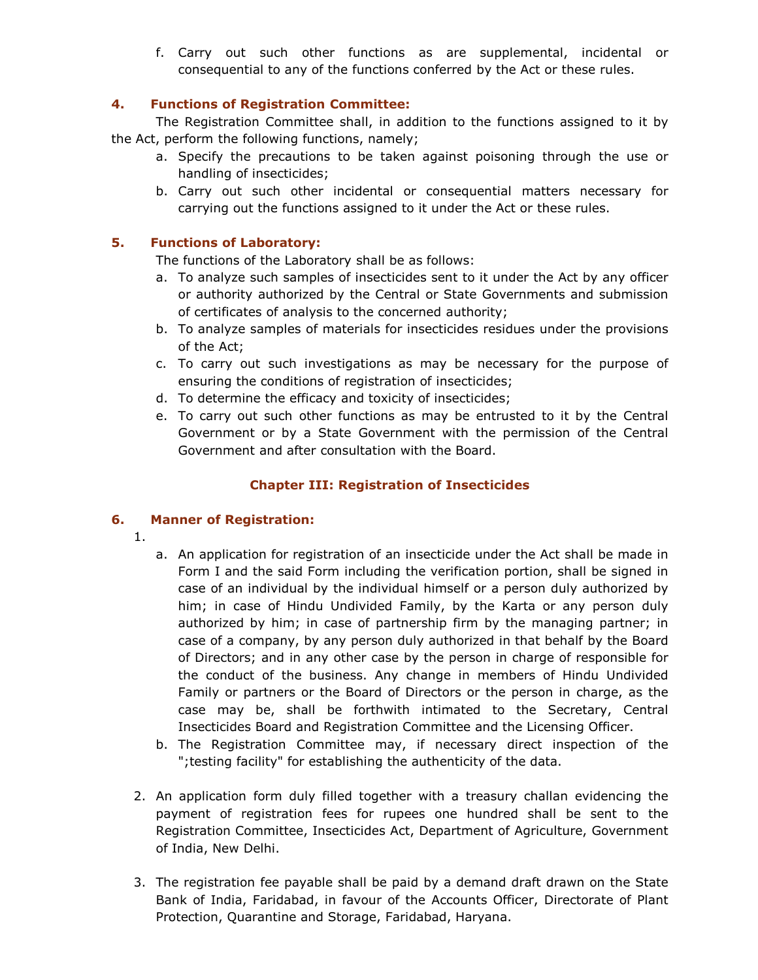f. Carry out such other functions as are supplemental, incidental or consequential to any of the functions conferred by the Act or these rules.

## 4. Functions of Registration Committee:

 The Registration Committee shall, in addition to the functions assigned to it by the Act, perform the following functions, namely;

- a. Specify the precautions to be taken against poisoning through the use or handling of insecticides;
- b. Carry out such other incidental or consequential matters necessary for carrying out the functions assigned to it under the Act or these rules.

## 5. Functions of Laboratory:

The functions of the Laboratory shall be as follows:

- a. To analyze such samples of insecticides sent to it under the Act by any officer or authority authorized by the Central or State Governments and submission of certificates of analysis to the concerned authority;
- b. To analyze samples of materials for insecticides residues under the provisions of the Act;
- c. To carry out such investigations as may be necessary for the purpose of ensuring the conditions of registration of insecticides;
- d. To determine the efficacy and toxicity of insecticides;
- e. To carry out such other functions as may be entrusted to it by the Central Government or by a State Government with the permission of the Central Government and after consultation with the Board.

## Chapter III: Registration of Insecticides

## 6. Manner of Registration:

- 1.
- a. An application for registration of an insecticide under the Act shall be made in Form I and the said Form including the verification portion, shall be signed in case of an individual by the individual himself or a person duly authorized by him; in case of Hindu Undivided Family, by the Karta or any person duly authorized by him; in case of partnership firm by the managing partner; in case of a company, by any person duly authorized in that behalf by the Board of Directors; and in any other case by the person in charge of responsible for the conduct of the business. Any change in members of Hindu Undivided Family or partners or the Board of Directors or the person in charge, as the case may be, shall be forthwith intimated to the Secretary, Central Insecticides Board and Registration Committee and the Licensing Officer.
- b. The Registration Committee may, if necessary direct inspection of the ";testing facility" for establishing the authenticity of the data.
- 2. An application form duly filled together with a treasury challan evidencing the payment of registration fees for rupees one hundred shall be sent to the Registration Committee, Insecticides Act, Department of Agriculture, Government of India, New Delhi.
- 3. The registration fee payable shall be paid by a demand draft drawn on the State Bank of India, Faridabad, in favour of the Accounts Officer, Directorate of Plant Protection, Quarantine and Storage, Faridabad, Haryana.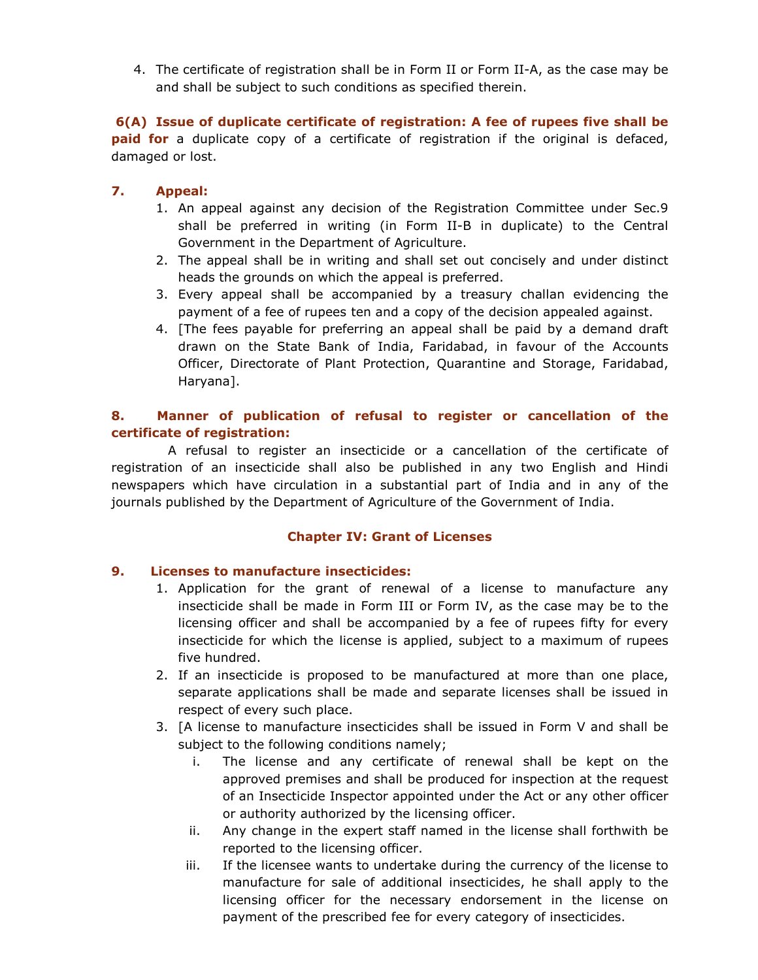4. The certificate of registration shall be in Form II or Form II-A, as the case may be and shall be subject to such conditions as specified therein.

6(A) Issue of duplicate certificate of registration: A fee of rupees five shall be **paid for** a duplicate copy of a certificate of registration if the original is defaced, damaged or lost.

## 7. Appeal:

- 1. An appeal against any decision of the Registration Committee under Sec.9 shall be preferred in writing (in Form II-B in duplicate) to the Central Government in the Department of Agriculture.
- 2. The appeal shall be in writing and shall set out concisely and under distinct heads the grounds on which the appeal is preferred.
- 3. Every appeal shall be accompanied by a treasury challan evidencing the payment of a fee of rupees ten and a copy of the decision appealed against.
- 4. [The fees payable for preferring an appeal shall be paid by a demand draft drawn on the State Bank of India, Faridabad, in favour of the Accounts Officer, Directorate of Plant Protection, Quarantine and Storage, Faridabad, Haryana].

## 8. Manner of publication of refusal to register or cancellation of the certificate of registration:

 A refusal to register an insecticide or a cancellation of the certificate of registration of an insecticide shall also be published in any two English and Hindi newspapers which have circulation in a substantial part of India and in any of the journals published by the Department of Agriculture of the Government of India.

#### Chapter IV: Grant of Licenses

## 9. Licenses to manufacture insecticides:

- 1. Application for the grant of renewal of a license to manufacture any insecticide shall be made in Form III or Form IV, as the case may be to the licensing officer and shall be accompanied by a fee of rupees fifty for every insecticide for which the license is applied, subject to a maximum of rupees five hundred.
- 2. If an insecticide is proposed to be manufactured at more than one place, separate applications shall be made and separate licenses shall be issued in respect of every such place.
- 3. [A license to manufacture insecticides shall be issued in Form V and shall be subject to the following conditions namely:
	- i. The license and any certificate of renewal shall be kept on the approved premises and shall be produced for inspection at the request of an Insecticide Inspector appointed under the Act or any other officer or authority authorized by the licensing officer.
	- ii. Any change in the expert staff named in the license shall forthwith be reported to the licensing officer.
	- iii. If the licensee wants to undertake during the currency of the license to manufacture for sale of additional insecticides, he shall apply to the licensing officer for the necessary endorsement in the license on payment of the prescribed fee for every category of insecticides.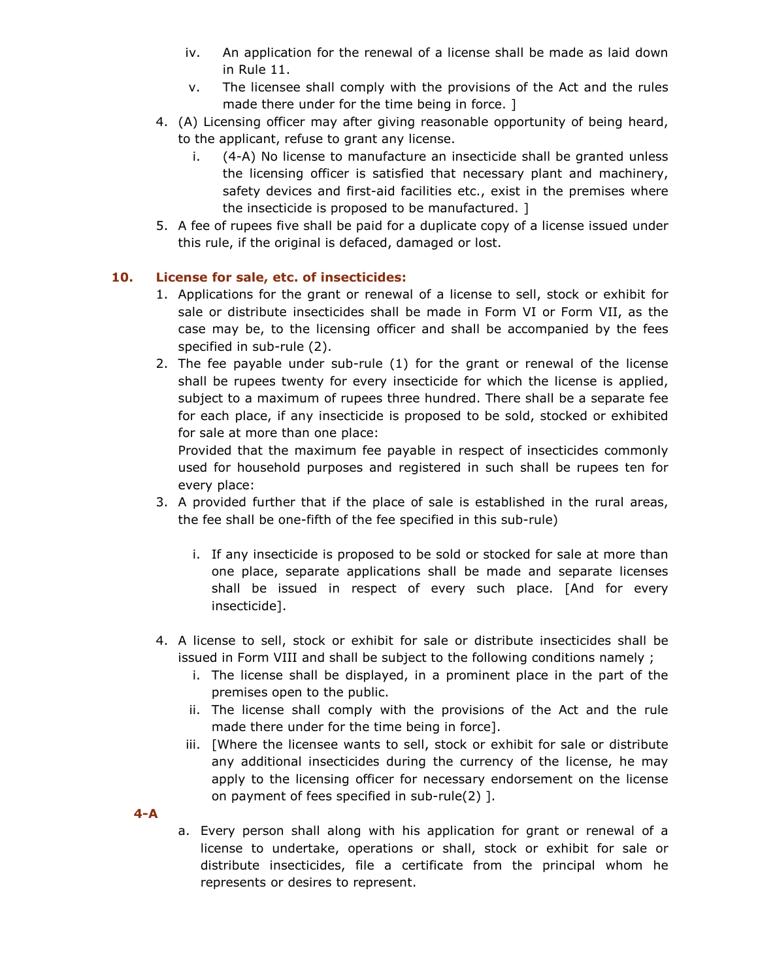- iv. An application for the renewal of a license shall be made as laid down in Rule 11.
- v. The licensee shall comply with the provisions of the Act and the rules made there under for the time being in force. ]
- 4. (A) Licensing officer may after giving reasonable opportunity of being heard, to the applicant, refuse to grant any license.
	- i. (4-A) No license to manufacture an insecticide shall be granted unless the licensing officer is satisfied that necessary plant and machinery, safety devices and first-aid facilities etc., exist in the premises where the insecticide is proposed to be manufactured. ]
- 5. A fee of rupees five shall be paid for a duplicate copy of a license issued under this rule, if the original is defaced, damaged or lost.

## 10. License for sale, etc. of insecticides:

- 1. Applications for the grant or renewal of a license to sell, stock or exhibit for sale or distribute insecticides shall be made in Form VI or Form VII, as the case may be, to the licensing officer and shall be accompanied by the fees specified in sub-rule (2).
- 2. The fee payable under sub-rule (1) for the grant or renewal of the license shall be rupees twenty for every insecticide for which the license is applied, subject to a maximum of rupees three hundred. There shall be a separate fee for each place, if any insecticide is proposed to be sold, stocked or exhibited for sale at more than one place:

Provided that the maximum fee payable in respect of insecticides commonly used for household purposes and registered in such shall be rupees ten for every place:

- 3. A provided further that if the place of sale is established in the rural areas, the fee shall be one-fifth of the fee specified in this sub-rule)
	- i. If any insecticide is proposed to be sold or stocked for sale at more than one place, separate applications shall be made and separate licenses shall be issued in respect of every such place. [And for every insecticide].
- 4. A license to sell, stock or exhibit for sale or distribute insecticides shall be issued in Form VIII and shall be subject to the following conditions namely ;
	- i. The license shall be displayed, in a prominent place in the part of the premises open to the public.
	- ii. The license shall comply with the provisions of the Act and the rule made there under for the time being in force].
	- iii. [Where the licensee wants to sell, stock or exhibit for sale or distribute any additional insecticides during the currency of the license, he may apply to the licensing officer for necessary endorsement on the license on payment of fees specified in sub-rule(2) ].

4-A

a. Every person shall along with his application for grant or renewal of a license to undertake, operations or shall, stock or exhibit for sale or distribute insecticides, file a certificate from the principal whom he represents or desires to represent.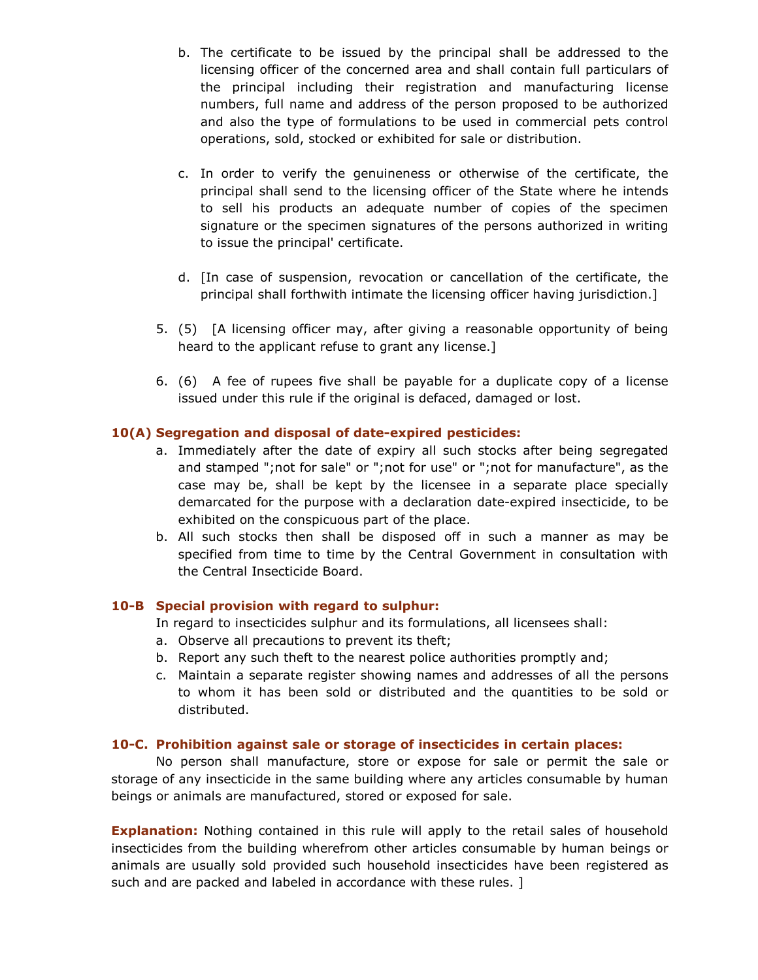- b. The certificate to be issued by the principal shall be addressed to the licensing officer of the concerned area and shall contain full particulars of the principal including their registration and manufacturing license numbers, full name and address of the person proposed to be authorized and also the type of formulations to be used in commercial pets control operations, sold, stocked or exhibited for sale or distribution.
- c. In order to verify the genuineness or otherwise of the certificate, the principal shall send to the licensing officer of the State where he intends to sell his products an adequate number of copies of the specimen signature or the specimen signatures of the persons authorized in writing to issue the principal' certificate.
- d. [In case of suspension, revocation or cancellation of the certificate, the principal shall forthwith intimate the licensing officer having jurisdiction.]
- 5. (5) [A licensing officer may, after giving a reasonable opportunity of being heard to the applicant refuse to grant any license.]
- 6. (6) A fee of rupees five shall be payable for a duplicate copy of a license issued under this rule if the original is defaced, damaged or lost.

#### 10(A) Segregation and disposal of date-expired pesticides:

- a. Immediately after the date of expiry all such stocks after being segregated and stamped ";not for sale" or ";not for use" or ";not for manufacture", as the case may be, shall be kept by the licensee in a separate place specially demarcated for the purpose with a declaration date-expired insecticide, to be exhibited on the conspicuous part of the place.
- b. All such stocks then shall be disposed off in such a manner as may be specified from time to time by the Central Government in consultation with the Central Insecticide Board.

#### 10-B Special provision with regard to sulphur:

In regard to insecticides sulphur and its formulations, all licensees shall:

- a. Observe all precautions to prevent its theft;
- b. Report any such theft to the nearest police authorities promptly and;
- c. Maintain a separate register showing names and addresses of all the persons to whom it has been sold or distributed and the quantities to be sold or distributed.

#### 10-C. Prohibition against sale or storage of insecticides in certain places:

 No person shall manufacture, store or expose for sale or permit the sale or storage of any insecticide in the same building where any articles consumable by human beings or animals are manufactured, stored or exposed for sale.

**Explanation:** Nothing contained in this rule will apply to the retail sales of household insecticides from the building wherefrom other articles consumable by human beings or animals are usually sold provided such household insecticides have been registered as such and are packed and labeled in accordance with these rules. ]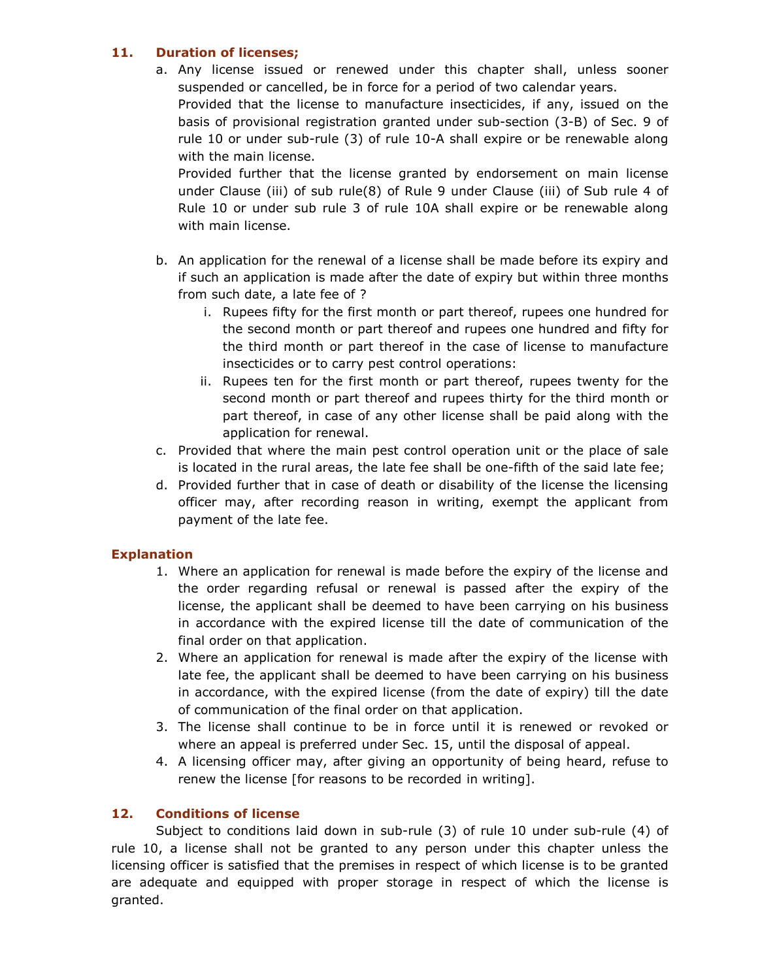## 11. Duration of licenses;

a. Any license issued or renewed under this chapter shall, unless sooner suspended or cancelled, be in force for a period of two calendar years. Provided that the license to manufacture insecticides, if any, issued on the basis of provisional registration granted under sub-section (3-B) of Sec. 9 of rule 10 or under sub-rule (3) of rule 10-A shall expire or be renewable along with the main license.

Provided further that the license granted by endorsement on main license under Clause (iii) of sub rule(8) of Rule 9 under Clause (iii) of Sub rule 4 of Rule 10 or under sub rule 3 of rule 10A shall expire or be renewable along with main license.

- b. An application for the renewal of a license shall be made before its expiry and if such an application is made after the date of expiry but within three months from such date, a late fee of ?
	- i. Rupees fifty for the first month or part thereof, rupees one hundred for the second month or part thereof and rupees one hundred and fifty for the third month or part thereof in the case of license to manufacture insecticides or to carry pest control operations:
	- ii. Rupees ten for the first month or part thereof, rupees twenty for the second month or part thereof and rupees thirty for the third month or part thereof, in case of any other license shall be paid along with the application for renewal.
- c. Provided that where the main pest control operation unit or the place of sale is located in the rural areas, the late fee shall be one-fifth of the said late fee;
- d. Provided further that in case of death or disability of the license the licensing officer may, after recording reason in writing, exempt the applicant from payment of the late fee.

# Explanation

- 1. Where an application for renewal is made before the expiry of the license and the order regarding refusal or renewal is passed after the expiry of the license, the applicant shall be deemed to have been carrying on his business in accordance with the expired license till the date of communication of the final order on that application.
- 2. Where an application for renewal is made after the expiry of the license with late fee, the applicant shall be deemed to have been carrying on his business in accordance, with the expired license (from the date of expiry) till the date of communication of the final order on that application.
- 3. The license shall continue to be in force until it is renewed or revoked or where an appeal is preferred under Sec. 15, until the disposal of appeal.
- 4. A licensing officer may, after giving an opportunity of being heard, refuse to renew the license [for reasons to be recorded in writing].

# 12. Conditions of license

Subject to conditions laid down in sub-rule (3) of rule 10 under sub-rule (4) of rule 10, a license shall not be granted to any person under this chapter unless the licensing officer is satisfied that the premises in respect of which license is to be granted are adequate and equipped with proper storage in respect of which the license is granted.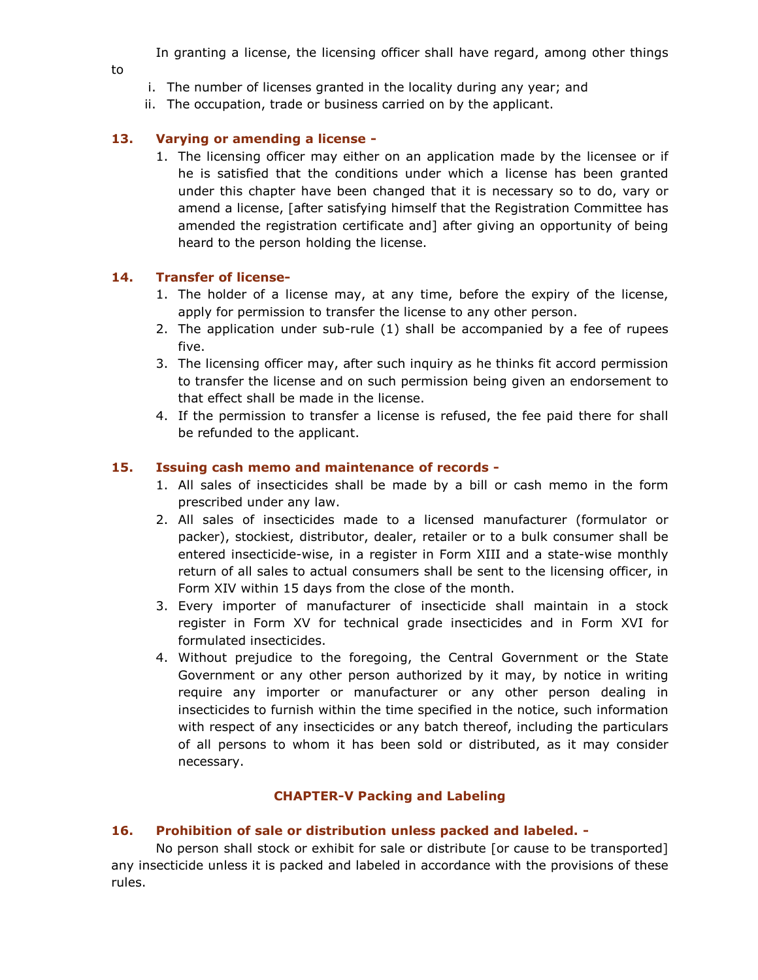In granting a license, the licensing officer shall have regard, among other things

- to
- i. The number of licenses granted in the locality during any year; and
- ii. The occupation, trade or business carried on by the applicant.

## 13. Varying or amending a license -

1. The licensing officer may either on an application made by the licensee or if he is satisfied that the conditions under which a license has been granted under this chapter have been changed that it is necessary so to do, vary or amend a license, [after satisfying himself that the Registration Committee has amended the registration certificate and] after giving an opportunity of being heard to the person holding the license.

#### 14. Transfer of license-

- 1. The holder of a license may, at any time, before the expiry of the license, apply for permission to transfer the license to any other person.
- 2. The application under sub-rule (1) shall be accompanied by a fee of rupees five.
- 3. The licensing officer may, after such inquiry as he thinks fit accord permission to transfer the license and on such permission being given an endorsement to that effect shall be made in the license.
- 4. If the permission to transfer a license is refused, the fee paid there for shall be refunded to the applicant.

#### 15. Issuing cash memo and maintenance of records -

- 1. All sales of insecticides shall be made by a bill or cash memo in the form prescribed under any law.
- 2. All sales of insecticides made to a licensed manufacturer (formulator or packer), stockiest, distributor, dealer, retailer or to a bulk consumer shall be entered insecticide-wise, in a register in Form XIII and a state-wise monthly return of all sales to actual consumers shall be sent to the licensing officer, in Form XIV within 15 days from the close of the month.
- 3. Every importer of manufacturer of insecticide shall maintain in a stock register in Form XV for technical grade insecticides and in Form XVI for formulated insecticides.
- 4. Without prejudice to the foregoing, the Central Government or the State Government or any other person authorized by it may, by notice in writing require any importer or manufacturer or any other person dealing in insecticides to furnish within the time specified in the notice, such information with respect of any insecticides or any batch thereof, including the particulars of all persons to whom it has been sold or distributed, as it may consider necessary.

## CHAPTER-V Packing and Labeling

#### 16. Prohibition of sale or distribution unless packed and labeled. -

 No person shall stock or exhibit for sale or distribute [or cause to be transported] any insecticide unless it is packed and labeled in accordance with the provisions of these rules.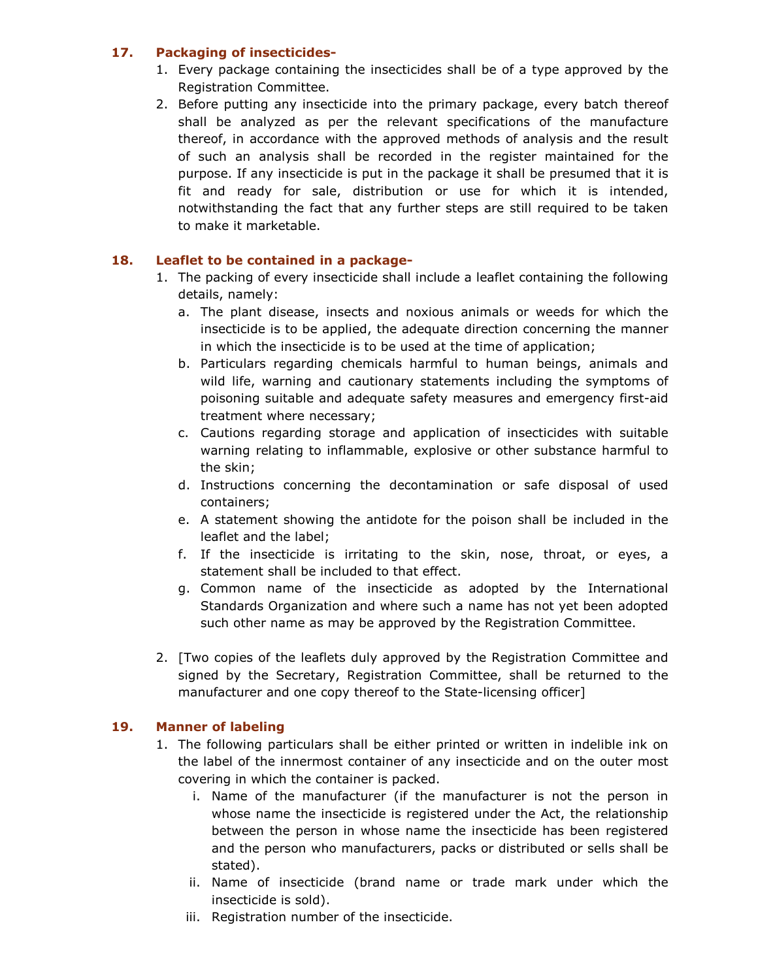## 17. Packaging of insecticides-

- 1. Every package containing the insecticides shall be of a type approved by the Registration Committee.
- 2. Before putting any insecticide into the primary package, every batch thereof shall be analyzed as per the relevant specifications of the manufacture thereof, in accordance with the approved methods of analysis and the result of such an analysis shall be recorded in the register maintained for the purpose. If any insecticide is put in the package it shall be presumed that it is fit and ready for sale, distribution or use for which it is intended, notwithstanding the fact that any further steps are still required to be taken to make it marketable.

# 18. Leaflet to be contained in a package-

- 1. The packing of every insecticide shall include a leaflet containing the following details, namely:
	- a. The plant disease, insects and noxious animals or weeds for which the insecticide is to be applied, the adequate direction concerning the manner in which the insecticide is to be used at the time of application;
	- b. Particulars regarding chemicals harmful to human beings, animals and wild life, warning and cautionary statements including the symptoms of poisoning suitable and adequate safety measures and emergency first-aid treatment where necessary;
	- c. Cautions regarding storage and application of insecticides with suitable warning relating to inflammable, explosive or other substance harmful to the skin;
	- d. Instructions concerning the decontamination or safe disposal of used containers;
	- e. A statement showing the antidote for the poison shall be included in the leaflet and the label;
	- f. If the insecticide is irritating to the skin, nose, throat, or eyes, a statement shall be included to that effect.
	- g. Common name of the insecticide as adopted by the International Standards Organization and where such a name has not yet been adopted such other name as may be approved by the Registration Committee.
- 2. [Two copies of the leaflets duly approved by the Registration Committee and signed by the Secretary, Registration Committee, shall be returned to the manufacturer and one copy thereof to the State-licensing officer]

## 19. Manner of labeling

- 1. The following particulars shall be either printed or written in indelible ink on the label of the innermost container of any insecticide and on the outer most covering in which the container is packed.
	- i. Name of the manufacturer (if the manufacturer is not the person in whose name the insecticide is registered under the Act, the relationship between the person in whose name the insecticide has been registered and the person who manufacturers, packs or distributed or sells shall be stated).
	- ii. Name of insecticide (brand name or trade mark under which the insecticide is sold).
	- iii. Registration number of the insecticide.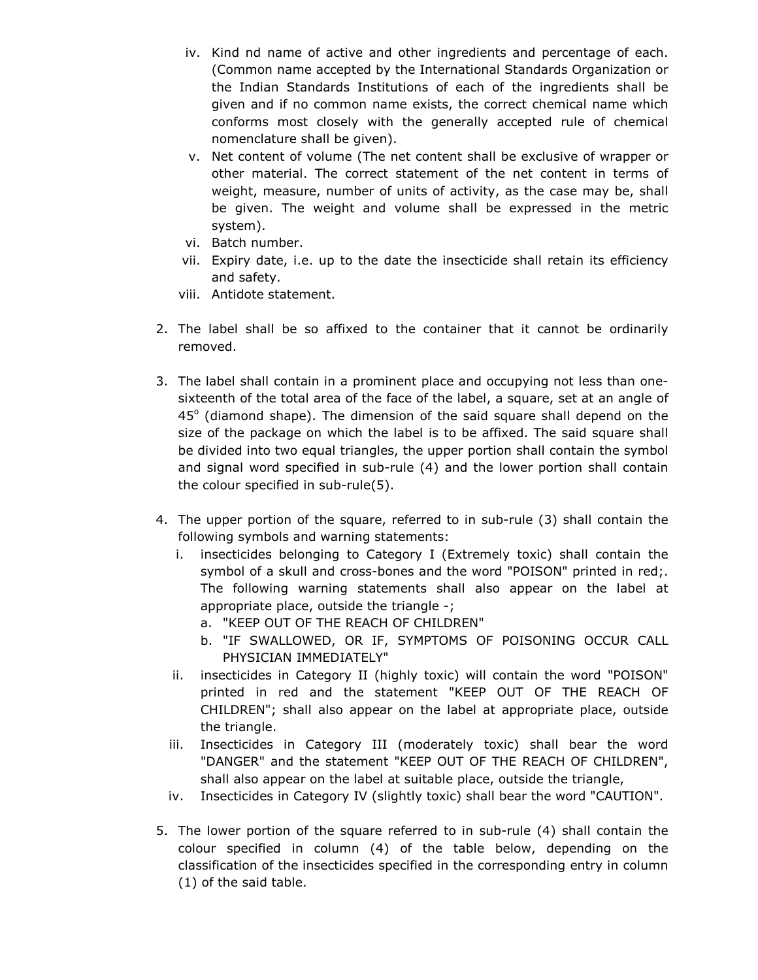- iv. Kind nd name of active and other ingredients and percentage of each. (Common name accepted by the International Standards Organization or the Indian Standards Institutions of each of the ingredients shall be given and if no common name exists, the correct chemical name which conforms most closely with the generally accepted rule of chemical nomenclature shall be given).
- v. Net content of volume (The net content shall be exclusive of wrapper or other material. The correct statement of the net content in terms of weight, measure, number of units of activity, as the case may be, shall be given. The weight and volume shall be expressed in the metric system).
- vi. Batch number.
- vii. Expiry date, i.e. up to the date the insecticide shall retain its efficiency and safety.
- viii. Antidote statement.
- 2. The label shall be so affixed to the container that it cannot be ordinarily removed.
- 3. The label shall contain in a prominent place and occupying not less than onesixteenth of the total area of the face of the label, a square, set at an angle of  $45^\circ$  (diamond shape). The dimension of the said square shall depend on the size of the package on which the label is to be affixed. The said square shall be divided into two equal triangles, the upper portion shall contain the symbol and signal word specified in sub-rule (4) and the lower portion shall contain the colour specified in sub-rule(5).
- 4. The upper portion of the square, referred to in sub-rule (3) shall contain the following symbols and warning statements:
	- i. insecticides belonging to Category I (Extremely toxic) shall contain the symbol of a skull and cross-bones and the word "POISON" printed in red;. The following warning statements shall also appear on the label at appropriate place, outside the triangle -;
		- a. "KEEP OUT OF THE REACH OF CHILDREN"
		- b. "IF SWALLOWED, OR IF, SYMPTOMS OF POISONING OCCUR CALL PHYSICIAN IMMEDIATELY"
	- ii. insecticides in Category II (highly toxic) will contain the word "POISON" printed in red and the statement "KEEP OUT OF THE REACH OF CHILDREN"; shall also appear on the label at appropriate place, outside the triangle.
	- iii. Insecticides in Category III (moderately toxic) shall bear the word "DANGER" and the statement "KEEP OUT OF THE REACH OF CHILDREN", shall also appear on the label at suitable place, outside the triangle,
	- iv. Insecticides in Category IV (slightly toxic) shall bear the word "CAUTION".
- 5. The lower portion of the square referred to in sub-rule (4) shall contain the colour specified in column (4) of the table below, depending on the classification of the insecticides specified in the corresponding entry in column (1) of the said table.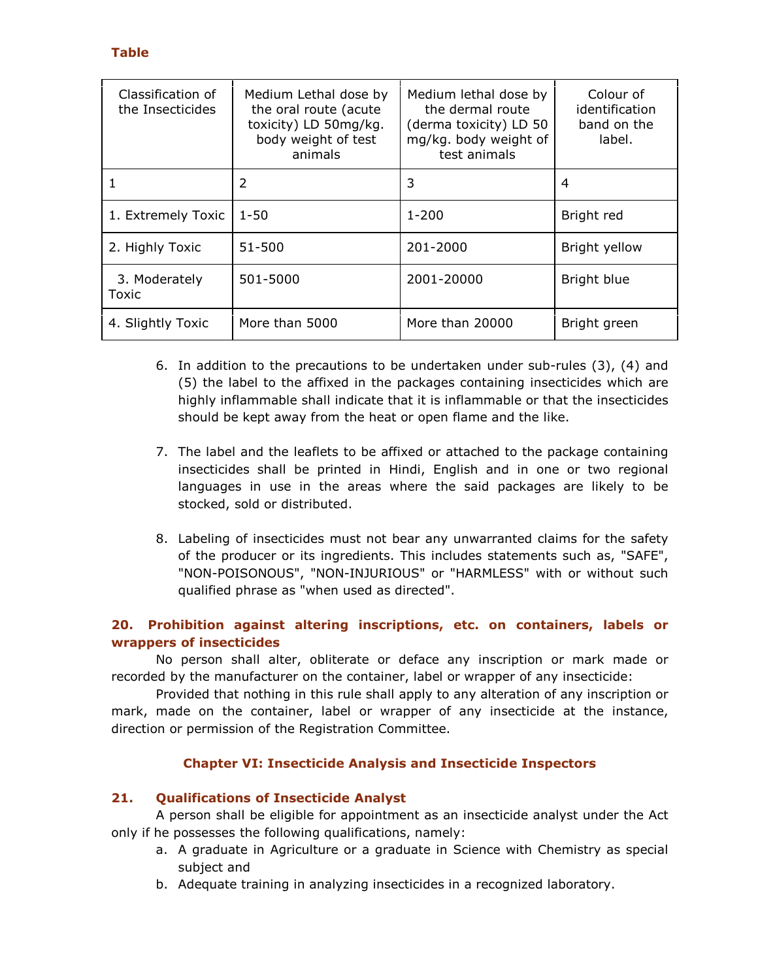## Table

| Classification of<br>the Insecticides | Medium Lethal dose by<br>the oral route (acute<br>toxicity) LD 50mg/kg.<br>body weight of test<br>animals | Medium lethal dose by<br>the dermal route<br>(derma toxicity) LD 50<br>mg/kg. body weight of<br>test animals | Colour of<br>identification<br>band on the<br>label. |
|---------------------------------------|-----------------------------------------------------------------------------------------------------------|--------------------------------------------------------------------------------------------------------------|------------------------------------------------------|
|                                       | 2                                                                                                         | 3                                                                                                            | 4                                                    |
| 1. Extremely Toxic                    | $1 - 50$                                                                                                  | $1 - 200$                                                                                                    | Bright red                                           |
| 2. Highly Toxic                       | 51-500                                                                                                    | 201-2000                                                                                                     | Bright yellow                                        |
| 3. Moderately<br>Toxic                | 501-5000                                                                                                  | 2001-20000                                                                                                   | Bright blue                                          |
| 4. Slightly Toxic                     | More than 5000                                                                                            | More than 20000                                                                                              | Bright green                                         |

- 6. In addition to the precautions to be undertaken under sub-rules (3), (4) and (5) the label to the affixed in the packages containing insecticides which are highly inflammable shall indicate that it is inflammable or that the insecticides should be kept away from the heat or open flame and the like.
- 7. The label and the leaflets to be affixed or attached to the package containing insecticides shall be printed in Hindi, English and in one or two regional languages in use in the areas where the said packages are likely to be stocked, sold or distributed.
- 8. Labeling of insecticides must not bear any unwarranted claims for the safety of the producer or its ingredients. This includes statements such as, "SAFE", "NON-POISONOUS", "NON-INJURIOUS" or "HARMLESS" with or without such qualified phrase as "when used as directed".

## 20. Prohibition against altering inscriptions, etc. on containers, labels or wrappers of insecticides

 No person shall alter, obliterate or deface any inscription or mark made or recorded by the manufacturer on the container, label or wrapper of any insecticide:

 Provided that nothing in this rule shall apply to any alteration of any inscription or mark, made on the container, label or wrapper of any insecticide at the instance, direction or permission of the Registration Committee.

# Chapter VI: Insecticide Analysis and Insecticide Inspectors

# 21. Qualifications of Insecticide Analyst

 A person shall be eligible for appointment as an insecticide analyst under the Act only if he possesses the following qualifications, namely:

- a. A graduate in Agriculture or a graduate in Science with Chemistry as special subject and
- b. Adequate training in analyzing insecticides in a recognized laboratory.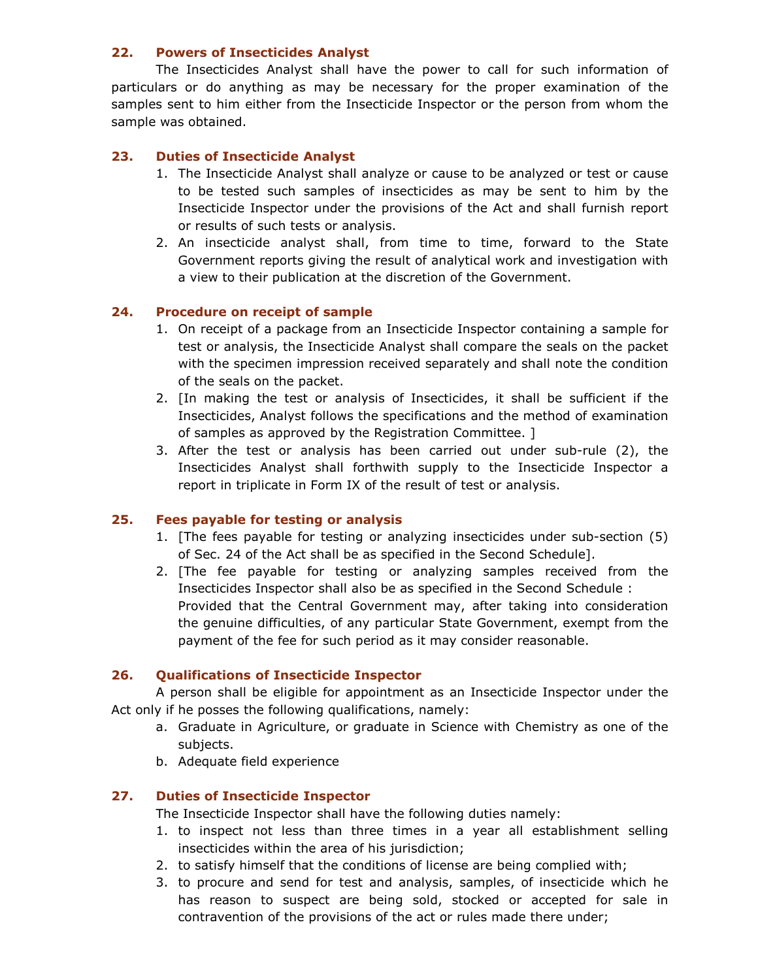#### 22. Powers of Insecticides Analyst

 The Insecticides Analyst shall have the power to call for such information of particulars or do anything as may be necessary for the proper examination of the samples sent to him either from the Insecticide Inspector or the person from whom the sample was obtained.

## 23. Duties of Insecticide Analyst

- 1. The Insecticide Analyst shall analyze or cause to be analyzed or test or cause to be tested such samples of insecticides as may be sent to him by the Insecticide Inspector under the provisions of the Act and shall furnish report or results of such tests or analysis.
- 2. An insecticide analyst shall, from time to time, forward to the State Government reports giving the result of analytical work and investigation with a view to their publication at the discretion of the Government.

#### 24. Procedure on receipt of sample

- 1. On receipt of a package from an Insecticide Inspector containing a sample for test or analysis, the Insecticide Analyst shall compare the seals on the packet with the specimen impression received separately and shall note the condition of the seals on the packet.
- 2. [In making the test or analysis of Insecticides, it shall be sufficient if the Insecticides, Analyst follows the specifications and the method of examination of samples as approved by the Registration Committee. ]
- 3. After the test or analysis has been carried out under sub-rule (2), the Insecticides Analyst shall forthwith supply to the Insecticide Inspector a report in triplicate in Form IX of the result of test or analysis.

#### 25. Fees payable for testing or analysis

- 1. [The fees payable for testing or analyzing insecticides under sub-section (5) of Sec. 24 of the Act shall be as specified in the Second Schedule].
- 2. [The fee payable for testing or analyzing samples received from the Insecticides Inspector shall also be as specified in the Second Schedule : Provided that the Central Government may, after taking into consideration the genuine difficulties, of any particular State Government, exempt from the payment of the fee for such period as it may consider reasonable.

## 26. Qualifications of Insecticide Inspector

 A person shall be eligible for appointment as an Insecticide Inspector under the Act only if he posses the following qualifications, namely:

- a. Graduate in Agriculture, or graduate in Science with Chemistry as one of the subjects.
- b. Adequate field experience

## 27. Duties of Insecticide Inspector

The Insecticide Inspector shall have the following duties namely:

- 1. to inspect not less than three times in a year all establishment selling insecticides within the area of his jurisdiction;
- 2. to satisfy himself that the conditions of license are being complied with;
- 3. to procure and send for test and analysis, samples, of insecticide which he has reason to suspect are being sold, stocked or accepted for sale in contravention of the provisions of the act or rules made there under;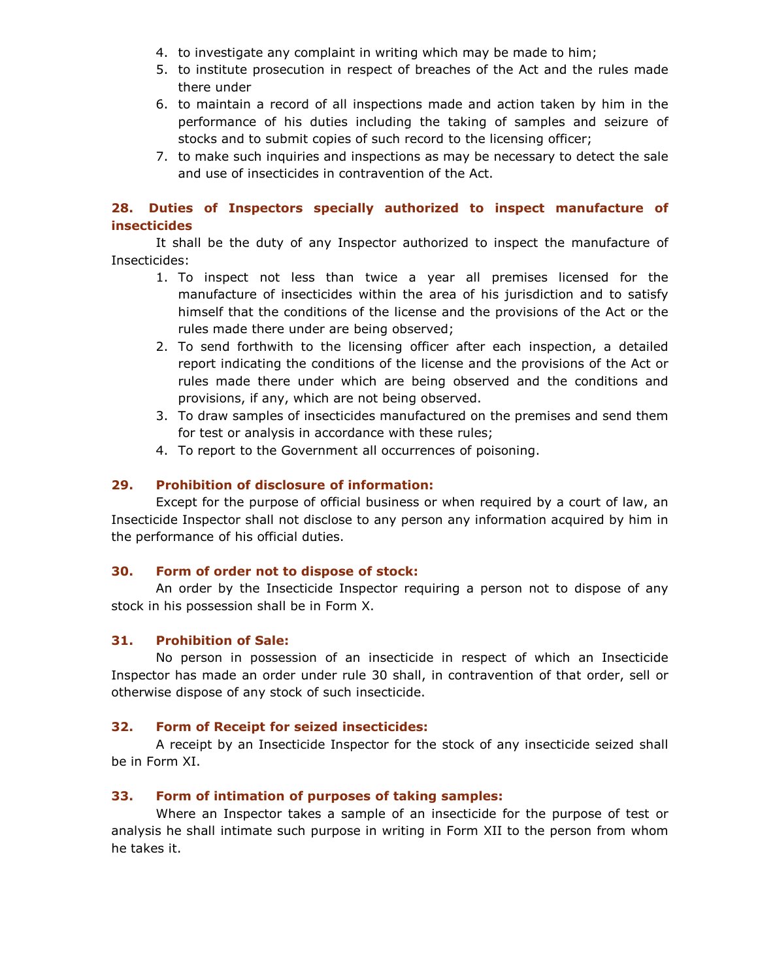- 4. to investigate any complaint in writing which may be made to him;
- 5. to institute prosecution in respect of breaches of the Act and the rules made there under
- 6. to maintain a record of all inspections made and action taken by him in the performance of his duties including the taking of samples and seizure of stocks and to submit copies of such record to the licensing officer;
- 7. to make such inquiries and inspections as may be necessary to detect the sale and use of insecticides in contravention of the Act.

## 28. Duties of Inspectors specially authorized to inspect manufacture of insecticides

 It shall be the duty of any Inspector authorized to inspect the manufacture of Insecticides:

- 1. To inspect not less than twice a year all premises licensed for the manufacture of insecticides within the area of his jurisdiction and to satisfy himself that the conditions of the license and the provisions of the Act or the rules made there under are being observed;
- 2. To send forthwith to the licensing officer after each inspection, a detailed report indicating the conditions of the license and the provisions of the Act or rules made there under which are being observed and the conditions and provisions, if any, which are not being observed.
- 3. To draw samples of insecticides manufactured on the premises and send them for test or analysis in accordance with these rules;
- 4. To report to the Government all occurrences of poisoning.

## 29. Prohibition of disclosure of information:

 Except for the purpose of official business or when required by a court of law, an Insecticide Inspector shall not disclose to any person any information acquired by him in the performance of his official duties.

## 30. Form of order not to dispose of stock:

 An order by the Insecticide Inspector requiring a person not to dispose of any stock in his possession shall be in Form X.

## 31. Prohibition of Sale:

 No person in possession of an insecticide in respect of which an Insecticide Inspector has made an order under rule 30 shall, in contravention of that order, sell or otherwise dispose of any stock of such insecticide.

#### 32. Form of Receipt for seized insecticides:

 A receipt by an Insecticide Inspector for the stock of any insecticide seized shall be in Form XI.

## 33. Form of intimation of purposes of taking samples:

 Where an Inspector takes a sample of an insecticide for the purpose of test or analysis he shall intimate such purpose in writing in Form XII to the person from whom he takes it.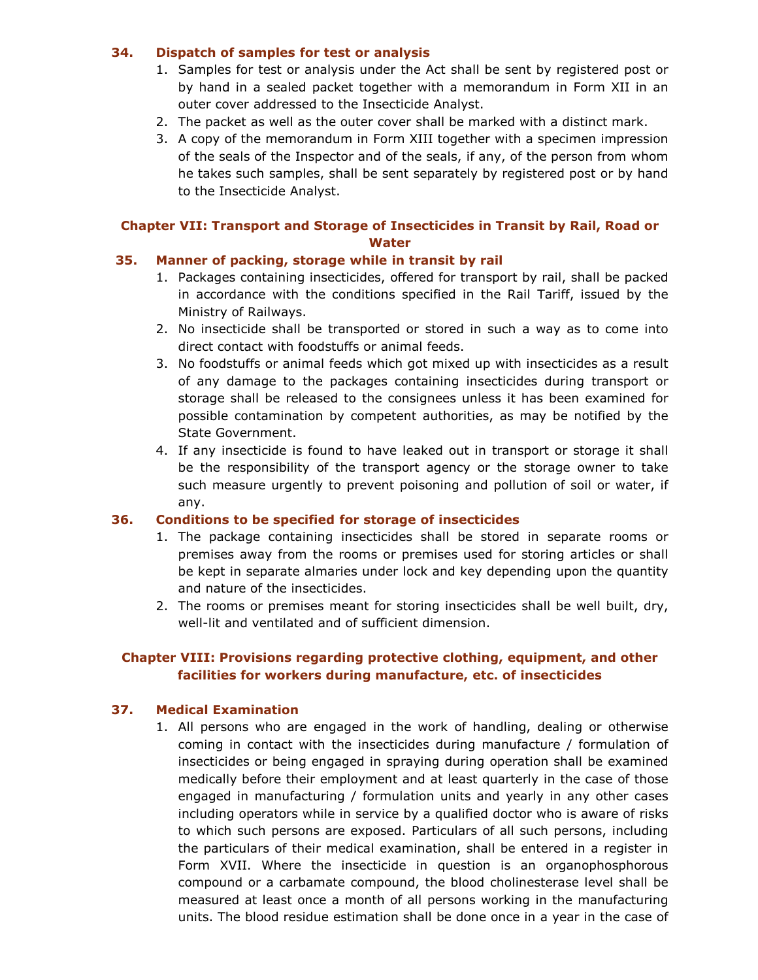#### 34. Dispatch of samples for test or analysis

- 1. Samples for test or analysis under the Act shall be sent by registered post or by hand in a sealed packet together with a memorandum in Form XII in an outer cover addressed to the Insecticide Analyst.
- 2. The packet as well as the outer cover shall be marked with a distinct mark.
- 3. A copy of the memorandum in Form XIII together with a specimen impression of the seals of the Inspector and of the seals, if any, of the person from whom he takes such samples, shall be sent separately by registered post or by hand to the Insecticide Analyst.

## Chapter VII: Transport and Storage of Insecticides in Transit by Rail, Road or **Water**

#### 35. Manner of packing, storage while in transit by rail

- 1. Packages containing insecticides, offered for transport by rail, shall be packed in accordance with the conditions specified in the Rail Tariff, issued by the Ministry of Railways.
- 2. No insecticide shall be transported or stored in such a way as to come into direct contact with foodstuffs or animal feeds.
- 3. No foodstuffs or animal feeds which got mixed up with insecticides as a result of any damage to the packages containing insecticides during transport or storage shall be released to the consignees unless it has been examined for possible contamination by competent authorities, as may be notified by the State Government.
- 4. If any insecticide is found to have leaked out in transport or storage it shall be the responsibility of the transport agency or the storage owner to take such measure urgently to prevent poisoning and pollution of soil or water, if any.

#### 36. Conditions to be specified for storage of insecticides

- 1. The package containing insecticides shall be stored in separate rooms or premises away from the rooms or premises used for storing articles or shall be kept in separate almaries under lock and key depending upon the quantity and nature of the insecticides.
- 2. The rooms or premises meant for storing insecticides shall be well built, dry, well-lit and ventilated and of sufficient dimension.

## Chapter VIII: Provisions regarding protective clothing, equipment, and other facilities for workers during manufacture, etc. of insecticides

## 37. Medical Examination

1. All persons who are engaged in the work of handling, dealing or otherwise coming in contact with the insecticides during manufacture / formulation of insecticides or being engaged in spraying during operation shall be examined medically before their employment and at least quarterly in the case of those engaged in manufacturing / formulation units and yearly in any other cases including operators while in service by a qualified doctor who is aware of risks to which such persons are exposed. Particulars of all such persons, including the particulars of their medical examination, shall be entered in a register in Form XVII. Where the insecticide in question is an organophosphorous compound or a carbamate compound, the blood cholinesterase level shall be measured at least once a month of all persons working in the manufacturing units. The blood residue estimation shall be done once in a year in the case of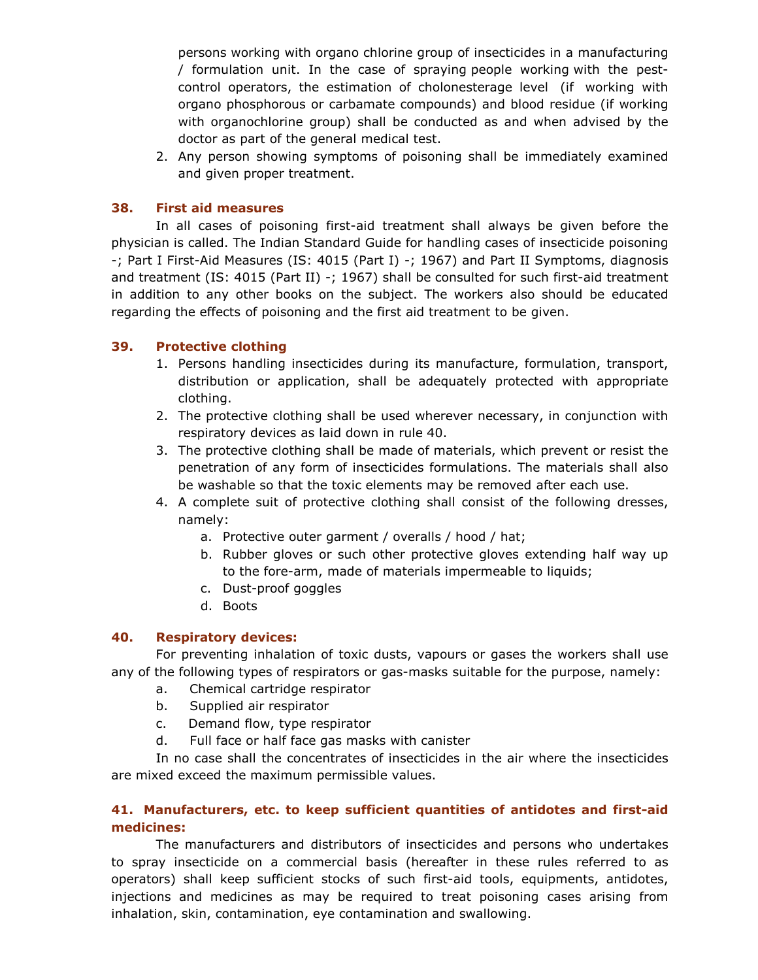persons working with organo chlorine group of insecticides in a manufacturing / formulation unit. In the case of spraying people working with the pestcontrol operators, the estimation of cholonesterage level (if working with organo phosphorous or carbamate compounds) and blood residue (if working with organochlorine group) shall be conducted as and when advised by the doctor as part of the general medical test.

2. Any person showing symptoms of poisoning shall be immediately examined and given proper treatment.

#### 38. First aid measures

 In all cases of poisoning first-aid treatment shall always be given before the physician is called. The Indian Standard Guide for handling cases of insecticide poisoning -; Part I First-Aid Measures (IS: 4015 (Part I) -; 1967) and Part II Symptoms, diagnosis and treatment (IS: 4015 (Part II) -; 1967) shall be consulted for such first-aid treatment in addition to any other books on the subject. The workers also should be educated regarding the effects of poisoning and the first aid treatment to be given.

#### 39. Protective clothing

- 1. Persons handling insecticides during its manufacture, formulation, transport, distribution or application, shall be adequately protected with appropriate clothing.
- 2. The protective clothing shall be used wherever necessary, in conjunction with respiratory devices as laid down in rule 40.
- 3. The protective clothing shall be made of materials, which prevent or resist the penetration of any form of insecticides formulations. The materials shall also be washable so that the toxic elements may be removed after each use.
- 4. A complete suit of protective clothing shall consist of the following dresses, namely:
	- a. Protective outer garment / overalls / hood / hat;
	- b. Rubber gloves or such other protective gloves extending half way up to the fore-arm, made of materials impermeable to liquids;
	- c. Dust-proof goggles
	- d. Boots

#### 40. Respiratory devices:

 For preventing inhalation of toxic dusts, vapours or gases the workers shall use any of the following types of respirators or gas-masks suitable for the purpose, namely:

- a. Chemical cartridge respirator
- b. Supplied air respirator
- c. Demand flow, type respirator
- d. Full face or half face gas masks with canister

 In no case shall the concentrates of insecticides in the air where the insecticides are mixed exceed the maximum permissible values.

#### 41. Manufacturers, etc. to keep sufficient quantities of antidotes and first-aid medicines:

 The manufacturers and distributors of insecticides and persons who undertakes to spray insecticide on a commercial basis (hereafter in these rules referred to as operators) shall keep sufficient stocks of such first-aid tools, equipments, antidotes, injections and medicines as may be required to treat poisoning cases arising from inhalation, skin, contamination, eye contamination and swallowing.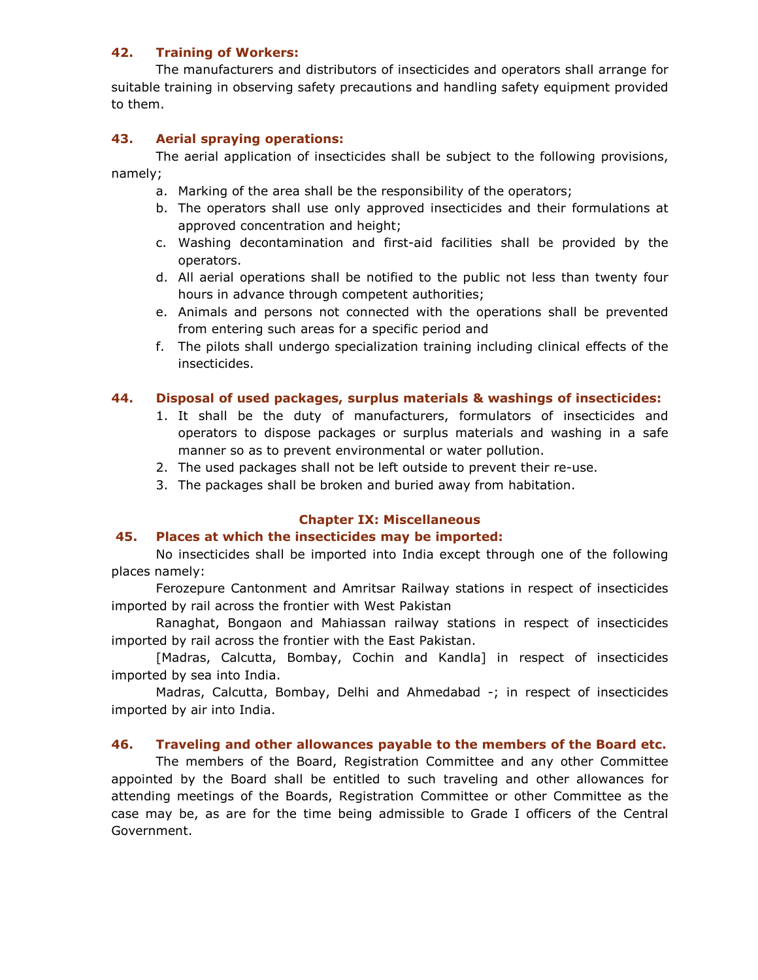#### 42. Training of Workers:

 The manufacturers and distributors of insecticides and operators shall arrange for suitable training in observing safety precautions and handling safety equipment provided to them.

## 43. Aerial spraying operations:

 The aerial application of insecticides shall be subject to the following provisions, namely;

- a. Marking of the area shall be the responsibility of the operators;
- b. The operators shall use only approved insecticides and their formulations at approved concentration and height;
- c. Washing decontamination and first-aid facilities shall be provided by the operators.
- d. All aerial operations shall be notified to the public not less than twenty four hours in advance through competent authorities;
- e. Animals and persons not connected with the operations shall be prevented from entering such areas for a specific period and
- f. The pilots shall undergo specialization training including clinical effects of the insecticides.

#### 44. Disposal of used packages, surplus materials & washings of insecticides:

- 1. It shall be the duty of manufacturers, formulators of insecticides and operators to dispose packages or surplus materials and washing in a safe manner so as to prevent environmental or water pollution.
- 2. The used packages shall not be left outside to prevent their re-use.
- 3. The packages shall be broken and buried away from habitation.

#### Chapter IX: Miscellaneous

#### 45. Places at which the insecticides may be imported:

 No insecticides shall be imported into India except through one of the following places namely:

 Ferozepure Cantonment and Amritsar Railway stations in respect of insecticides imported by rail across the frontier with West Pakistan

 Ranaghat, Bongaon and Mahiassan railway stations in respect of insecticides imported by rail across the frontier with the East Pakistan.

 [Madras, Calcutta, Bombay, Cochin and Kandla] in respect of insecticides imported by sea into India.

 Madras, Calcutta, Bombay, Delhi and Ahmedabad -; in respect of insecticides imported by air into India.

#### 46. Traveling and other allowances payable to the members of the Board etc.

 The members of the Board, Registration Committee and any other Committee appointed by the Board shall be entitled to such traveling and other allowances for attending meetings of the Boards, Registration Committee or other Committee as the case may be, as are for the time being admissible to Grade I officers of the Central Government.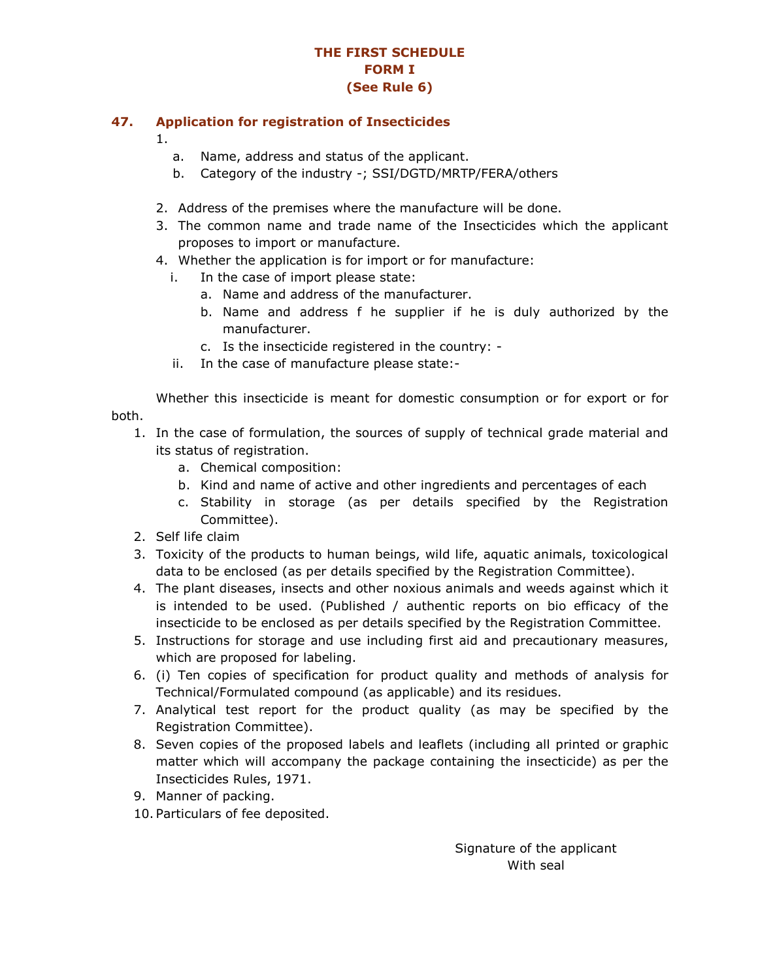## THE FIRST SCHEDULE FORM I (See Rule 6)

#### 47. Application for registration of Insecticides

- 1.
	- a. Name, address and status of the applicant.
	- b. Category of the industry -; SSI/DGTD/MRTP/FERA/others
- 2. Address of the premises where the manufacture will be done.
- 3. The common name and trade name of the Insecticides which the applicant proposes to import or manufacture.
- 4. Whether the application is for import or for manufacture:
	- i. In the case of import please state:
		- a. Name and address of the manufacturer.
		- b. Name and address f he supplier if he is duly authorized by the manufacturer.
		- c. Is the insecticide registered in the country: -
	- ii. In the case of manufacture please state:-

 Whether this insecticide is meant for domestic consumption or for export or for both.

- 1. In the case of formulation, the sources of supply of technical grade material and its status of registration.
	- a. Chemical composition:
	- b. Kind and name of active and other ingredients and percentages of each
	- c. Stability in storage (as per details specified by the Registration Committee).
- 2. Self life claim
- 3. Toxicity of the products to human beings, wild life, aquatic animals, toxicological data to be enclosed (as per details specified by the Registration Committee).
- 4. The plant diseases, insects and other noxious animals and weeds against which it is intended to be used. (Published / authentic reports on bio efficacy of the insecticide to be enclosed as per details specified by the Registration Committee.
- 5. Instructions for storage and use including first aid and precautionary measures, which are proposed for labeling.
- 6. (i) Ten copies of specification for product quality and methods of analysis for Technical/Formulated compound (as applicable) and its residues.
- 7. Analytical test report for the product quality (as may be specified by the Registration Committee).
- 8. Seven copies of the proposed labels and leaflets (including all printed or graphic matter which will accompany the package containing the insecticide) as per the Insecticides Rules, 1971.
- 9. Manner of packing.
- 10. Particulars of fee deposited.

 Signature of the applicant With seal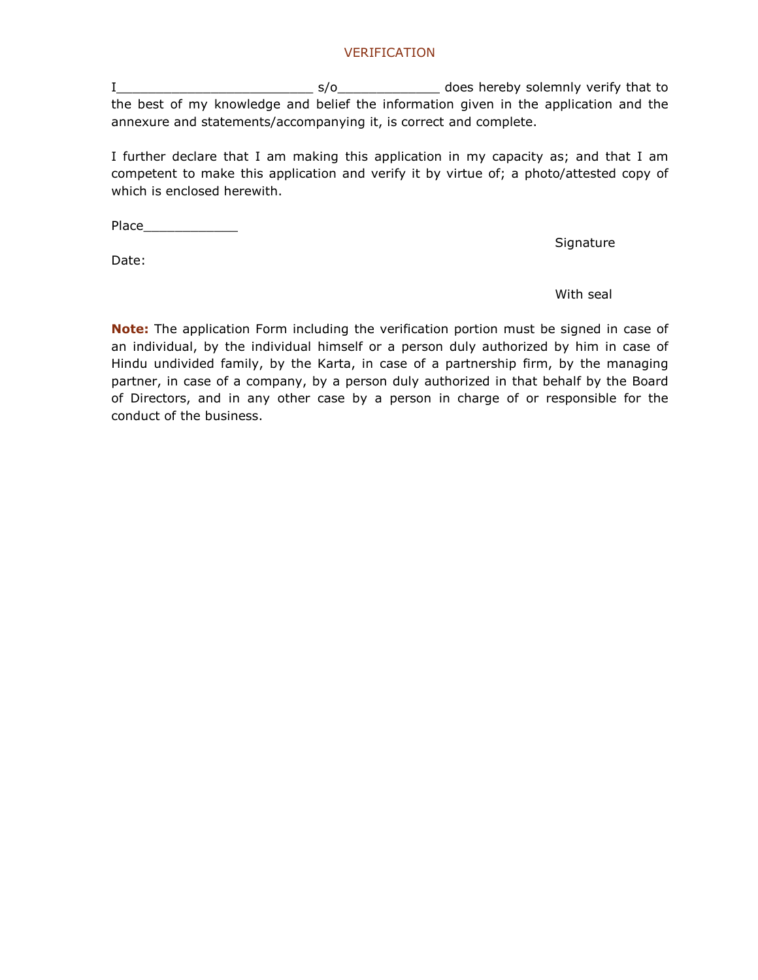#### VERIFICATION

I\_\_\_\_\_\_\_\_\_\_\_\_\_\_\_\_\_\_\_\_\_\_\_\_\_ s/o\_\_\_\_\_\_\_\_\_\_\_\_\_ does hereby solemnly verify that to the best of my knowledge and belief the information given in the application and the annexure and statements/accompanying it, is correct and complete.

I further declare that I am making this application in my capacity as; and that I am competent to make this application and verify it by virtue of; a photo/attested copy of which is enclosed herewith.

Place\_\_\_\_\_\_\_\_\_\_\_\_

Date:

Signature

#### with seal and the contract of the contract of the contract of the contract of the contract of the contract of t

Note: The application Form including the verification portion must be signed in case of an individual, by the individual himself or a person duly authorized by him in case of Hindu undivided family, by the Karta, in case of a partnership firm, by the managing partner, in case of a company, by a person duly authorized in that behalf by the Board of Directors, and in any other case by a person in charge of or responsible for the conduct of the business.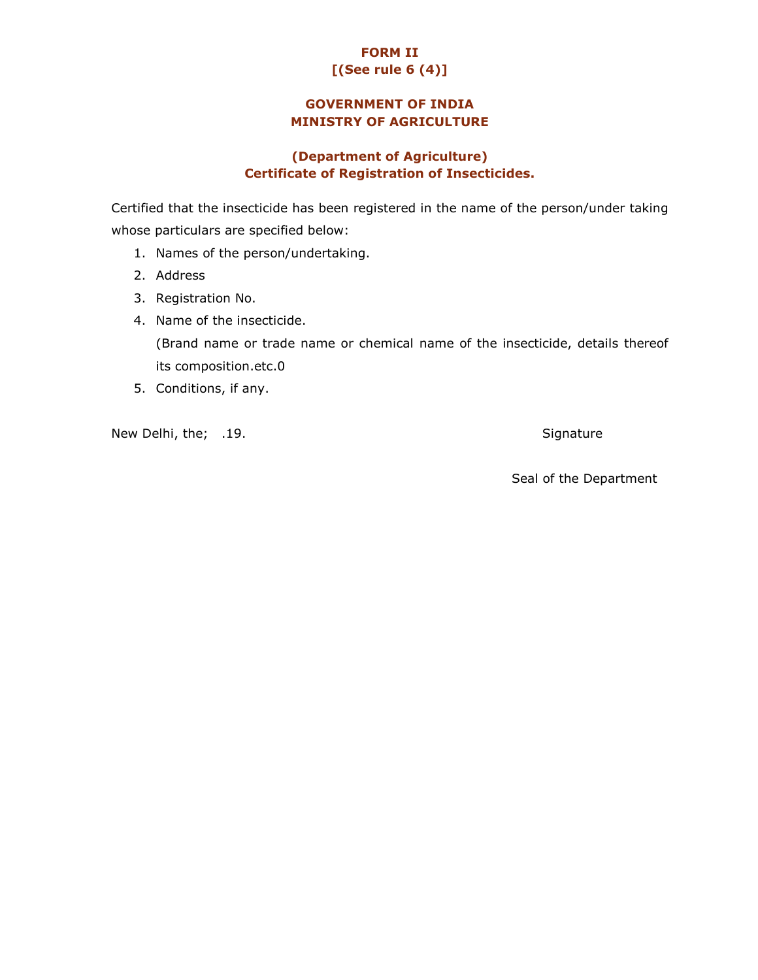# FORM II [(See rule 6 (4)]

# GOVERNMENT OF INDIA MINISTRY OF AGRICULTURE

## (Department of Agriculture) Certificate of Registration of Insecticides.

Certified that the insecticide has been registered in the name of the person/under taking whose particulars are specified below:

- 1. Names of the person/undertaking.
- 2. Address
- 3. Registration No.
- 4. Name of the insecticide. (Brand name or trade name or chemical name of the insecticide, details thereof its composition.etc.0
- 5. Conditions, if any.

New Delhi, the; .19. Signature

Seal of the Department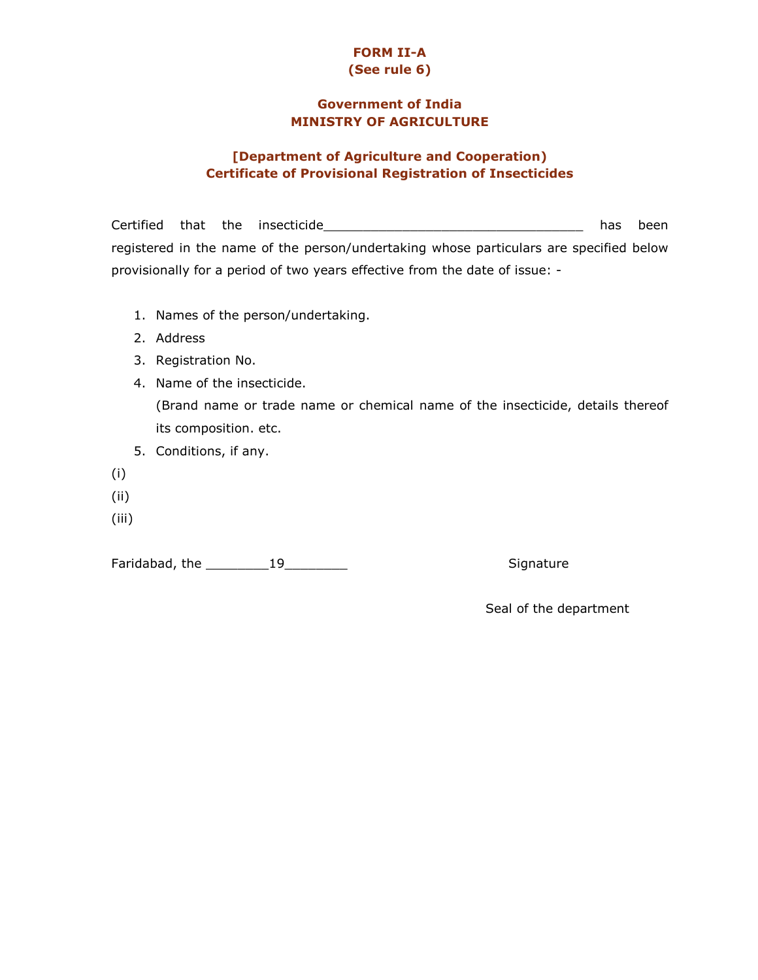## FORM II-A (See rule 6)

## Government of India MINISTRY OF AGRICULTURE

## [Department of Agriculture and Cooperation) Certificate of Provisional Registration of Insecticides

Certified that the insecticide\_\_\_\_\_\_\_\_\_\_\_\_\_\_\_\_\_\_\_\_\_\_\_\_\_\_\_\_\_\_\_\_\_ has been registered in the name of the person/undertaking whose particulars are specified below provisionally for a period of two years effective from the date of issue: -

- 1. Names of the person/undertaking.
- 2. Address
- 3. Registration No.
- 4. Name of the insecticide. (Brand name or trade name or chemical name of the insecticide, details thereof its composition. etc.
- 5. Conditions, if any.
- (i)
- (ii)
- (iii)

Faridabad, the \_\_\_\_\_\_\_\_19\_\_\_\_\_\_\_\_ Signature

Seal of the department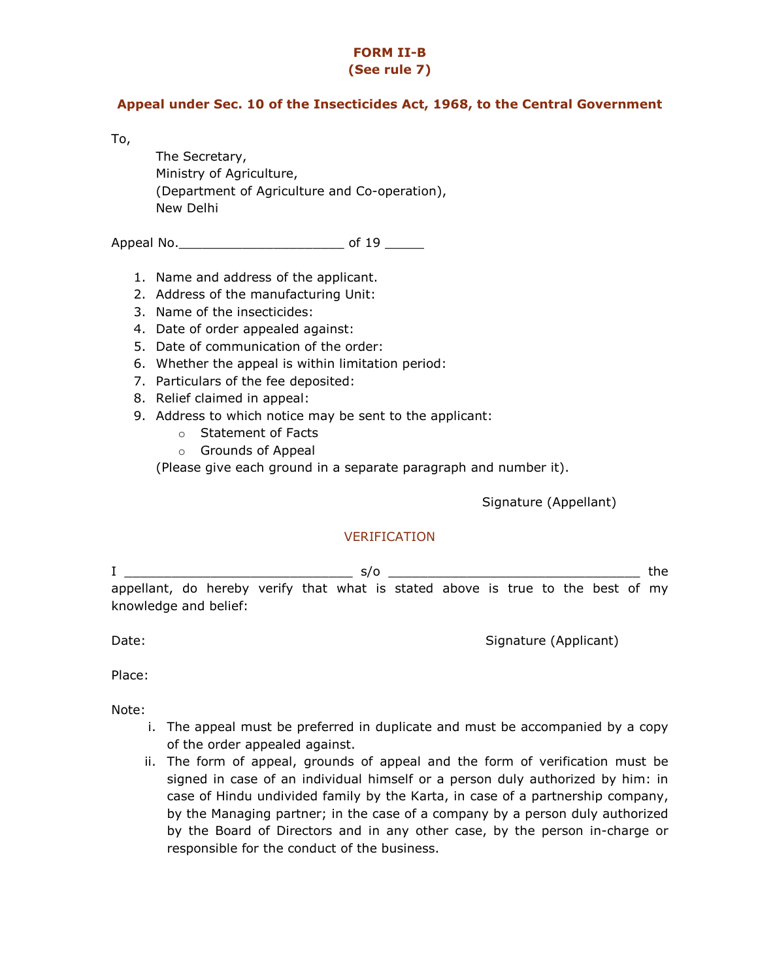# FORM II-B

# (See rule 7)

#### Appeal under Sec. 10 of the Insecticides Act, 1968, to the Central Government

To,

The Secretary, Ministry of Agriculture, (Department of Agriculture and Co-operation), New Delhi

Appeal No.\_\_\_\_\_\_\_\_\_\_\_\_\_\_\_\_\_\_\_\_\_ of 19 \_\_\_\_\_

- 1. Name and address of the applicant.
- 2. Address of the manufacturing Unit:
- 3. Name of the insecticides:
- 4. Date of order appealed against:
- 5. Date of communication of the order:
- 6. Whether the appeal is within limitation period:
- 7. Particulars of the fee deposited:
- 8. Relief claimed in appeal:
- 9. Address to which notice may be sent to the applicant:
	- o Statement of Facts
	- o Grounds of Appeal

(Please give each ground in a separate paragraph and number it).

Signature (Appellant)

## VERIFICATION

I \_\_\_\_\_\_\_\_\_\_\_\_\_\_\_\_\_\_\_\_\_\_\_\_\_\_\_\_\_ s/o \_\_\_\_\_\_\_\_\_\_\_\_\_\_\_\_\_\_\_\_\_\_\_\_\_\_\_\_\_\_\_\_ the appellant, do hereby verify that what is stated above is true to the best of my knowledge and belief:

Date: Signature (Applicant) and Date: Signature (Applicant) and Date: Signature (Applicant) and Date: Signature (Applicant) and Date: Signature (Applicant) and Date: Signature (Applicant) and Date: Signature (Applicant) an

Place:

Note:

- i. The appeal must be preferred in duplicate and must be accompanied by a copy of the order appealed against.
- ii. The form of appeal, grounds of appeal and the form of verification must be signed in case of an individual himself or a person duly authorized by him: in case of Hindu undivided family by the Karta, in case of a partnership company, by the Managing partner; in the case of a company by a person duly authorized by the Board of Directors and in any other case, by the person in-charge or responsible for the conduct of the business.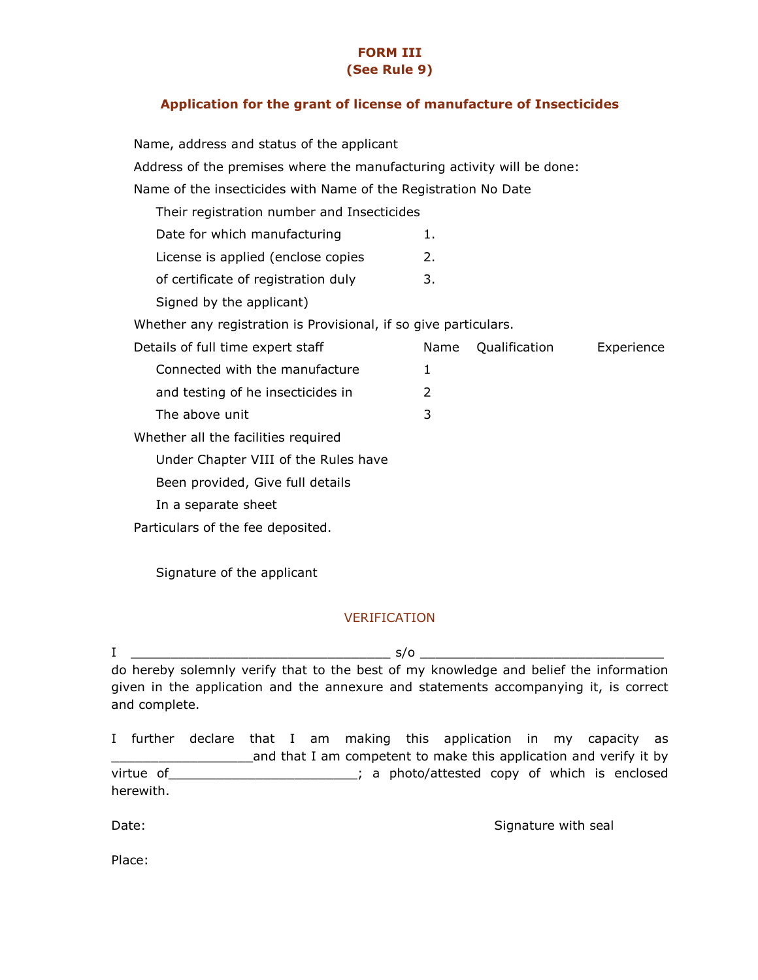#### FORM III (See Rule 9)

#### Application for the grant of license of manufacture of Insecticides

| Name, address and status of the applicant                              |               |               |            |  |  |  |  |
|------------------------------------------------------------------------|---------------|---------------|------------|--|--|--|--|
| Address of the premises where the manufacturing activity will be done: |               |               |            |  |  |  |  |
| Name of the insecticides with Name of the Registration No Date         |               |               |            |  |  |  |  |
| Their registration number and Insecticides                             |               |               |            |  |  |  |  |
| Date for which manufacturing                                           | 1.            |               |            |  |  |  |  |
| License is applied (enclose copies                                     | 2.            |               |            |  |  |  |  |
| of certificate of registration duly                                    | 3.            |               |            |  |  |  |  |
| Signed by the applicant)                                               |               |               |            |  |  |  |  |
| Whether any registration is Provisional, if so give particulars.       |               |               |            |  |  |  |  |
| Details of full time expert staff                                      | Name          | Qualification | Experience |  |  |  |  |
|                                                                        |               |               |            |  |  |  |  |
| Connected with the manufacture                                         | $\mathbf{1}$  |               |            |  |  |  |  |
| and testing of he insecticides in                                      | $\mathcal{L}$ |               |            |  |  |  |  |
| The above unit                                                         | 3             |               |            |  |  |  |  |
| Whether all the facilities required                                    |               |               |            |  |  |  |  |
| Under Chapter VIII of the Rules have                                   |               |               |            |  |  |  |  |
| Been provided, Give full details                                       |               |               |            |  |  |  |  |
| In a separate sheet                                                    |               |               |            |  |  |  |  |
| Particulars of the fee deposited.                                      |               |               |            |  |  |  |  |

Signature of the applicant

#### VERIFICATION

 $I \quad \longrightarrow \quad$  s/o  $\longrightarrow \quad$ do hereby solemnly verify that to the best of my knowledge and belief the information given in the application and the annexure and statements accompanying it, is correct and complete.

I further declare that I am making this application in my capacity as and that I am competent to make this application and verify it by virtue of \_\_\_\_\_\_\_\_\_\_\_\_\_\_\_\_\_\_\_\_\_\_\_\_; a photo/attested copy of which is enclosed herewith.

Date: Signature with seal and the Signature with seal and the Signature with seal

Place: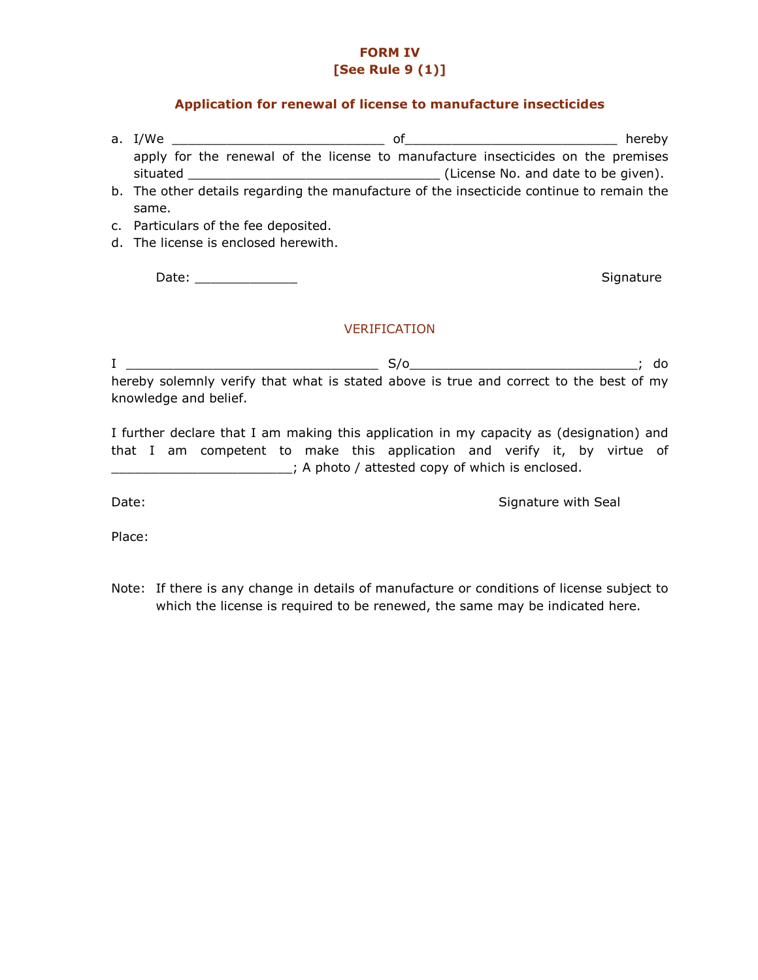## FORM IV [See Rule 9 (1)]

#### Application for renewal of license to manufacture insecticides

- a. I/We \_\_\_\_\_\_\_\_\_\_\_\_\_\_\_\_\_\_\_\_\_\_\_\_\_\_\_ of\_\_\_\_\_\_\_\_\_\_\_\_\_\_\_\_\_\_\_\_\_\_\_\_\_\_\_ hereby apply for the renewal of the license to manufacture insecticides on the premises situated \_\_\_\_\_\_\_\_\_\_\_\_\_\_\_\_\_\_\_\_\_\_\_\_\_\_\_\_\_\_\_\_ (License No. and date to be given). b. The other details regarding the manufacture of the insecticide continue to remain the same.
- c. Particulars of the fee deposited.
- d. The license is enclosed herewith.

Date: \_\_\_\_\_\_\_\_\_\_\_\_\_ Signature

#### VERIFICATION

I \_\_\_\_\_\_\_\_\_\_\_\_\_\_\_\_\_\_\_\_\_\_\_\_\_\_\_\_\_\_\_\_ S/o\_\_\_\_\_\_\_\_\_\_\_\_\_\_\_\_\_\_\_\_\_\_\_\_\_\_\_\_\_; do hereby solemnly verify that what is stated above is true and correct to the best of my knowledge and belief.

I further declare that I am making this application in my capacity as (designation) and that I am competent to make this application and verify it, by virtue of \_\_\_\_\_\_\_\_\_\_\_\_\_\_\_\_\_\_\_\_\_\_\_; A photo / attested copy of which is enclosed.

Date: Signature with Seal and Seal and Seal and Seal and Seal and Seal and Seal and Seal and Seal and Seal and Seal and Seal and Seal and Seal and Seal and Seal and Seal and Seal and Seal and Seal and Seal and Seal and Sea

Place:

Note: If there is any change in details of manufacture or conditions of license subject to which the license is required to be renewed, the same may be indicated here.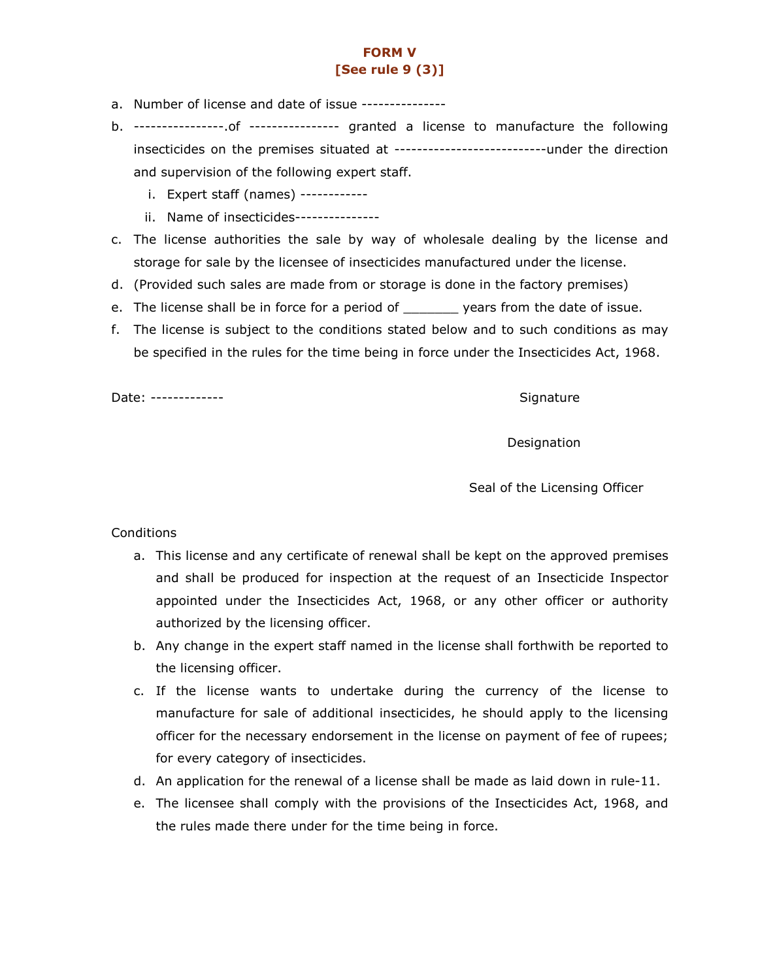# FORM V [See rule 9 (3)]

- a. Number of license and date of issue ---------------
- b. ----------------.of ---------------- granted a license to manufacture the following insecticides on the premises situated at ---------------------------under the direction and supervision of the following expert staff.
	- i. Expert staff (names) ------------
	- ii. Name of insecticides---------------
- c. The license authorities the sale by way of wholesale dealing by the license and storage for sale by the licensee of insecticides manufactured under the license.
- d. (Provided such sales are made from or storage is done in the factory premises)
- e. The license shall be in force for a period of \_\_\_\_\_\_\_ years from the date of issue.
- f. The license is subject to the conditions stated below and to such conditions as may be specified in the rules for the time being in force under the Insecticides Act, 1968.

Date: ------------- Signature

Designation

Seal of the Licensing Officer

#### Conditions

- a. This license and any certificate of renewal shall be kept on the approved premises and shall be produced for inspection at the request of an Insecticide Inspector appointed under the Insecticides Act, 1968, or any other officer or authority authorized by the licensing officer.
- b. Any change in the expert staff named in the license shall forthwith be reported to the licensing officer.
- c. If the license wants to undertake during the currency of the license to manufacture for sale of additional insecticides, he should apply to the licensing officer for the necessary endorsement in the license on payment of fee of rupees; for every category of insecticides.
- d. An application for the renewal of a license shall be made as laid down in rule-11.
- e. The licensee shall comply with the provisions of the Insecticides Act, 1968, and the rules made there under for the time being in force.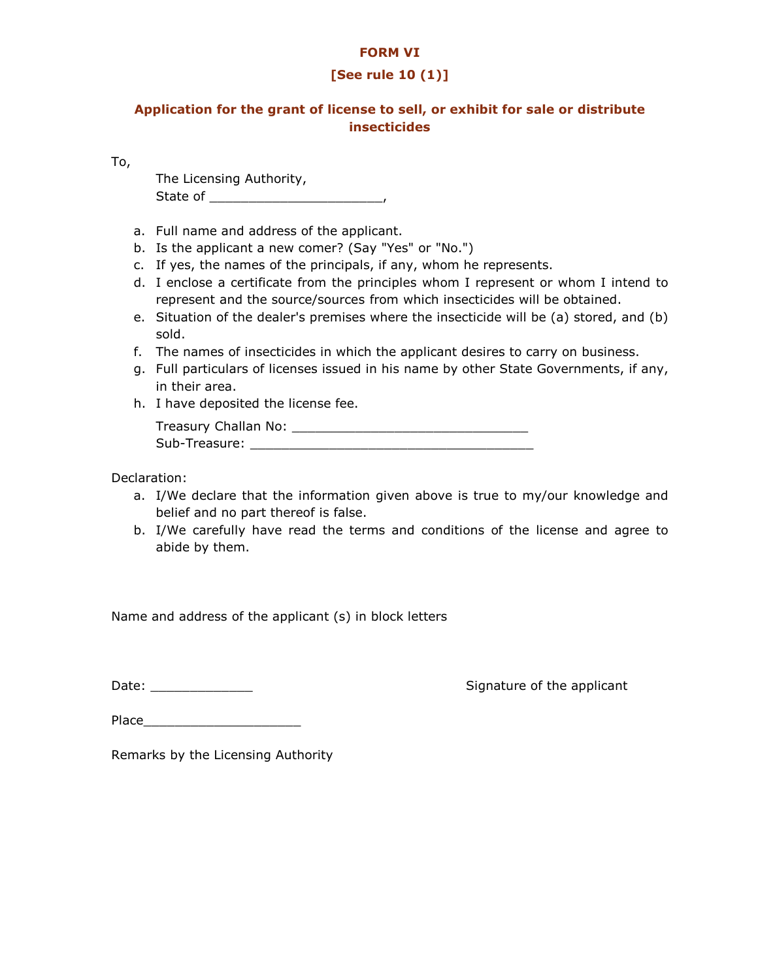#### FORM VI

## [See rule 10 (1)]

# Application for the grant of license to sell, or exhibit for sale or distribute insecticides

To,

The Licensing Authority, State of \_\_\_\_\_\_\_\_\_\_\_\_\_\_\_\_\_\_\_\_\_\_,

- a. Full name and address of the applicant.
- b. Is the applicant a new comer? (Say "Yes" or "No.")
- c. If yes, the names of the principals, if any, whom he represents.
- d. I enclose a certificate from the principles whom I represent or whom I intend to represent and the source/sources from which insecticides will be obtained.
- e. Situation of the dealer's premises where the insecticide will be (a) stored, and (b) sold.
- f. The names of insecticides in which the applicant desires to carry on business.
- g. Full particulars of licenses issued in his name by other State Governments, if any, in their area.
- h. I have deposited the license fee.

| Treasury Challan No: |  |
|----------------------|--|
| Sub-Treasure:        |  |

Declaration:

- a. I/We declare that the information given above is true to my/our knowledge and belief and no part thereof is false.
- b. I/We carefully have read the terms and conditions of the license and agree to abide by them.

Name and address of the applicant (s) in block letters

Date: \_\_\_\_\_\_\_\_\_\_\_\_\_ Signature of the applicant

Place\_\_\_\_\_\_\_\_\_\_\_\_\_\_\_\_\_\_\_\_

Remarks by the Licensing Authority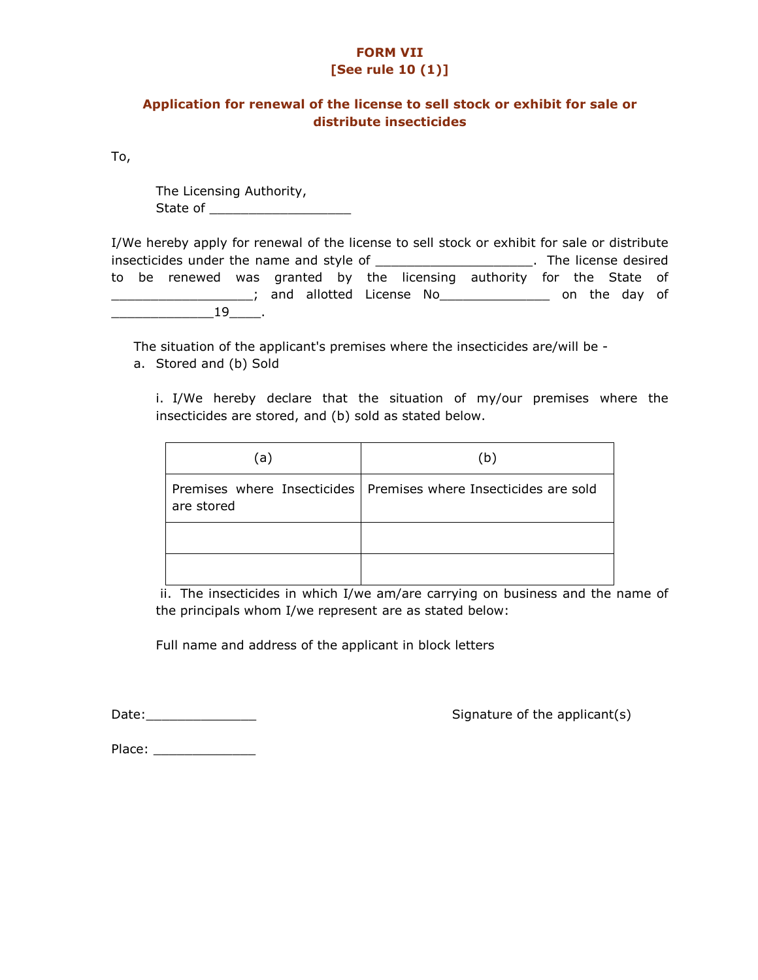# FORM VII

# [See rule 10 (1)]

## Application for renewal of the license to sell stock or exhibit for sale or distribute insecticides

To,

The Licensing Authority, State of \_\_\_\_\_\_\_\_\_\_\_\_\_\_\_\_\_\_

| I/We hereby apply for renewal of the license to sell stock or exhibit for sale or distribute |                       |    |  |  |  |  |  |                                                                       |  |               |  |
|----------------------------------------------------------------------------------------------|-----------------------|----|--|--|--|--|--|-----------------------------------------------------------------------|--|---------------|--|
|                                                                                              | . The license desired |    |  |  |  |  |  |                                                                       |  |               |  |
|                                                                                              |                       |    |  |  |  |  |  | to be renewed was granted by the licensing authority for the State of |  |               |  |
|                                                                                              |                       |    |  |  |  |  |  | ; and allotted License No                                             |  | on the day of |  |
|                                                                                              |                       | 19 |  |  |  |  |  |                                                                       |  |               |  |

The situation of the applicant's premises where the insecticides are/will be a. Stored and (b) Sold

i. I/We hereby declare that the situation of my/our premises where the insecticides are stored, and (b) sold as stated below.

| (a)        | (b)                                                                |
|------------|--------------------------------------------------------------------|
| are stored | Premises where Insecticides   Premises where Insecticides are sold |
|            |                                                                    |
|            |                                                                    |

 ii. The insecticides in which I/we am/are carrying on business and the name of the principals whom I/we represent are as stated below:

Full name and address of the applicant in block letters

Date:\_\_\_\_\_\_\_\_\_\_\_\_\_\_ Signature of the applicant(s)

Place: \_\_\_\_\_\_\_\_\_\_\_\_\_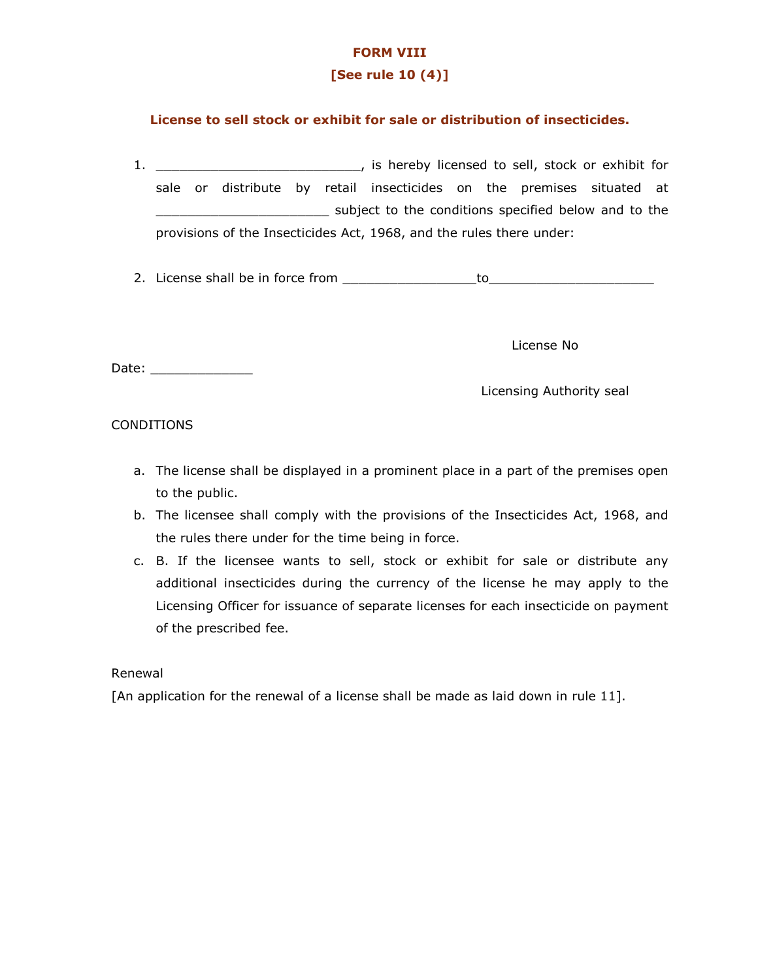## FORM VIII

## [See rule 10 (4)]

## License to sell stock or exhibit for sale or distribution of insecticides.

- 1. \_\_\_\_\_\_\_\_\_\_\_\_\_\_\_\_\_\_\_\_\_\_\_\_\_\_, is hereby licensed to sell, stock or exhibit for sale or distribute by retail insecticides on the premises situated at \_\_\_\_\_\_\_\_\_\_\_\_\_\_\_\_\_\_\_\_\_\_ subject to the conditions specified below and to the provisions of the Insecticides Act, 1968, and the rules there under:
- 2. License shall be in force from \_\_\_\_\_\_\_\_\_\_\_\_\_\_\_\_\_to\_\_\_\_\_\_\_\_\_\_\_\_\_\_\_\_\_\_\_\_\_

License No

Date: \_\_\_\_\_\_\_\_\_\_\_\_\_

Licensing Authority seal

#### CONDITIONS

- a. The license shall be displayed in a prominent place in a part of the premises open to the public.
- b. The licensee shall comply with the provisions of the Insecticides Act, 1968, and the rules there under for the time being in force.
- c. B. If the licensee wants to sell, stock or exhibit for sale or distribute any additional insecticides during the currency of the license he may apply to the Licensing Officer for issuance of separate licenses for each insecticide on payment of the prescribed fee.

#### Renewal

[An application for the renewal of a license shall be made as laid down in rule 11].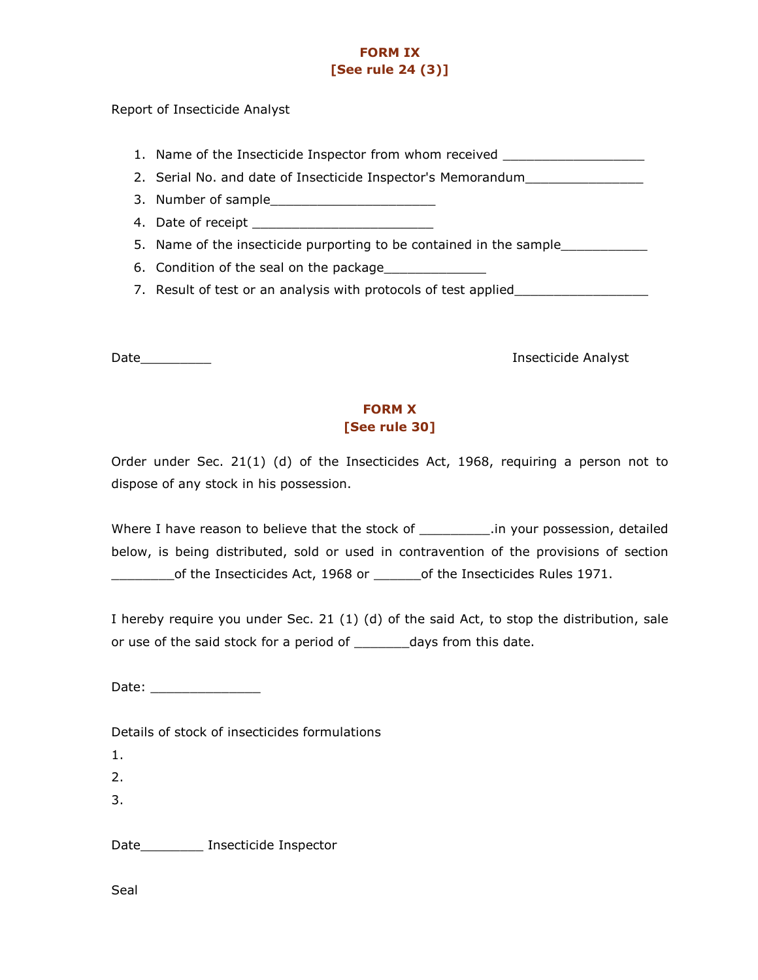# FORM IX [See rule 24 (3)]

Report of Insecticide Analyst

- 1. Name of the Insecticide Inspector from whom received \_\_\_\_\_\_\_\_\_\_\_\_\_\_\_\_\_\_\_\_\_\_\_\_
- 2. Serial No. and date of Insecticide Inspector's Memorandum\_\_\_\_\_\_\_\_\_\_\_\_\_\_\_\_\_\_\_\_
- 3. Number of sample\_\_\_\_\_\_\_\_\_\_\_\_\_\_\_\_\_\_\_\_\_
- 4. Date of receipt
- 5. Name of the insecticide purporting to be contained in the sample\_\_\_\_\_\_\_\_\_\_\_\_\_
- 6. Condition of the seal on the package
- 7. Result of test or an analysis with protocols of test applied

Date\_\_\_\_\_\_\_\_\_ Insecticide Analyst

# FORM X [See rule 30]

Order under Sec. 21(1) (d) of the Insecticides Act, 1968, requiring a person not to dispose of any stock in his possession.

Where I have reason to believe that the stock of \_\_\_\_\_\_\_\_\_\_\_.in your possession, detailed below, is being distributed, sold or used in contravention of the provisions of section \_\_\_\_\_\_\_\_of the Insecticides Act, 1968 or \_\_\_\_\_\_of the Insecticides Rules 1971.

I hereby require you under Sec. 21 (1) (d) of the said Act, to stop the distribution, sale or use of the said stock for a period of \_\_\_\_\_\_\_\_ days from this date.

Date: \_\_\_\_\_\_\_\_\_\_\_\_\_\_

Details of stock of insecticides formulations

1.

2.

3.

Date **Insecticide Inspector** 

Seal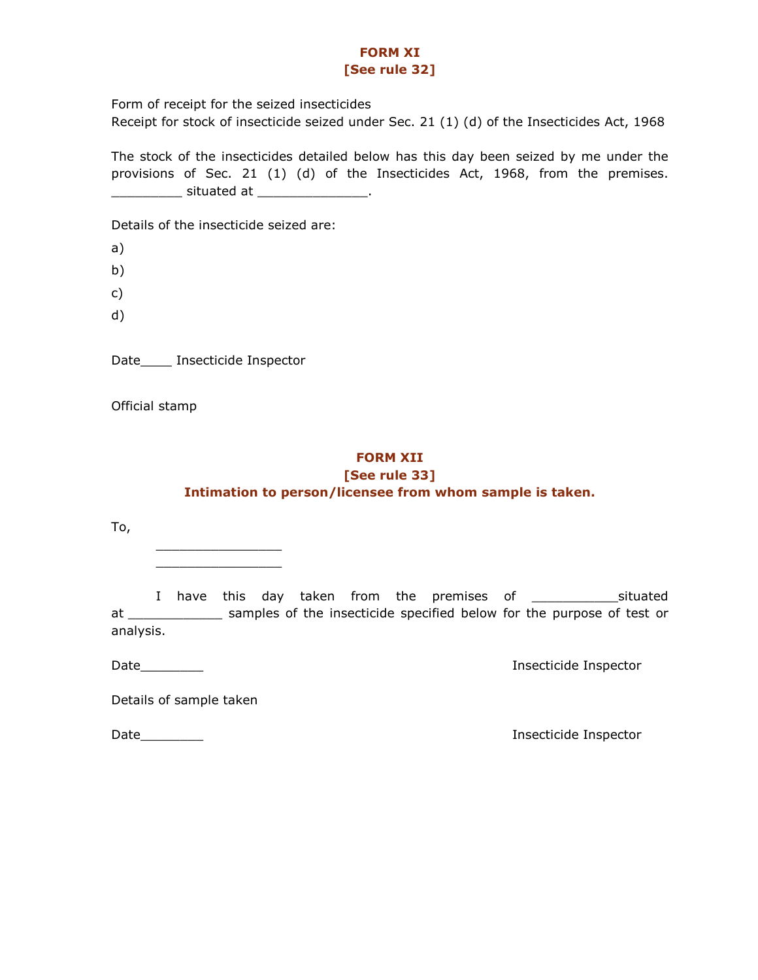## FORM XI [See rule 32]

Form of receipt for the seized insecticides Receipt for stock of insecticide seized under Sec. 21 (1) (d) of the Insecticides Act, 1968

The stock of the insecticides detailed below has this day been seized by me under the provisions of Sec. 21 (1) (d) of the Insecticides Act, 1968, from the premises. \_\_\_\_\_\_\_\_\_ situated at \_\_\_\_\_\_\_\_\_\_\_\_\_\_.

Details of the insecticide seized are:

a)

b)

c)

d)

Date\_\_\_\_ Insecticide Inspector

 $\frac{1}{2}$  ,  $\frac{1}{2}$  ,  $\frac{1}{2}$  ,  $\frac{1}{2}$  ,  $\frac{1}{2}$  ,  $\frac{1}{2}$  ,  $\frac{1}{2}$  ,  $\frac{1}{2}$  ,  $\frac{1}{2}$  ,  $\frac{1}{2}$  ,  $\frac{1}{2}$  ,  $\frac{1}{2}$  ,  $\frac{1}{2}$  ,  $\frac{1}{2}$  ,  $\frac{1}{2}$  ,  $\frac{1}{2}$  ,  $\frac{1}{2}$  ,  $\frac{1}{2}$  ,  $\frac{1$  $\frac{1}{2}$  ,  $\frac{1}{2}$  ,  $\frac{1}{2}$  ,  $\frac{1}{2}$  ,  $\frac{1}{2}$  ,  $\frac{1}{2}$  ,  $\frac{1}{2}$  ,  $\frac{1}{2}$  ,  $\frac{1}{2}$  ,  $\frac{1}{2}$  ,  $\frac{1}{2}$  ,  $\frac{1}{2}$  ,  $\frac{1}{2}$  ,  $\frac{1}{2}$  ,  $\frac{1}{2}$  ,  $\frac{1}{2}$  ,  $\frac{1}{2}$  ,  $\frac{1}{2}$  ,  $\frac{1$ 

Official stamp

## FORM XII [See rule 33] Intimation to person/licensee from whom sample is taken.

To,

 I have this day taken from the premises of \_\_\_\_\_\_\_\_\_\_\_situated at \_\_\_\_\_\_\_\_\_\_\_\_\_\_ samples of the insecticide specified below for the purpose of test or analysis.

Date\_\_\_\_\_\_\_\_ Insecticide Inspector

Details of sample taken

Date\_\_\_\_\_\_\_\_ Insecticide Inspector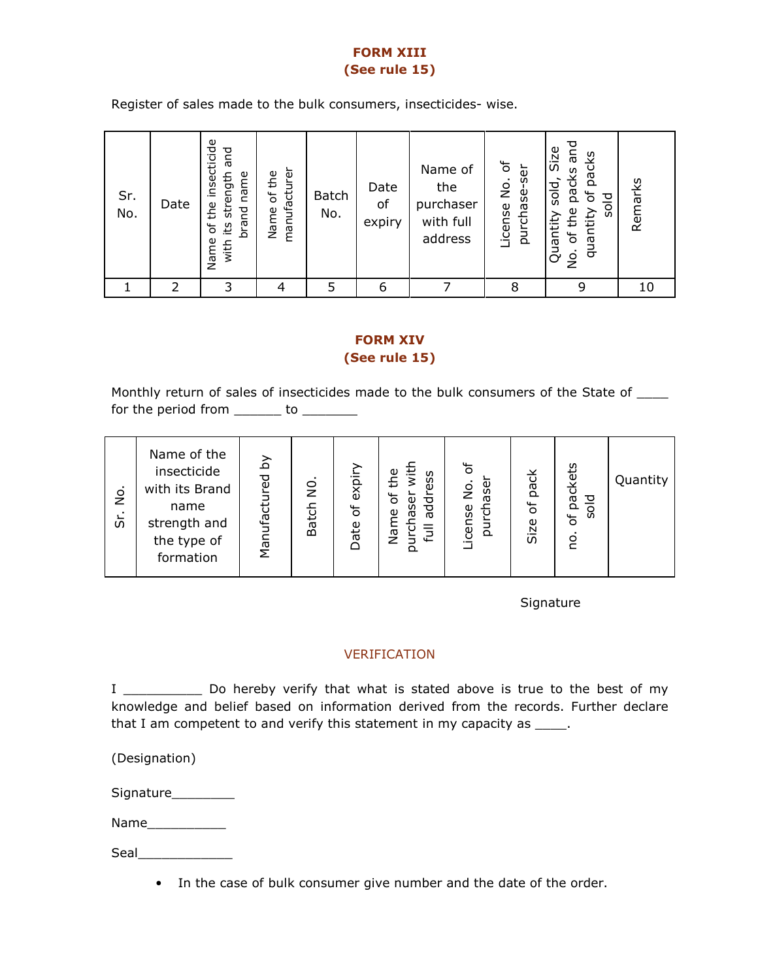# FORM XIII (See rule 15)

Register of sales made to the bulk consumers, insecticides- wise.

| Sr.<br>No. | Date | insecticide<br>pue<br>strength<br>name<br>the<br>brand<br>its<br>৳<br>Name<br>with | manufacturer<br>of the<br>Name | <b>Batch</b><br>No. | Date<br>of<br>expiry | Name of<br>the<br>purchaser<br>with full<br>address | ৳<br>ā<br>$\frac{1}{2}$<br>purchase<br>License | pue<br>Size<br>packs<br>packs<br>sold<br>৳<br>plos<br>the<br>quantity<br>Quantity<br>৳<br>o<br>S | Remarks |
|------------|------|------------------------------------------------------------------------------------|--------------------------------|---------------------|----------------------|-----------------------------------------------------|------------------------------------------------|--------------------------------------------------------------------------------------------------|---------|
|            | フ    | 3                                                                                  |                                | 5                   | 6                    |                                                     | 8                                              | 9                                                                                                | 10      |

## FORM XIV (See rule 15)

Monthly return of sales of insecticides made to the bulk consumers of the State of  $\_\_$ for the period from  $\frac{1}{\sqrt{1-\frac{1}{2}}}\cos\left(\frac{1}{2}\right)$ 

Signature

## VERIFICATION

I \_\_\_\_\_\_\_\_\_\_ Do hereby verify that what is stated above is true to the best of my knowledge and belief based on information derived from the records. Further declare that I am competent to and verify this statement in my capacity as  $\frac{1}{\sqrt{1-\frac{1}{n}}}$ .

(Designation)

Signature\_\_\_\_\_\_\_\_\_

Name\_\_\_\_\_\_\_\_\_\_

Seal\_\_\_\_\_\_\_\_\_\_\_\_

• In the case of bulk consumer give number and the date of the order.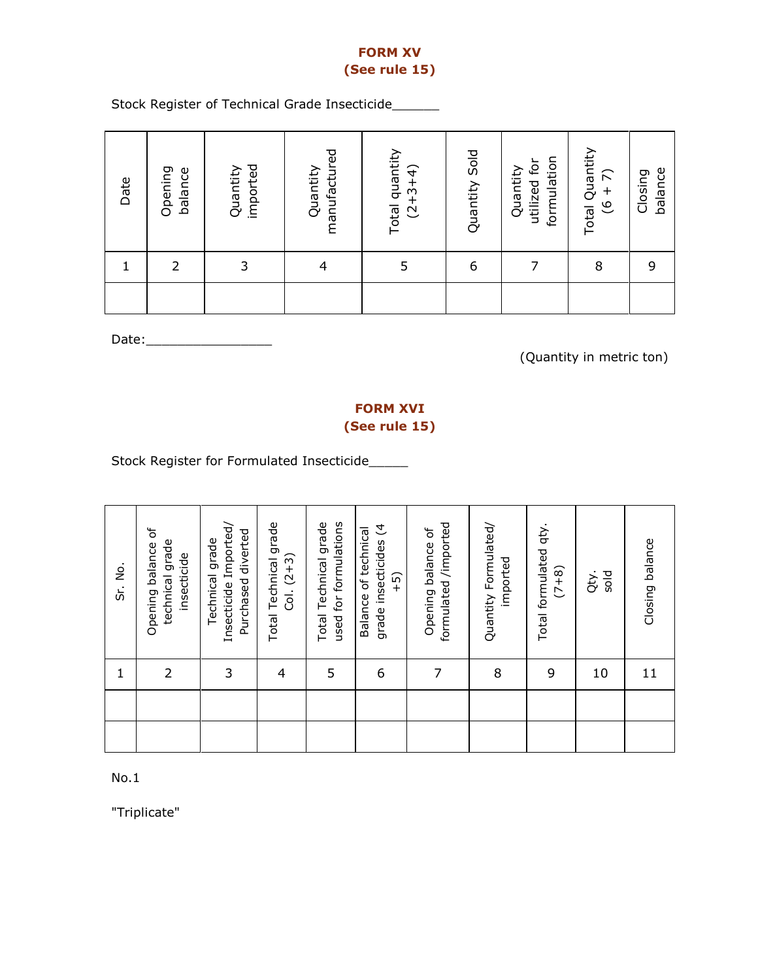# FORM XV (See rule 15)

Stock Register of Technical Grade Insecticide\_\_\_\_\_\_

| Date | Opening<br>balance | imported<br>Quantity | manufactured<br>Quantity | Total quantity<br>$(2+3+4)$ | Quantity Sold | formulation<br>utilized for<br>Quantity | Total Quantity<br>$(6 + 7)$ | balance<br>Closing |
|------|--------------------|----------------------|--------------------------|-----------------------------|---------------|-----------------------------------------|-----------------------------|--------------------|
|      | フ                  | 3                    | 4                        |                             | 6             |                                         | 8                           | 9                  |
|      |                    |                      |                          |                             |               |                                         |                             |                    |

Date:\_\_\_\_\_\_\_\_\_\_\_\_\_\_\_\_

(Quantity in metric ton)

# FORM XVI (See rule 15)

Stock Register for Formulated Insecticide\_\_\_\_\_

| Sr. No.     | Opening balance of<br>technical grade<br>insecticide | Insecticide Imported/<br>Purchased diverted<br>Technical grade | Total Technical grade<br>$Col. (2+3)$ | Total Technical grade<br>used for formulations | grade insecticides (4<br>Balance of technical<br>$\widehat{-}$ | formulated /imported<br>Opening balance of | Quantity Formulated/<br>imported | Total formulated qty.<br>$(7+8)$ | sold<br>Qty. | Closing balance |
|-------------|------------------------------------------------------|----------------------------------------------------------------|---------------------------------------|------------------------------------------------|----------------------------------------------------------------|--------------------------------------------|----------------------------------|----------------------------------|--------------|-----------------|
| $\mathbf 1$ | $\overline{2}$                                       | 3                                                              | 4                                     | 5                                              | 6                                                              | 7                                          | 8                                | 9                                | 10           | 11              |
|             |                                                      |                                                                |                                       |                                                |                                                                |                                            |                                  |                                  |              |                 |
|             |                                                      |                                                                |                                       |                                                |                                                                |                                            |                                  |                                  |              |                 |

No.1

"Triplicate"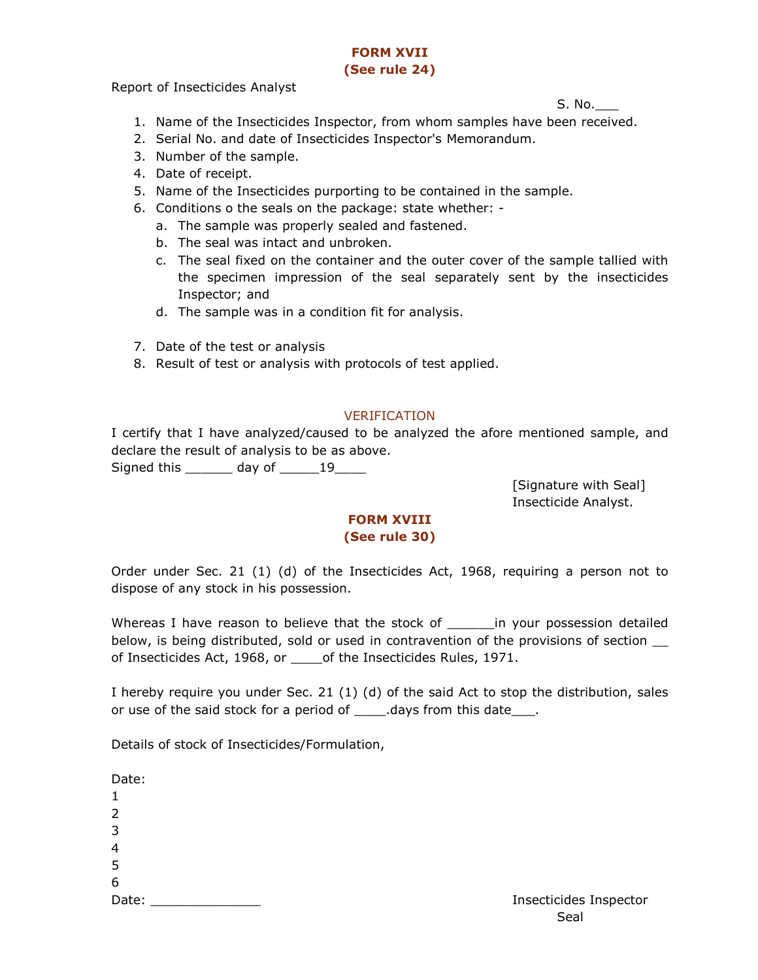#### FORM XVII (See rule 24)

Report of Insecticides Analyst

 $S. No.$  and  $S.$  No.

- 1. Name of the Insecticides Inspector, from whom samples have been received.
- 2. Serial No. and date of Insecticides Inspector's Memorandum.
- 3. Number of the sample.
- 4. Date of receipt.
- 5. Name of the Insecticides purporting to be contained in the sample.
- 6. Conditions o the seals on the package: state whether:
	- a. The sample was properly sealed and fastened.
	- b. The seal was intact and unbroken.
	- c. The seal fixed on the container and the outer cover of the sample tallied with the specimen impression of the seal separately sent by the insecticides Inspector; and
	- d. The sample was in a condition fit for analysis.
- 7. Date of the test or analysis
- 8. Result of test or analysis with protocols of test applied.

## VERIFICATION

I certify that I have analyzed/caused to be analyzed the afore mentioned sample, and declare the result of analysis to be as above.

Signed this \_\_\_\_\_\_\_ day of \_\_\_\_\_\_19\_\_\_\_\_

[Signature with Seal] Insecticide Analyst.

## FORM XVIII (See rule 30)

Order under Sec. 21 (1) (d) of the Insecticides Act, 1968, requiring a person not to dispose of any stock in his possession.

Whereas I have reason to believe that the stock of The vour possession detailed below, is being distributed, sold or used in contravention of the provisions of section \_\_ of Insecticides Act, 1968, or \_\_\_\_\_ of the Insecticides Rules, 1971.

I hereby require you under Sec. 21 (1) (d) of the said Act to stop the distribution, sales or use of the said stock for a period of \_\_\_\_\_\_.days from this date\_\_\_\_.

Details of stock of Insecticides/Formulation,

Date: 1  $\mathcal{L}$ 3 4 5 6 Date: \_\_\_\_\_\_\_\_\_\_\_\_\_\_ Insecticides Inspector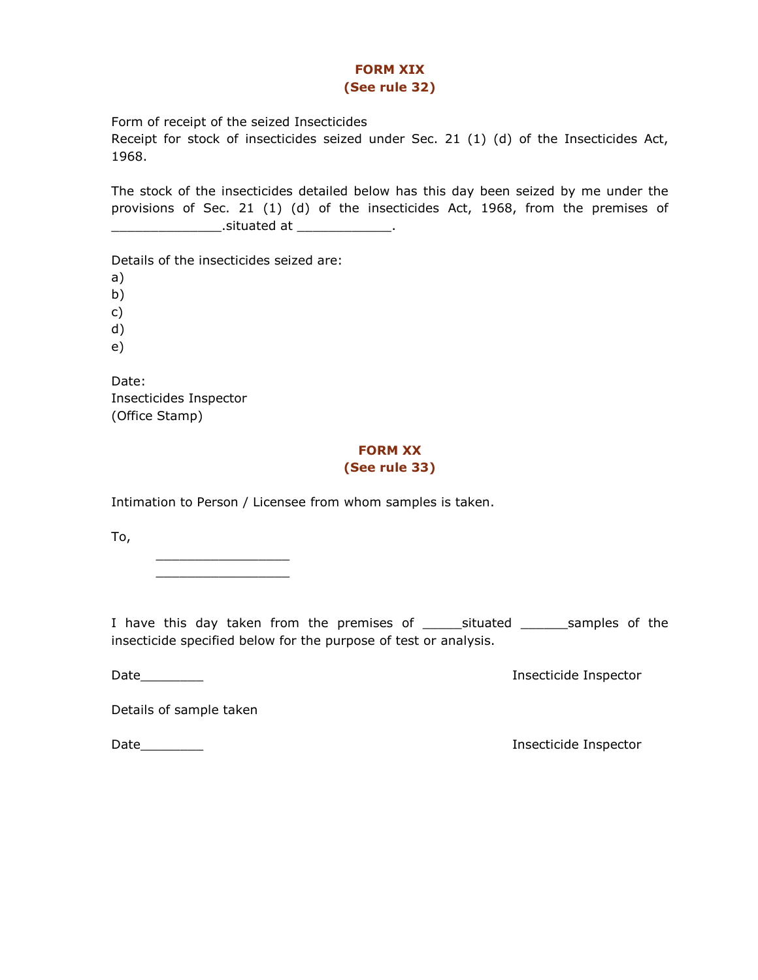#### FORM XIX (See rule 32)

Form of receipt of the seized Insecticides

Receipt for stock of insecticides seized under Sec. 21 (1) (d) of the Insecticides Act, 1968.

The stock of the insecticides detailed below has this day been seized by me under the provisions of Sec. 21 (1) (d) of the insecticides Act, 1968, from the premises of \_\_\_\_\_\_\_\_\_\_\_\_\_\_\_\_\_\_\_\_\_\_\_\_\_.situated at \_\_\_\_\_\_\_\_\_\_\_\_\_\_\_\_\_\_.

Details of the insecticides seized are:

a)

b)

c)

d) e)

Date: Insecticides Inspector (Office Stamp)

# FORM XX

## (See rule 33)

Intimation to Person / Licensee from whom samples is taken.

To,

\_\_\_\_\_\_\_\_\_\_\_\_\_\_\_\_\_ \_\_\_\_\_\_\_\_\_\_\_\_\_\_\_\_\_

I have this day taken from the premises of \_\_\_\_\_situated \_\_\_\_\_\_samples of the insecticide specified below for the purpose of test or analysis.

Date\_\_\_\_\_\_\_\_ Insecticide Inspector

Details of sample taken

Date\_\_\_\_\_\_\_\_ Insecticide Inspector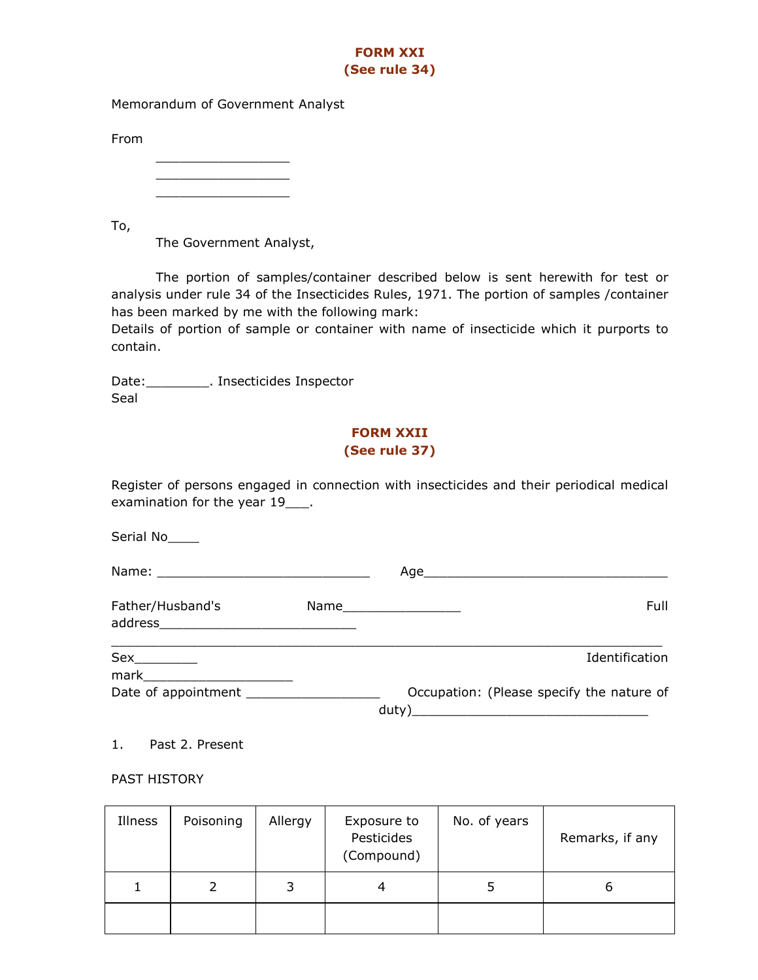# FORM XXI (See rule 34)

Memorandum of Government Analyst

From

\_\_\_\_\_\_\_\_\_\_\_\_\_\_\_\_\_  $\overline{\phantom{a}}$  , and the set of the set of the set of the set of the set of the set of the set of the set of the set of the set of the set of the set of the set of the set of the set of the set of the set of the set of the s \_\_\_\_\_\_\_\_\_\_\_\_\_\_\_\_\_

To,

The Government Analyst,

The portion of samples/container described below is sent herewith for test or analysis under rule 34 of the Insecticides Rules, 1971. The portion of samples /container has been marked by me with the following mark:

Details of portion of sample or container with name of insecticide which it purports to contain.

Date:\_\_\_\_\_\_\_\_\_\_\_. Insecticides Inspector Seal

# FORM XXII (See rule 37)

Register of persons engaged in connection with insecticides and their periodical medical examination for the year 19\_\_\_\_.

Serial No\_\_\_\_

| Father/Husband's    | Full<br>Name____________________                   |
|---------------------|----------------------------------------------------|
| mark                | Identification                                     |
| Date of appointment | Occupation: (Please specify the nature of<br>duty) |

1. Past 2. Present

PAST HISTORY

| Illness | Poisoning | Allergy | Exposure to<br>Pesticides<br>(Compound) | No. of years | Remarks, if any |
|---------|-----------|---------|-----------------------------------------|--------------|-----------------|
| T       |           | 3       | 4                                       |              | O               |
|         |           |         |                                         |              |                 |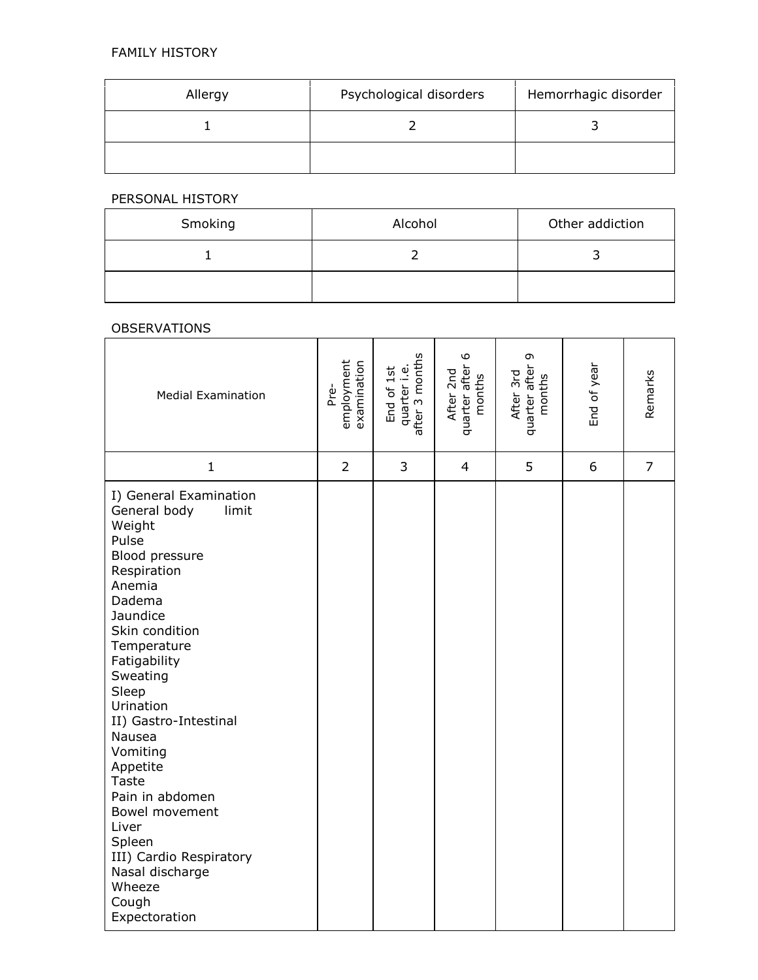| Allergy | Psychological disorders | Hemorrhagic disorder |
|---------|-------------------------|----------------------|
|         |                         |                      |
|         |                         |                      |

# PERSONAL HISTORY

| Smoking | Alcohol | Other addiction |
|---------|---------|-----------------|
|         |         |                 |
|         |         |                 |

#### OBSERVATIONS

| <b>Medial Examination</b>                                                                                                                                                                                                                                                                                                                                                                                                                   | employment<br>examination<br>Pre- | after 3 months<br>quarter i.e.<br>End of 1st | 6<br>quarter after<br>After 2nd<br>months | G<br>quarter after !<br>months<br>After 3rd | End of year | Remarks        |
|---------------------------------------------------------------------------------------------------------------------------------------------------------------------------------------------------------------------------------------------------------------------------------------------------------------------------------------------------------------------------------------------------------------------------------------------|-----------------------------------|----------------------------------------------|-------------------------------------------|---------------------------------------------|-------------|----------------|
| $\mathbf{1}$                                                                                                                                                                                                                                                                                                                                                                                                                                | $\overline{2}$                    | 3                                            | 4                                         | 5                                           | 6           | $\overline{7}$ |
| I) General Examination<br>General body<br>limit<br>Weight<br>Pulse<br>Blood pressure<br>Respiration<br>Anemia<br>Dadema<br>Jaundice<br>Skin condition<br>Temperature<br>Fatigability<br>Sweating<br>Sleep<br>Urination<br>II) Gastro-Intestinal<br>Nausea<br>Vomiting<br>Appetite<br><b>Taste</b><br>Pain in abdomen<br>Bowel movement<br>Liver<br>Spleen<br>III) Cardio Respiratory<br>Nasal discharge<br>Wheeze<br>Cough<br>Expectoration |                                   |                                              |                                           |                                             |             |                |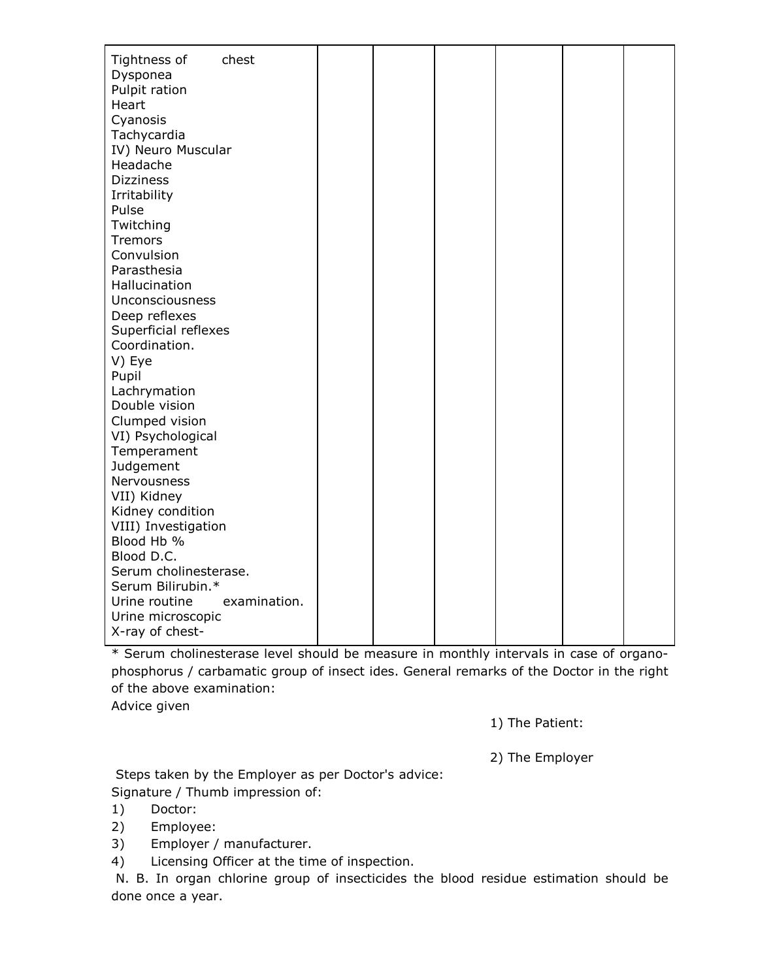| Tightness of<br>chest         |  |  |  |
|-------------------------------|--|--|--|
| Dysponea                      |  |  |  |
| Pulpit ration                 |  |  |  |
| Heart                         |  |  |  |
| Cyanosis                      |  |  |  |
| Tachycardia                   |  |  |  |
| IV) Neuro Muscular            |  |  |  |
| Headache                      |  |  |  |
| <b>Dizziness</b>              |  |  |  |
| Irritability                  |  |  |  |
| Pulse                         |  |  |  |
| Twitching                     |  |  |  |
| <b>Tremors</b>                |  |  |  |
| Convulsion                    |  |  |  |
| Parasthesia                   |  |  |  |
| Hallucination                 |  |  |  |
| Unconsciousness               |  |  |  |
| Deep reflexes                 |  |  |  |
| Superficial reflexes          |  |  |  |
| Coordination.                 |  |  |  |
| V) Eye                        |  |  |  |
| Pupil                         |  |  |  |
| Lachrymation                  |  |  |  |
| Double vision                 |  |  |  |
| Clumped vision                |  |  |  |
| VI) Psychological             |  |  |  |
| Temperament                   |  |  |  |
| Judgement                     |  |  |  |
| Nervousness                   |  |  |  |
| VII) Kidney                   |  |  |  |
| Kidney condition              |  |  |  |
| VIII) Investigation           |  |  |  |
| Blood Hb %                    |  |  |  |
| Blood D.C.                    |  |  |  |
| Serum cholinesterase.         |  |  |  |
| Serum Bilirubin.*             |  |  |  |
| Urine routine<br>examination. |  |  |  |
| Urine microscopic             |  |  |  |
| X-ray of chest-               |  |  |  |

\* Serum cholinesterase level should be measure in monthly intervals in case of organophosphorus / carbamatic group of insect ides. General remarks of the Doctor in the right of the above examination:

Advice given

1) The Patient:

2) The Employer

 Steps taken by the Employer as per Doctor's advice: Signature / Thumb impression of:

1) Doctor:

2) Employee:

3) Employer / manufacturer.

4) Licensing Officer at the time of inspection.

 N. B. In organ chlorine group of insecticides the blood residue estimation should be done once a year.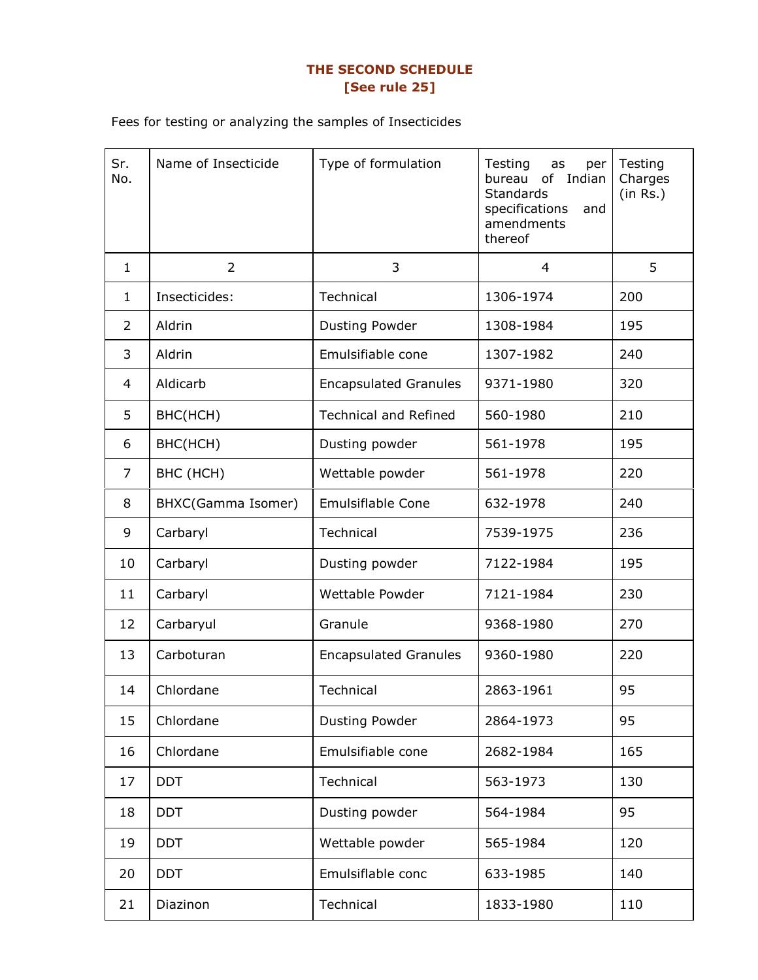# THE SECOND SCHEDULE [See rule 25]

Fees for testing or analyzing the samples of Insecticides

| Sr.<br>No.     | Name of Insecticide | Type of formulation          | Testing<br>as<br>per<br>of Indian<br>bureau<br><b>Standards</b><br>specifications<br>and<br>amendments<br>thereof | Testing<br>Charges<br>(in Rs.) |
|----------------|---------------------|------------------------------|-------------------------------------------------------------------------------------------------------------------|--------------------------------|
| $\mathbf{1}$   | $\overline{2}$      | 3                            | 4                                                                                                                 | 5                              |
| 1              | Insecticides:       | Technical                    | 1306-1974                                                                                                         | 200                            |
| 2              | Aldrin              | Dusting Powder               | 1308-1984                                                                                                         | 195                            |
| 3              | Aldrin              | Emulsifiable cone            | 1307-1982                                                                                                         | 240                            |
| $\overline{4}$ | Aldicarb            | <b>Encapsulated Granules</b> | 9371-1980                                                                                                         | 320                            |
| 5              | BHC(HCH)            | <b>Technical and Refined</b> | 560-1980                                                                                                          | 210                            |
| 6              | BHC(HCH)            | Dusting powder               | 561-1978                                                                                                          | 195                            |
| 7              | BHC (HCH)           | Wettable powder              | 561-1978                                                                                                          | 220                            |
| 8              | BHXC(Gamma Isomer)  | <b>Emulsiflable Cone</b>     | 632-1978                                                                                                          | 240                            |
| 9              | Carbaryl            | Technical                    | 7539-1975                                                                                                         | 236                            |
| 10             | Carbaryl            | Dusting powder               | 7122-1984                                                                                                         | 195                            |
| 11             | Carbaryl            | Wettable Powder              | 7121-1984                                                                                                         | 230                            |
| 12             | Carbaryul           | Granule                      | 9368-1980                                                                                                         | 270                            |
| 13             | Carboturan          | <b>Encapsulated Granules</b> | 9360-1980                                                                                                         | 220                            |
| 14             | Chlordane           | Technical                    | 2863-1961                                                                                                         | 95                             |
| 15             | Chlordane           | Dusting Powder               | 2864-1973                                                                                                         | 95                             |
| 16             | Chlordane           | Emulsifiable cone            | 2682-1984                                                                                                         | 165                            |
| 17             | <b>DDT</b>          | Technical                    | 563-1973                                                                                                          | 130                            |
| 18             | <b>DDT</b>          | Dusting powder               | 564-1984                                                                                                          | 95                             |
| 19             | <b>DDT</b>          | Wettable powder              | 565-1984                                                                                                          | 120                            |
| 20             | <b>DDT</b>          | Emulsiflable conc            | 633-1985                                                                                                          | 140                            |
| 21             | Diazinon            | Technical                    | 1833-1980                                                                                                         | 110                            |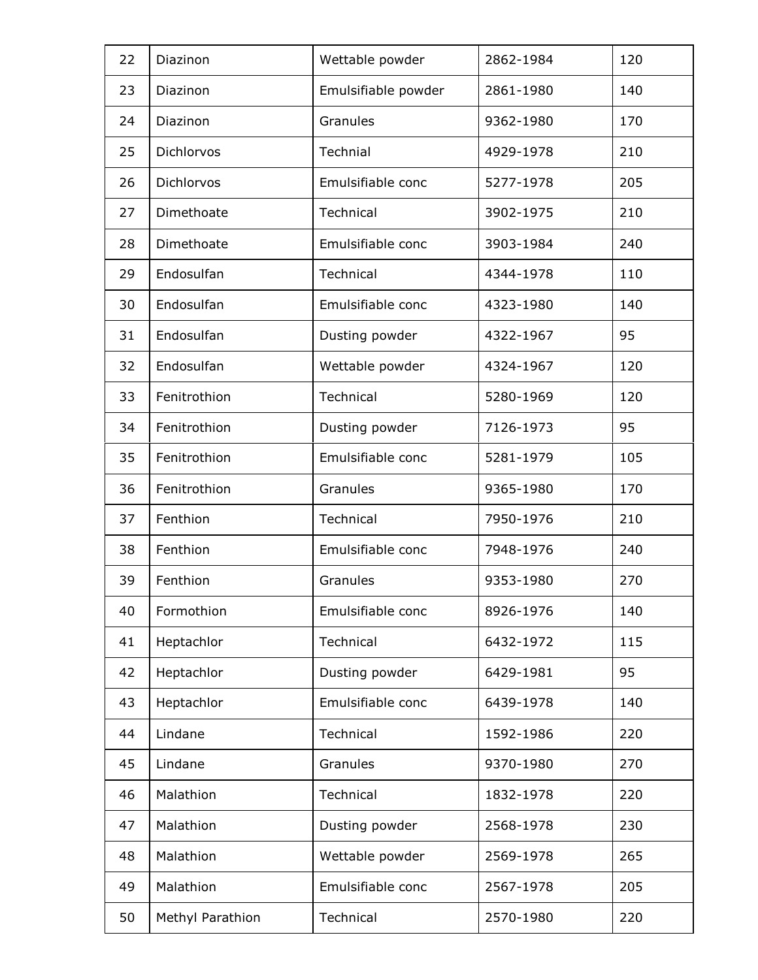| 22 | Diazinon         | Wettable powder     | 2862-1984 | 120 |
|----|------------------|---------------------|-----------|-----|
| 23 | Diazinon         | Emulsifiable powder | 2861-1980 | 140 |
| 24 | Diazinon         | Granules            | 9362-1980 | 170 |
| 25 | Dichlorvos       | Technial            | 4929-1978 | 210 |
| 26 | Dichlorvos       | Emulsifiable conc   | 5277-1978 | 205 |
| 27 | Dimethoate       | Technical           | 3902-1975 | 210 |
| 28 | Dimethoate       | Emulsifiable conc   | 3903-1984 | 240 |
| 29 | Endosulfan       | Technical           | 4344-1978 | 110 |
| 30 | Endosulfan       | Emulsifiable conc   | 4323-1980 | 140 |
| 31 | Endosulfan       | Dusting powder      | 4322-1967 | 95  |
| 32 | Endosulfan       | Wettable powder     | 4324-1967 | 120 |
| 33 | Fenitrothion     | Technical           | 5280-1969 | 120 |
| 34 | Fenitrothion     | Dusting powder      | 7126-1973 | 95  |
| 35 | Fenitrothion     | Emulsifiable conc   | 5281-1979 | 105 |
| 36 | Fenitrothion     | Granules            | 9365-1980 | 170 |
| 37 | Fenthion         | Technical           | 7950-1976 | 210 |
| 38 | Fenthion         | Emulsifiable conc   | 7948-1976 | 240 |
| 39 | Fenthion         | Granules            | 9353-1980 | 270 |
| 40 | Formothion       | Emulsifiable conc   | 8926-1976 | 140 |
| 41 | Heptachlor       | Technical           | 6432-1972 | 115 |
| 42 | Heptachlor       | Dusting powder      | 6429-1981 | 95  |
| 43 | Heptachlor       | Emulsifiable conc   | 6439-1978 | 140 |
| 44 | Lindane          | Technical           | 1592-1986 | 220 |
| 45 | Lindane          | Granules            | 9370-1980 | 270 |
| 46 | Malathion        | Technical           | 1832-1978 | 220 |
| 47 | Malathion        | Dusting powder      | 2568-1978 | 230 |
| 48 | Malathion        | Wettable powder     | 2569-1978 | 265 |
| 49 | Malathion        | Emulsifiable conc   | 2567-1978 | 205 |
| 50 | Methyl Parathion | Technical           | 2570-1980 | 220 |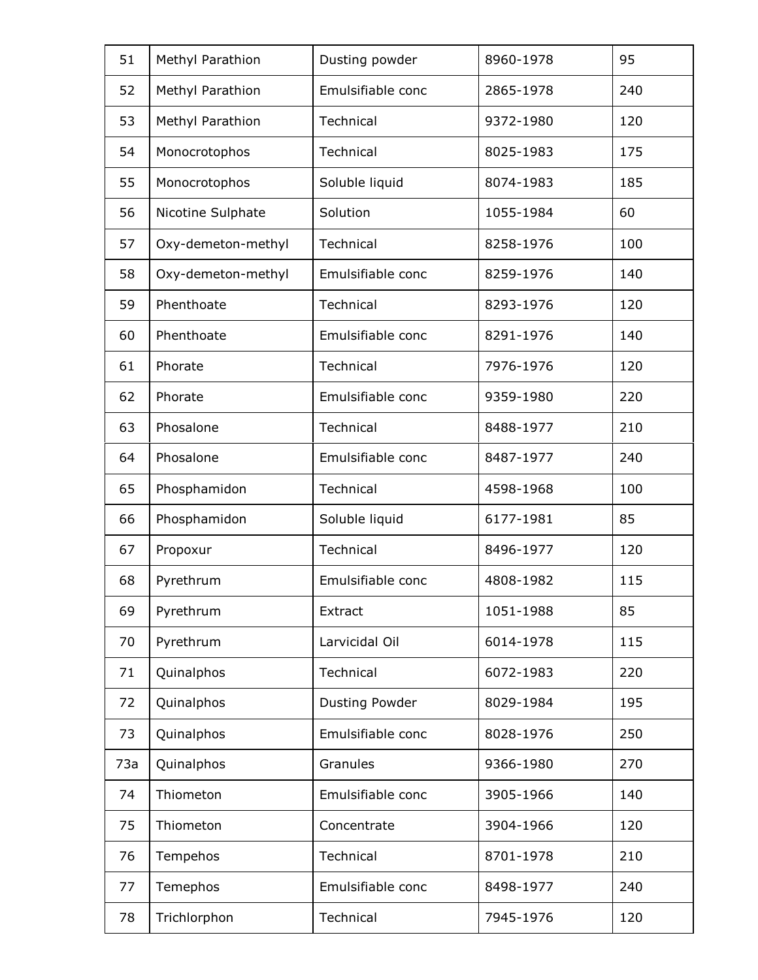| 51  | Methyl Parathion   | Dusting powder    | 8960-1978 | 95  |
|-----|--------------------|-------------------|-----------|-----|
| 52  | Methyl Parathion   | Emulsifiable conc | 2865-1978 | 240 |
| 53  | Methyl Parathion   | Technical         | 9372-1980 | 120 |
| 54  | Monocrotophos      | Technical         | 8025-1983 | 175 |
| 55  | Monocrotophos      | Soluble liquid    | 8074-1983 | 185 |
| 56  | Nicotine Sulphate  | Solution          | 1055-1984 | 60  |
| 57  | Oxy-demeton-methyl | Technical         | 8258-1976 | 100 |
| 58  | Oxy-demeton-methyl | Emulsifiable conc | 8259-1976 | 140 |
| 59  | Phenthoate         | Technical         | 8293-1976 | 120 |
| 60  | Phenthoate         | Emulsifiable conc | 8291-1976 | 140 |
| 61  | Phorate            | Technical         | 7976-1976 | 120 |
| 62  | Phorate            | Emulsifiable conc | 9359-1980 | 220 |
| 63  | Phosalone          | Technical         | 8488-1977 | 210 |
| 64  | Phosalone          | Emulsifiable conc | 8487-1977 | 240 |
| 65  | Phosphamidon       | Technical         | 4598-1968 | 100 |
| 66  | Phosphamidon       | Soluble liquid    | 6177-1981 | 85  |
| 67  | Propoxur           | Technical         | 8496-1977 | 120 |
| 68  | Pyrethrum          | Emulsifiable conc | 4808-1982 | 115 |
| 69  | Pyrethrum          | Extract           | 1051-1988 | 85  |
| 70  | Pyrethrum          | Larvicidal Oil    | 6014-1978 | 115 |
| 71  | Quinalphos         | Technical         | 6072-1983 | 220 |
| 72  | Quinalphos         | Dusting Powder    | 8029-1984 | 195 |
| 73  | Quinalphos         | Emulsifiable conc | 8028-1976 | 250 |
| 73a | Quinalphos         | Granules          | 9366-1980 | 270 |
| 74  | Thiometon          | Emulsifiable conc | 3905-1966 | 140 |
| 75  | Thiometon          | Concentrate       | 3904-1966 | 120 |
| 76  | Tempehos           | Technical         | 8701-1978 | 210 |
| 77  | Temephos           | Emulsifiable conc | 8498-1977 | 240 |
| 78  | Trichlorphon       | Technical         | 7945-1976 | 120 |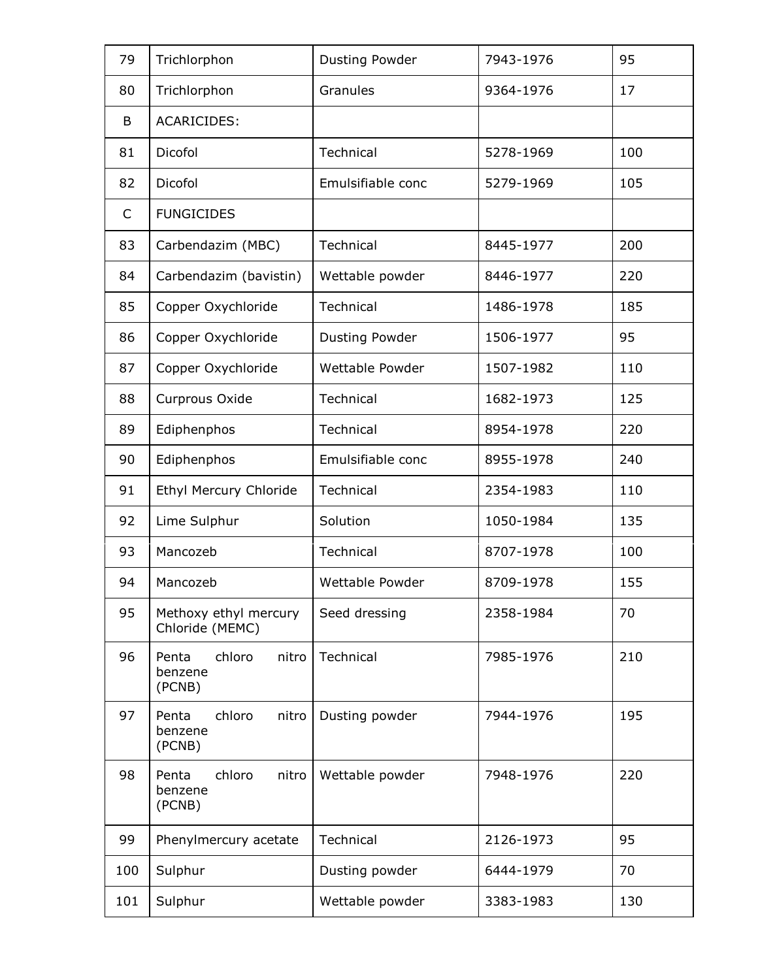| 79           | Trichlorphon                                  | Dusting Powder    | 7943-1976 | 95  |
|--------------|-----------------------------------------------|-------------------|-----------|-----|
| 80           | Trichlorphon                                  | Granules          | 9364-1976 | 17  |
| B            | <b>ACARICIDES:</b>                            |                   |           |     |
| 81           | Dicofol                                       | Technical         | 5278-1969 | 100 |
| 82           | Dicofol                                       | Emulsifiable conc | 5279-1969 | 105 |
| $\mathsf{C}$ | <b>FUNGICIDES</b>                             |                   |           |     |
| 83           | Carbendazim (MBC)                             | Technical         | 8445-1977 | 200 |
| 84           | Carbendazim (bavistin)                        | Wettable powder   | 8446-1977 | 220 |
| 85           | Copper Oxychloride                            | Technical         | 1486-1978 | 185 |
| 86           | Copper Oxychloride                            | Dusting Powder    | 1506-1977 | 95  |
| 87           | Copper Oxychloride                            | Wettable Powder   | 1507-1982 | 110 |
| 88           | Curprous Oxide                                | Technical         | 1682-1973 | 125 |
| 89           | Ediphenphos                                   | Technical         | 8954-1978 | 220 |
| 90           | Ediphenphos                                   | Emulsifiable conc | 8955-1978 | 240 |
| 91           | Ethyl Mercury Chloride                        | Technical         | 2354-1983 | 110 |
| 92           | Lime Sulphur                                  | Solution          | 1050-1984 | 135 |
| 93           | Mancozeb                                      | Technical         | 8707-1978 | 100 |
| 94           | Mancozeb                                      | Wettable Powder   | 8709-1978 | 155 |
| 95           | Methoxy ethyl mercury<br>Chloride (MEMC)      | Seed dressing     | 2358-1984 | 70  |
| 96           | chloro<br>Penta<br>nitro<br>benzene<br>(PCNB) | Technical         | 7985-1976 | 210 |
| 97           | chloro<br>Penta<br>nitro<br>benzene<br>(PCNB) | Dusting powder    | 7944-1976 | 195 |
| 98           | chloro<br>nitro<br>Penta<br>benzene<br>(PCNB) | Wettable powder   | 7948-1976 | 220 |
| 99           | Phenylmercury acetate                         | Technical         | 2126-1973 | 95  |
| 100          | Sulphur                                       | Dusting powder    | 6444-1979 | 70  |
| 101          | Sulphur                                       | Wettable powder   | 3383-1983 | 130 |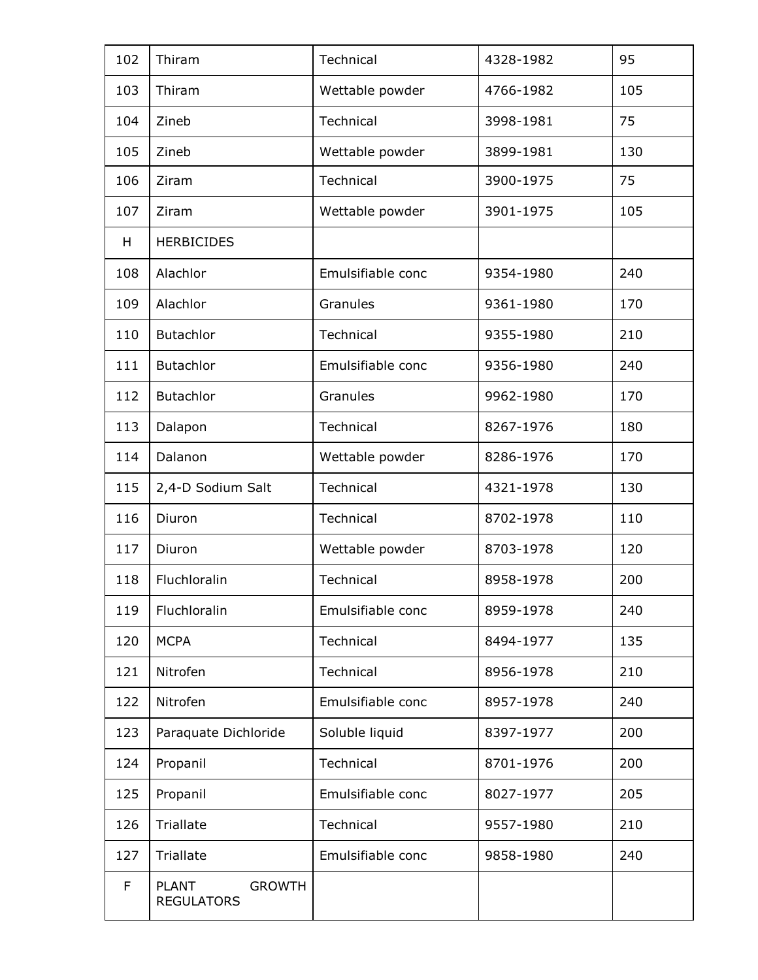| 102 | Thiram                                             | Technical         | 4328-1982 | 95  |
|-----|----------------------------------------------------|-------------------|-----------|-----|
| 103 | Thiram                                             | Wettable powder   | 4766-1982 | 105 |
| 104 | Zineb                                              | Technical         | 3998-1981 | 75  |
| 105 | Zineb                                              | Wettable powder   | 3899-1981 | 130 |
| 106 | Ziram                                              | Technical         | 3900-1975 | 75  |
| 107 | Ziram                                              | Wettable powder   | 3901-1975 | 105 |
| H   | <b>HERBICIDES</b>                                  |                   |           |     |
| 108 | Alachlor                                           | Emulsifiable conc | 9354-1980 | 240 |
| 109 | Alachlor                                           | Granules          | 9361-1980 | 170 |
| 110 | <b>Butachlor</b>                                   | Technical         | 9355-1980 | 210 |
| 111 | Butachlor                                          | Emulsifiable conc | 9356-1980 | 240 |
| 112 | <b>Butachlor</b>                                   | Granules          | 9962-1980 | 170 |
| 113 | Dalapon                                            | Technical         | 8267-1976 | 180 |
| 114 | Dalanon                                            | Wettable powder   | 8286-1976 | 170 |
| 115 | 2,4-D Sodium Salt                                  | Technical         | 4321-1978 | 130 |
| 116 | Diuron                                             | Technical         | 8702-1978 | 110 |
| 117 | Diuron                                             | Wettable powder   | 8703-1978 | 120 |
| 118 | Fluchloralin                                       | Technical         | 8958-1978 | 200 |
| 119 | Fluchloralin                                       | Emulsifiable conc | 8959-1978 | 240 |
| 120 | <b>MCPA</b>                                        | Technical         | 8494-1977 | 135 |
| 121 | Nitrofen                                           | Technical         | 8956-1978 | 210 |
| 122 | Nitrofen                                           | Emulsifiable conc | 8957-1978 | 240 |
| 123 | Paraquate Dichloride                               | Soluble liquid    | 8397-1977 | 200 |
| 124 | Propanil                                           | Technical         | 8701-1976 | 200 |
| 125 | Propanil                                           | Emulsifiable conc | 8027-1977 | 205 |
| 126 | Triallate                                          | Technical         | 9557-1980 | 210 |
| 127 | Triallate                                          | Emulsifiable conc | 9858-1980 | 240 |
| F   | <b>PLANT</b><br><b>GROWTH</b><br><b>REGULATORS</b> |                   |           |     |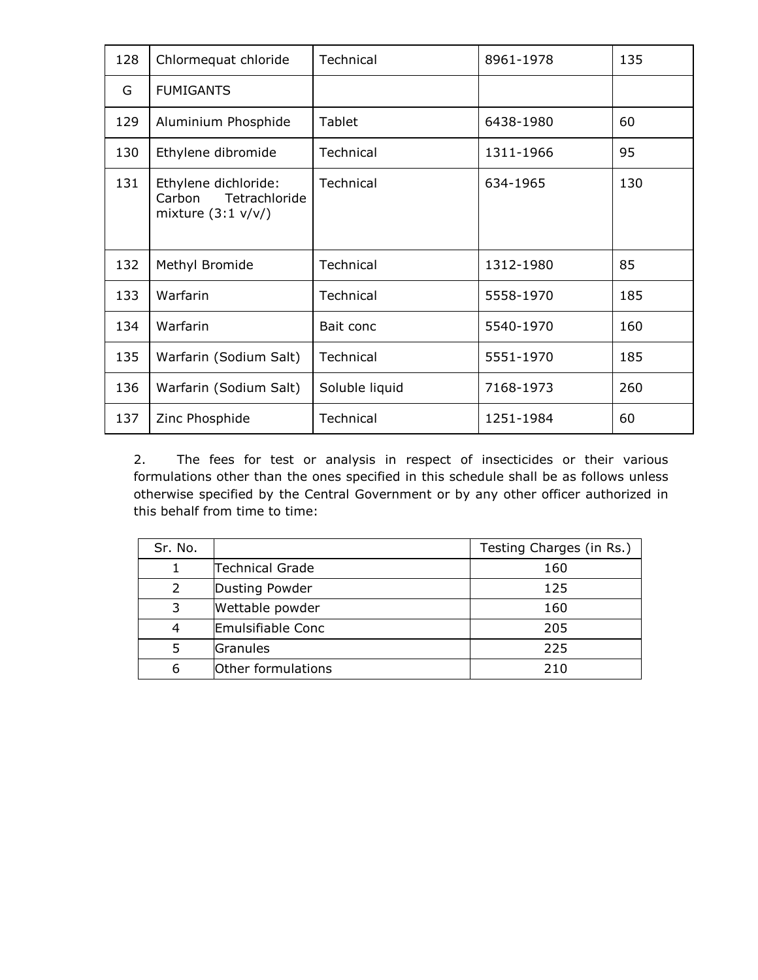| 128 | Chlormequat chloride                                                   | Technical      | 8961-1978 | 135 |
|-----|------------------------------------------------------------------------|----------------|-----------|-----|
| G   | <b>FUMIGANTS</b>                                                       |                |           |     |
| 129 | Aluminium Phosphide                                                    | Tablet         | 6438-1980 | 60  |
| 130 | Ethylene dibromide                                                     | Technical      | 1311-1966 | 95  |
| 131 | Ethylene dichloride:<br>Tetrachloride<br>Carbon<br>mixture $(3:1 v/v)$ | Technical      | 634-1965  | 130 |
| 132 | Methyl Bromide                                                         | Technical      | 1312-1980 | 85  |
| 133 | Warfarin                                                               | Technical      | 5558-1970 | 185 |
| 134 | Warfarin                                                               | Bait conc      | 5540-1970 | 160 |
| 135 | Warfarin (Sodium Salt)                                                 | Technical      | 5551-1970 | 185 |
| 136 | Warfarin (Sodium Salt)                                                 | Soluble liquid | 7168-1973 | 260 |
| 137 | Zinc Phosphide                                                         | Technical      | 1251-1984 | 60  |

2. The fees for test or analysis in respect of insecticides or their various formulations other than the ones specified in this schedule shall be as follows unless otherwise specified by the Central Government or by any other officer authorized in this behalf from time to time:

| Sr. No.       |                    | Testing Charges (in Rs.) |
|---------------|--------------------|--------------------------|
|               | Technical Grade    | 160                      |
| $\mathcal{L}$ | Dusting Powder     | 125                      |
| 3             | Wettable powder    | 160                      |
|               | Emulsifiable Conc  | 205                      |
|               | Granules           | 225                      |
| 6             | Other formulations | 210                      |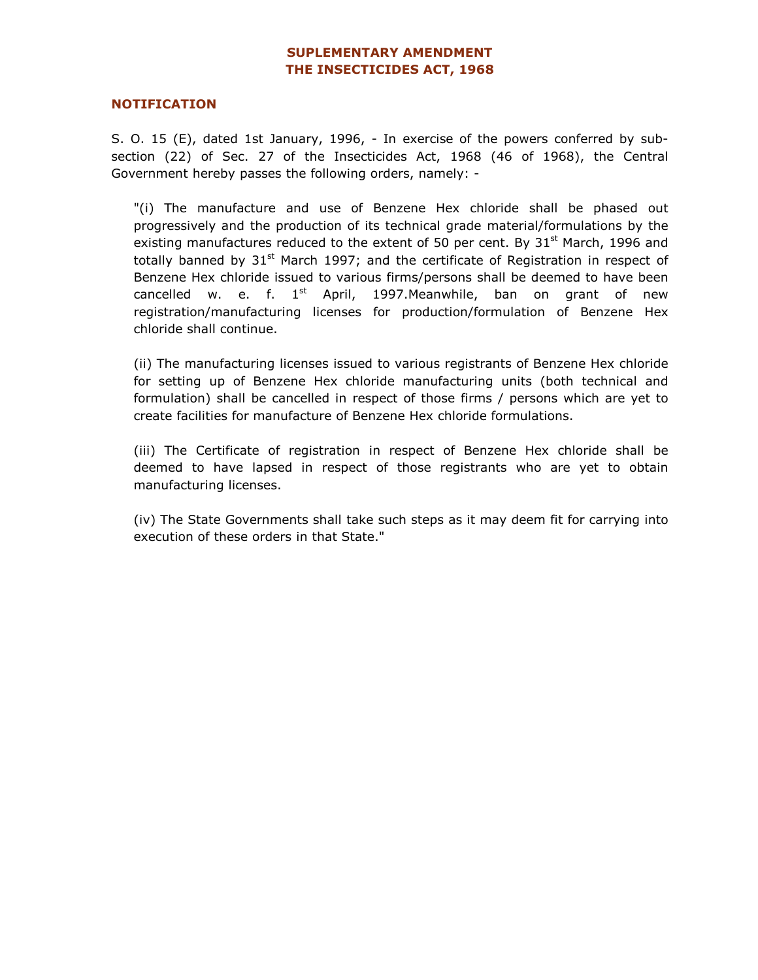## SUPLEMENTARY AMENDMENT THE INSECTICIDES ACT, 1968

#### NOTIFICATION

S. O. 15 (E), dated 1st January, 1996, - In exercise of the powers conferred by subsection (22) of Sec. 27 of the Insecticides Act, 1968 (46 of 1968), the Central Government hereby passes the following orders, namely: -

"(i) The manufacture and use of Benzene Hex chloride shall be phased out progressively and the production of its technical grade material/formulations by the existing manufactures reduced to the extent of 50 per cent. By  $31^{st}$  March, 1996 and totally banned by  $31<sup>st</sup>$  March 1997; and the certificate of Registration in respect of Benzene Hex chloride issued to various firms/persons shall be deemed to have been cancelled w. e. f.  $1<sup>st</sup>$  April, 1997. Meanwhile, ban on grant of new registration/manufacturing licenses for production/formulation of Benzene Hex chloride shall continue.

 (ii) The manufacturing licenses issued to various registrants of Benzene Hex chloride for setting up of Benzene Hex chloride manufacturing units (both technical and formulation) shall be cancelled in respect of those firms / persons which are yet to create facilities for manufacture of Benzene Hex chloride formulations.

(iii) The Certificate of registration in respect of Benzene Hex chloride shall be deemed to have lapsed in respect of those registrants who are yet to obtain manufacturing licenses.

(iv) The State Governments shall take such steps as it may deem fit for carrying into execution of these orders in that State."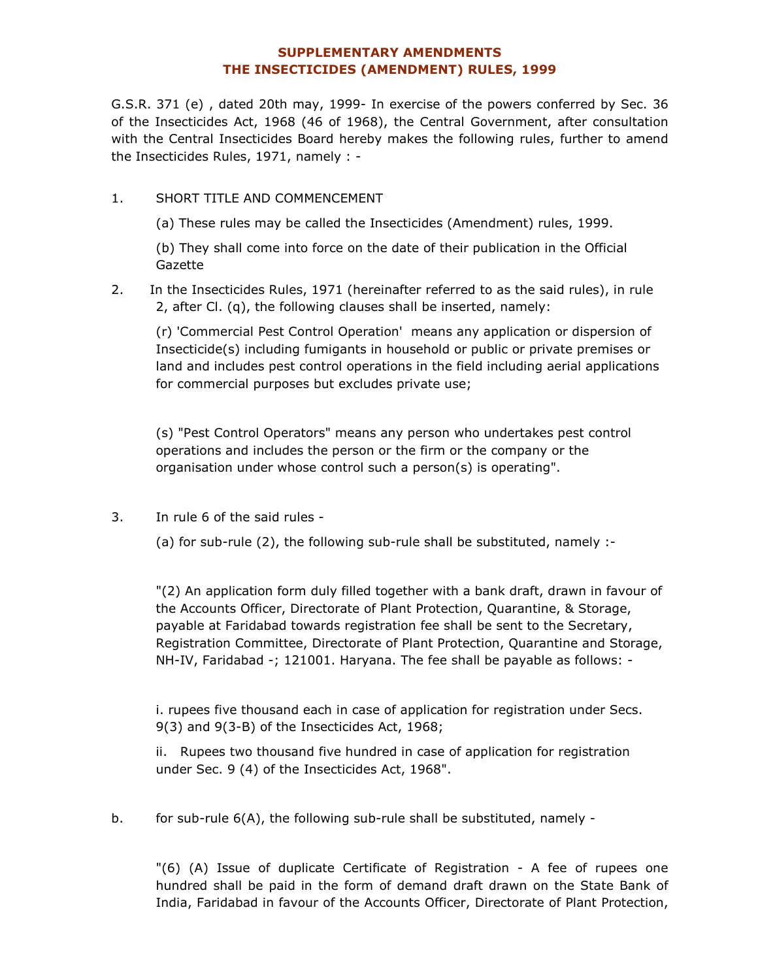## SUPPLEMENTARY AMENDMENTS THE INSECTICIDES (AMENDMENT) RULES, 1999

G.S.R. 371 (e) , dated 20th may, 1999- In exercise of the powers conferred by Sec. 36 of the Insecticides Act, 1968 (46 of 1968), the Central Government, after consultation with the Central Insecticides Board hereby makes the following rules, further to amend the Insecticides Rules, 1971, namely : -

1. SHORT TITLE AND COMMENCEMENT

(a) These rules may be called the Insecticides (Amendment) rules, 1999.

(b) They shall come into force on the date of their publication in the Official Gazette

2. In the Insecticides Rules, 1971 (hereinafter referred to as the said rules), in rule 2, after Cl. (q), the following clauses shall be inserted, namely:

(r) 'Commercial Pest Control Operation' means any application or dispersion of Insecticide(s) including fumigants in household or public or private premises or land and includes pest control operations in the field including aerial applications for commercial purposes but excludes private use;

(s) "Pest Control Operators" means any person who undertakes pest control operations and includes the person or the firm or the company or the organisation under whose control such a person(s) is operating".

3. In rule 6 of the said rules -

(a) for sub-rule (2), the following sub-rule shall be substituted, namely :-

"(2) An application form duly filled together with a bank draft, drawn in favour of the Accounts Officer, Directorate of Plant Protection, Quarantine, & Storage, payable at Faridabad towards registration fee shall be sent to the Secretary, Registration Committee, Directorate of Plant Protection, Quarantine and Storage, NH-IV, Faridabad -; 121001. Haryana. The fee shall be payable as follows: -

i. rupees five thousand each in case of application for registration under Secs. 9(3) and 9(3-B) of the Insecticides Act, 1968;

ii. Rupees two thousand five hundred in case of application for registration under Sec. 9 (4) of the Insecticides Act, 1968".

b. for sub-rule 6(A), the following sub-rule shall be substituted, namely -

"(6) (A) Issue of duplicate Certificate of Registration - A fee of rupees one hundred shall be paid in the form of demand draft drawn on the State Bank of India, Faridabad in favour of the Accounts Officer, Directorate of Plant Protection,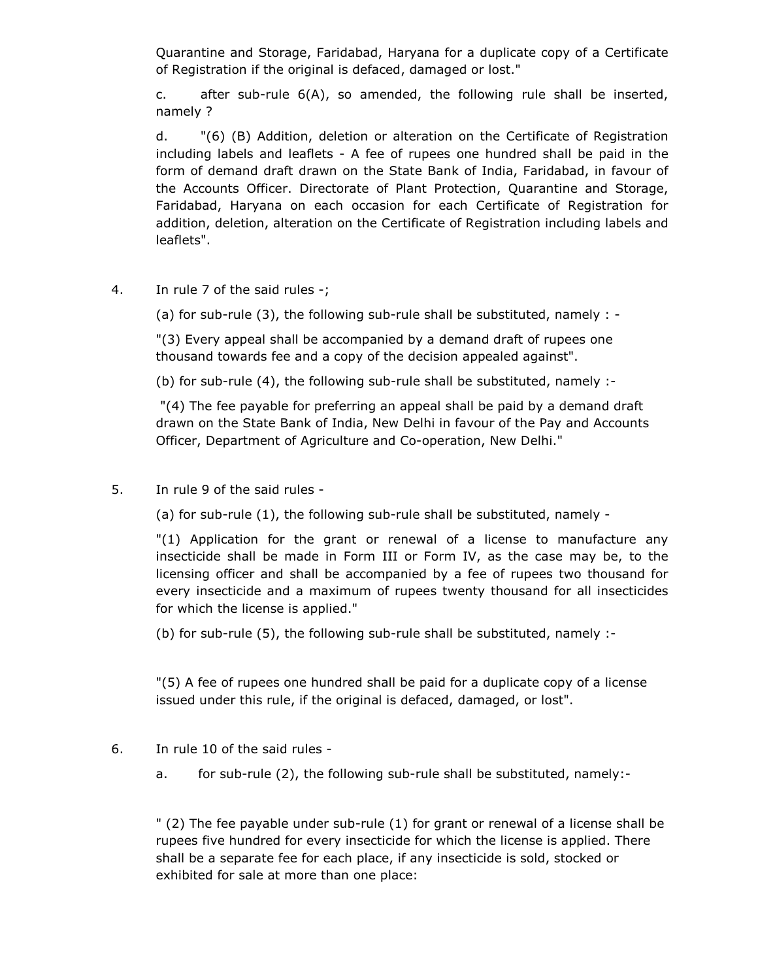Quarantine and Storage, Faridabad, Haryana for a duplicate copy of a Certificate of Registration if the original is defaced, damaged or lost."

c. after sub-rule 6(A), so amended, the following rule shall be inserted, namely ?

d. "(6) (B) Addition, deletion or alteration on the Certificate of Registration including labels and leaflets - A fee of rupees one hundred shall be paid in the form of demand draft drawn on the State Bank of India, Faridabad, in favour of the Accounts Officer. Directorate of Plant Protection, Quarantine and Storage, Faridabad, Haryana on each occasion for each Certificate of Registration for addition, deletion, alteration on the Certificate of Registration including labels and leaflets".

4. In rule 7 of the said rules -;

(a) for sub-rule (3), the following sub-rule shall be substituted, namely : -

"(3) Every appeal shall be accompanied by a demand draft of rupees one thousand towards fee and a copy of the decision appealed against".

(b) for sub-rule (4), the following sub-rule shall be substituted, namely :-

 "(4) The fee payable for preferring an appeal shall be paid by a demand draft drawn on the State Bank of India, New Delhi in favour of the Pay and Accounts Officer, Department of Agriculture and Co-operation, New Delhi."

5. In rule 9 of the said rules -

(a) for sub-rule (1), the following sub-rule shall be substituted, namely -

"(1) Application for the grant or renewal of a license to manufacture any insecticide shall be made in Form III or Form IV, as the case may be, to the licensing officer and shall be accompanied by a fee of rupees two thousand for every insecticide and a maximum of rupees twenty thousand for all insecticides for which the license is applied."

(b) for sub-rule (5), the following sub-rule shall be substituted, namely :-

"(5) A fee of rupees one hundred shall be paid for a duplicate copy of a license issued under this rule, if the original is defaced, damaged, or lost".

- 6. In rule 10 of the said rules
	- a. for sub-rule (2), the following sub-rule shall be substituted, namely:-

" (2) The fee payable under sub-rule (1) for grant or renewal of a license shall be rupees five hundred for every insecticide for which the license is applied. There shall be a separate fee for each place, if any insecticide is sold, stocked or exhibited for sale at more than one place: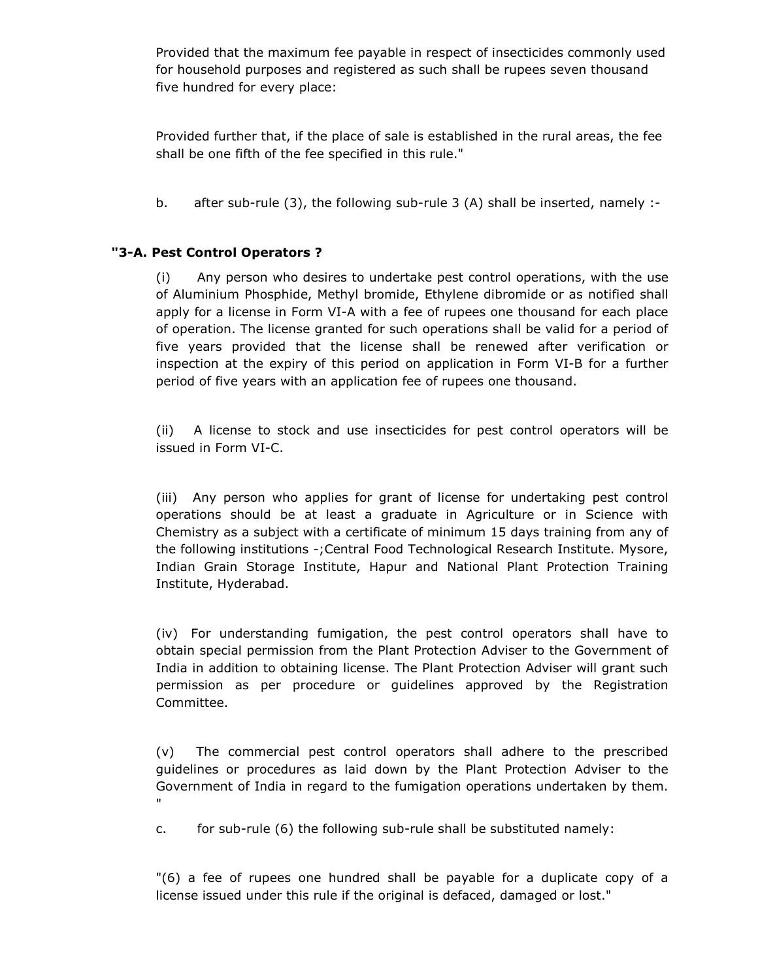Provided that the maximum fee payable in respect of insecticides commonly used for household purposes and registered as such shall be rupees seven thousand five hundred for every place:

Provided further that, if the place of sale is established in the rural areas, the fee shall be one fifth of the fee specified in this rule."

b. after sub-rule (3), the following sub-rule 3 (A) shall be inserted, namely :-

## "3-A. Pest Control Operators ?

(i) Any person who desires to undertake pest control operations, with the use of Aluminium Phosphide, Methyl bromide, Ethylene dibromide or as notified shall apply for a license in Form VI-A with a fee of rupees one thousand for each place of operation. The license granted for such operations shall be valid for a period of five years provided that the license shall be renewed after verification or inspection at the expiry of this period on application in Form VI-B for a further period of five years with an application fee of rupees one thousand.

(ii) A license to stock and use insecticides for pest control operators will be issued in Form VI-C.

(iii) Any person who applies for grant of license for undertaking pest control operations should be at least a graduate in Agriculture or in Science with Chemistry as a subject with a certificate of minimum 15 days training from any of the following institutions -;Central Food Technological Research Institute. Mysore, Indian Grain Storage Institute, Hapur and National Plant Protection Training Institute, Hyderabad.

(iv) For understanding fumigation, the pest control operators shall have to obtain special permission from the Plant Protection Adviser to the Government of India in addition to obtaining license. The Plant Protection Adviser will grant such permission as per procedure or guidelines approved by the Registration Committee.

(v) The commercial pest control operators shall adhere to the prescribed guidelines or procedures as laid down by the Plant Protection Adviser to the Government of India in regard to the fumigation operations undertaken by them. "

c. for sub-rule (6) the following sub-rule shall be substituted namely:

"(6) a fee of rupees one hundred shall be payable for a duplicate copy of a license issued under this rule if the original is defaced, damaged or lost."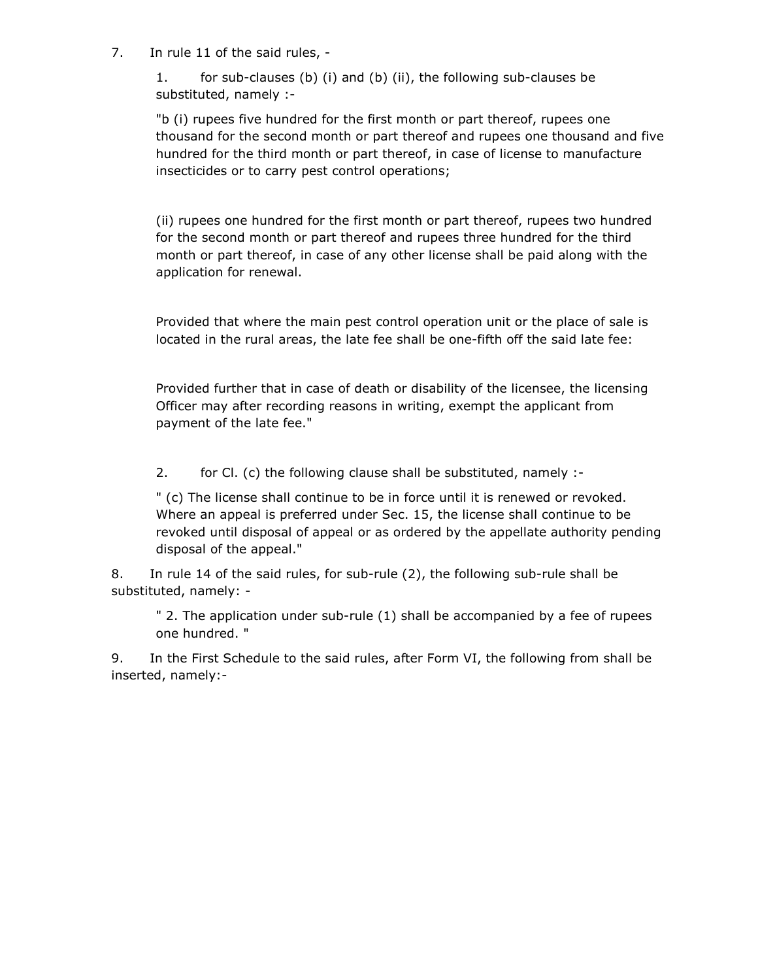7. In rule 11 of the said rules, -

1. for sub-clauses (b) (i) and (b) (ii), the following sub-clauses be substituted, namely :-

"b (i) rupees five hundred for the first month or part thereof, rupees one thousand for the second month or part thereof and rupees one thousand and five hundred for the third month or part thereof, in case of license to manufacture insecticides or to carry pest control operations;

(ii) rupees one hundred for the first month or part thereof, rupees two hundred for the second month or part thereof and rupees three hundred for the third month or part thereof, in case of any other license shall be paid along with the application for renewal.

Provided that where the main pest control operation unit or the place of sale is located in the rural areas, the late fee shall be one-fifth off the said late fee:

Provided further that in case of death or disability of the licensee, the licensing Officer may after recording reasons in writing, exempt the applicant from payment of the late fee."

2. for Cl. (c) the following clause shall be substituted, namely :-

" (c) The license shall continue to be in force until it is renewed or revoked. Where an appeal is preferred under Sec. 15, the license shall continue to be revoked until disposal of appeal or as ordered by the appellate authority pending disposal of the appeal."

8. In rule 14 of the said rules, for sub-rule (2), the following sub-rule shall be substituted, namely: -

" 2. The application under sub-rule (1) shall be accompanied by a fee of rupees one hundred. "

9. In the First Schedule to the said rules, after Form VI, the following from shall be inserted, namely:-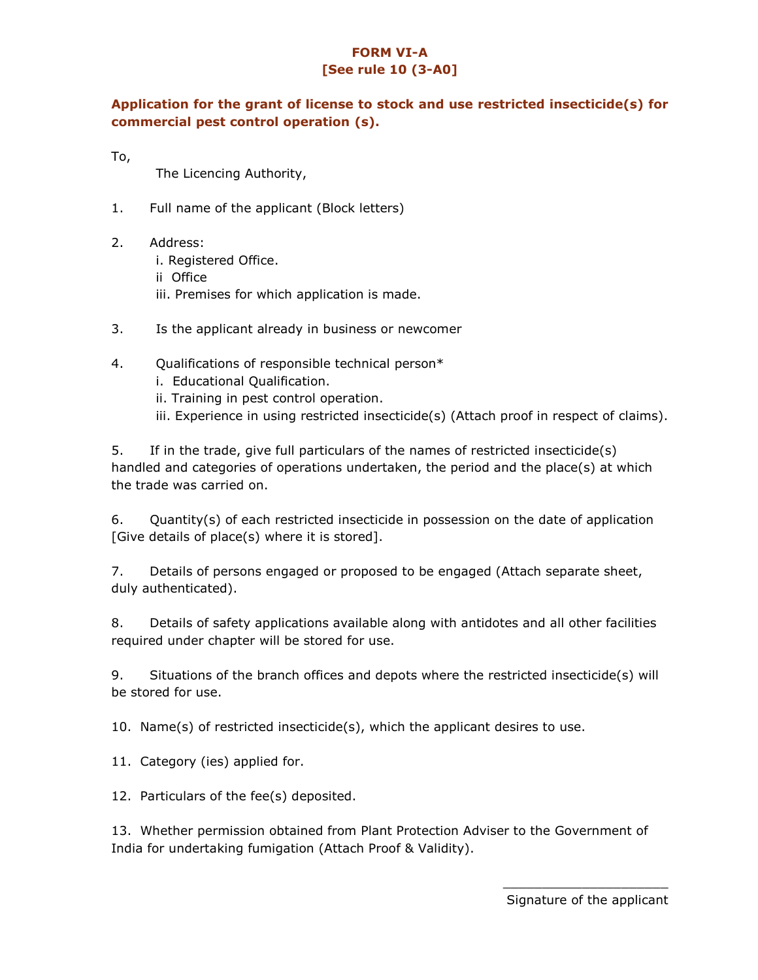# FORM VI-A [See rule 10 (3-A0]

# Application for the grant of license to stock and use restricted insecticide(s) for commercial pest control operation (s).

To,

The Licencing Authority,

- 1. Full name of the applicant (Block letters)
- 2. Address:
	- i. Registered Office.
	- ii Office
	- iii. Premises for which application is made.
- 3. Is the applicant already in business or newcomer
- 4. Qualifications of responsible technical person\*
	- i. Educational Qualification.
	- ii. Training in pest control operation.
	- iii. Experience in using restricted insecticide(s) (Attach proof in respect of claims).

5. If in the trade, give full particulars of the names of restricted insecticide(s) handled and categories of operations undertaken, the period and the place(s) at which the trade was carried on.

6. Quantity(s) of each restricted insecticide in possession on the date of application [Give details of place(s) where it is stored].

7. Details of persons engaged or proposed to be engaged (Attach separate sheet, duly authenticated).

8. Details of safety applications available along with antidotes and all other facilities required under chapter will be stored for use.

9. Situations of the branch offices and depots where the restricted insecticide(s) will be stored for use.

10. Name(s) of restricted insecticide(s), which the applicant desires to use.

11. Category (ies) applied for.

12. Particulars of the fee(s) deposited.

13. Whether permission obtained from Plant Protection Adviser to the Government of India for undertaking fumigation (Attach Proof & Validity).

> \_\_\_\_\_\_\_\_\_\_\_\_\_\_\_\_\_\_\_\_\_ Signature of the applicant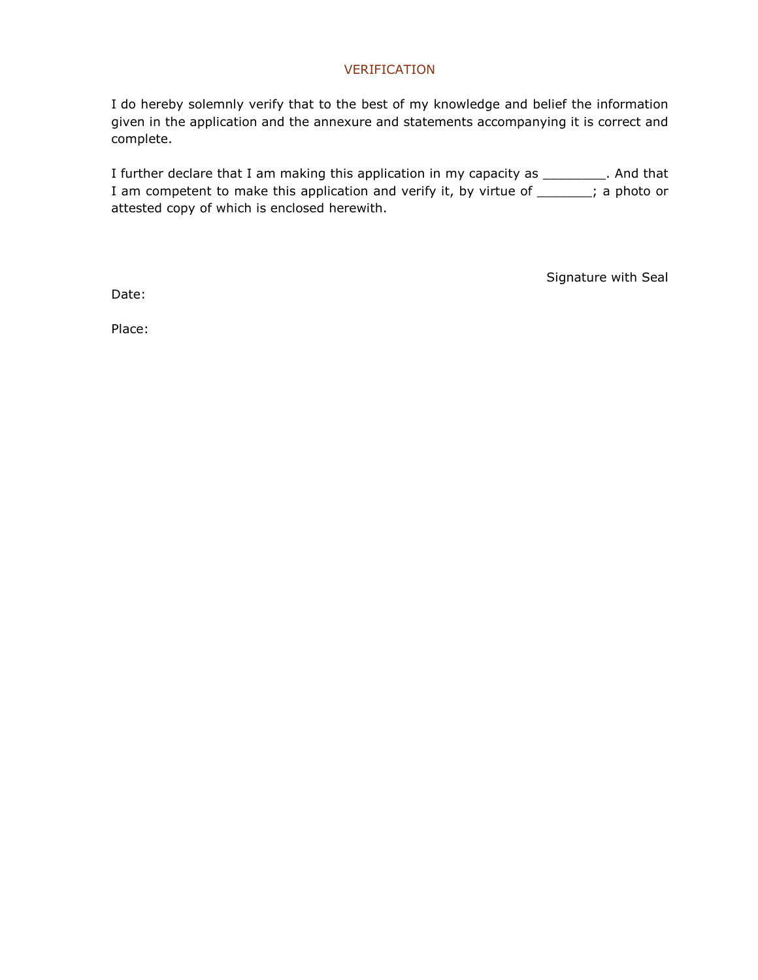#### VERIFICATION

I do hereby solemnly verify that to the best of my knowledge and belief the information given in the application and the annexure and statements accompanying it is correct and complete.

I further declare that I am making this application in my capacity as \_\_\_\_\_\_\_\_\_. And that I am competent to make this application and verify it, by virtue of \_\_\_\_\_\_; a photo or attested copy of which is enclosed herewith.

Signature with Seal

Date:

Place: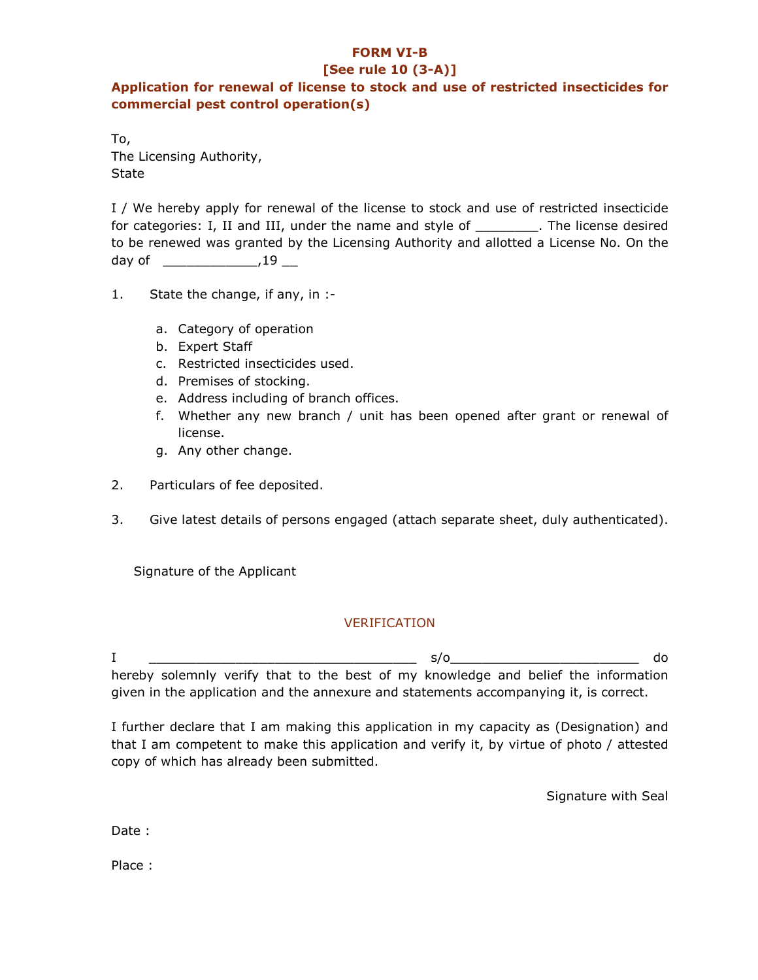## FORM VI-B

#### [See rule 10 (3-A)]

## Application for renewal of license to stock and use of restricted insecticides for commercial pest control operation(s)

To, The Licensing Authority, **State** 

I / We hereby apply for renewal of the license to stock and use of restricted insecticide for categories: I, II and III, under the name and style of The license desired to be renewed was granted by the Licensing Authority and allotted a License No. On the  $day of$   $19$ 

- 1. State the change, if any, in :
	- a. Category of operation
	- b. Expert Staff
	- c. Restricted insecticides used.
	- d. Premises of stocking.
	- e. Address including of branch offices.
	- f. Whether any new branch / unit has been opened after grant or renewal of license.
	- g. Any other change.
- 2. Particulars of fee deposited.
- 3. Give latest details of persons engaged (attach separate sheet, duly authenticated).

Signature of the Applicant

## VERIFICATION

I \_\_\_\_\_\_\_\_\_\_\_\_\_\_\_\_\_\_\_\_\_\_\_\_\_\_\_\_\_\_\_\_\_\_ s/o\_\_\_\_\_\_\_\_\_\_\_\_\_\_\_\_\_\_\_\_\_\_\_\_ do hereby solemnly verify that to the best of my knowledge and belief the information given in the application and the annexure and statements accompanying it, is correct.

I further declare that I am making this application in my capacity as (Designation) and that I am competent to make this application and verify it, by virtue of photo / attested copy of which has already been submitted.

Signature with Seal

Date :

Place :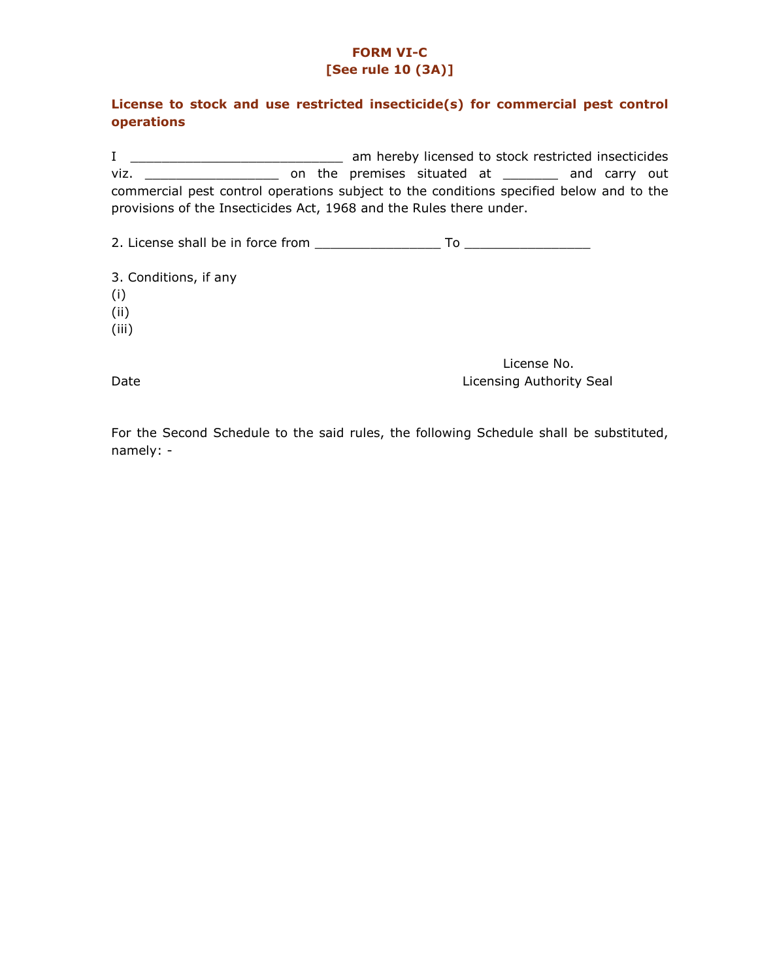## FORM VI-C [See rule 10 (3A)]

## License to stock and use restricted insecticide(s) for commercial pest control operations

I \_\_\_\_\_\_\_\_\_\_\_\_\_\_\_\_\_\_\_\_\_\_\_\_\_\_\_ am hereby licensed to stock restricted insecticides viz. \_\_\_\_\_\_\_\_\_\_\_\_\_\_\_\_\_ on the premises situated at \_\_\_\_\_\_\_ and carry out commercial pest control operations subject to the conditions specified below and to the provisions of the Insecticides Act, 1968 and the Rules there under.

2. License shall be in force from \_\_\_\_\_\_\_\_\_\_\_\_\_\_\_\_ To \_\_\_\_\_\_\_\_\_\_\_\_\_\_\_\_

3. Conditions, if any (i) (ii)

(iii)

 License No. Date **Date Licensing Authority Seal** 

For the Second Schedule to the said rules, the following Schedule shall be substituted, namely: -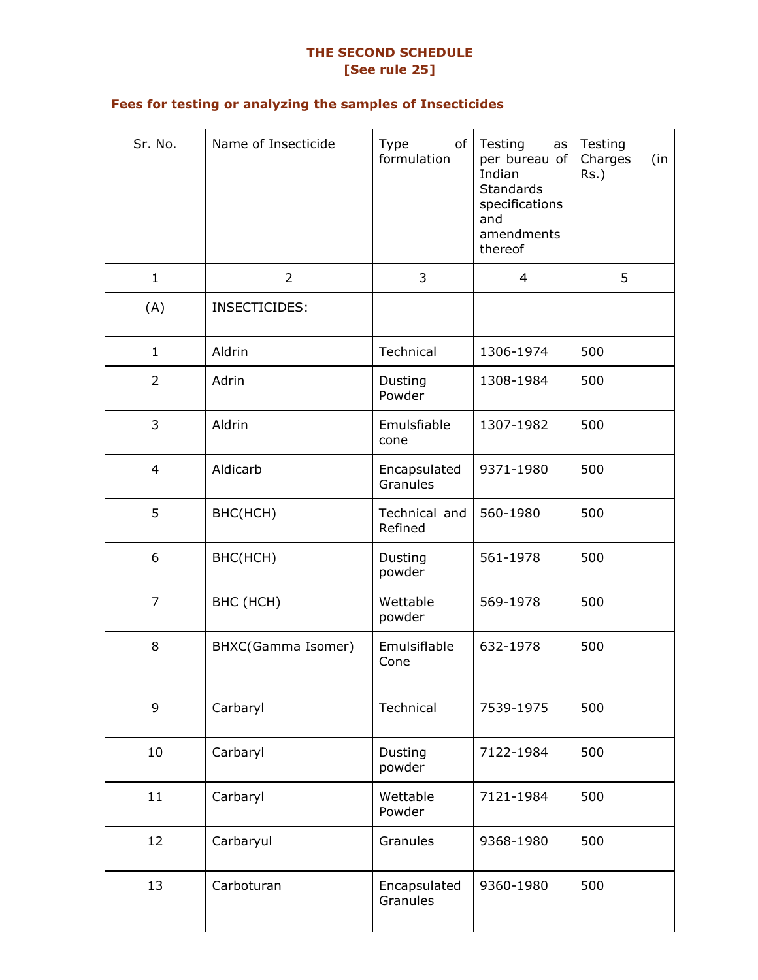# THE SECOND SCHEDULE [See rule 25]

# Fees for testing or analyzing the samples of Insecticides

| Sr. No.        | Name of Insecticide | of<br>Type<br>formulation | Testing<br>as<br>per bureau of<br>Indian<br><b>Standards</b><br>specifications<br>and<br>amendments<br>thereof | Testing<br>Charges<br>(in<br>$Rs.$ ) |
|----------------|---------------------|---------------------------|----------------------------------------------------------------------------------------------------------------|--------------------------------------|
| $\mathbf{1}$   | $\overline{2}$      | 3                         | 4                                                                                                              | 5                                    |
| (A)            | INSECTICIDES:       |                           |                                                                                                                |                                      |
| $\mathbf{1}$   | Aldrin              | Technical                 | 1306-1974                                                                                                      | 500                                  |
| $\overline{2}$ | Adrin               | Dusting<br>Powder         | 1308-1984                                                                                                      | 500                                  |
| 3              | Aldrin              | Emulsfiable<br>cone       | 1307-1982                                                                                                      | 500                                  |
| $\overline{4}$ | Aldicarb            | Encapsulated<br>Granules  | 9371-1980                                                                                                      | 500                                  |
| 5              | BHC(HCH)            | Technical and<br>Refined  | 560-1980                                                                                                       | 500                                  |
| 6              | BHC(HCH)            | Dusting<br>powder         | 561-1978                                                                                                       | 500                                  |
| $\overline{7}$ | BHC (HCH)           | Wettable<br>powder        | 569-1978                                                                                                       | 500                                  |
| 8              | BHXC(Gamma Isomer)  | Emulsiflable<br>Cone      | 632-1978                                                                                                       | 500                                  |
| 9              | Carbaryl            | Technical                 | 7539-1975                                                                                                      | 500                                  |
| 10             | Carbaryl            | Dusting<br>powder         | 7122-1984                                                                                                      | 500                                  |
| 11             | Carbaryl            | Wettable<br>Powder        | 7121-1984                                                                                                      | 500                                  |
| 12             | Carbaryul           | Granules                  | 9368-1980                                                                                                      | 500                                  |
| 13             | Carboturan          | Encapsulated<br>Granules  | 9360-1980                                                                                                      | 500                                  |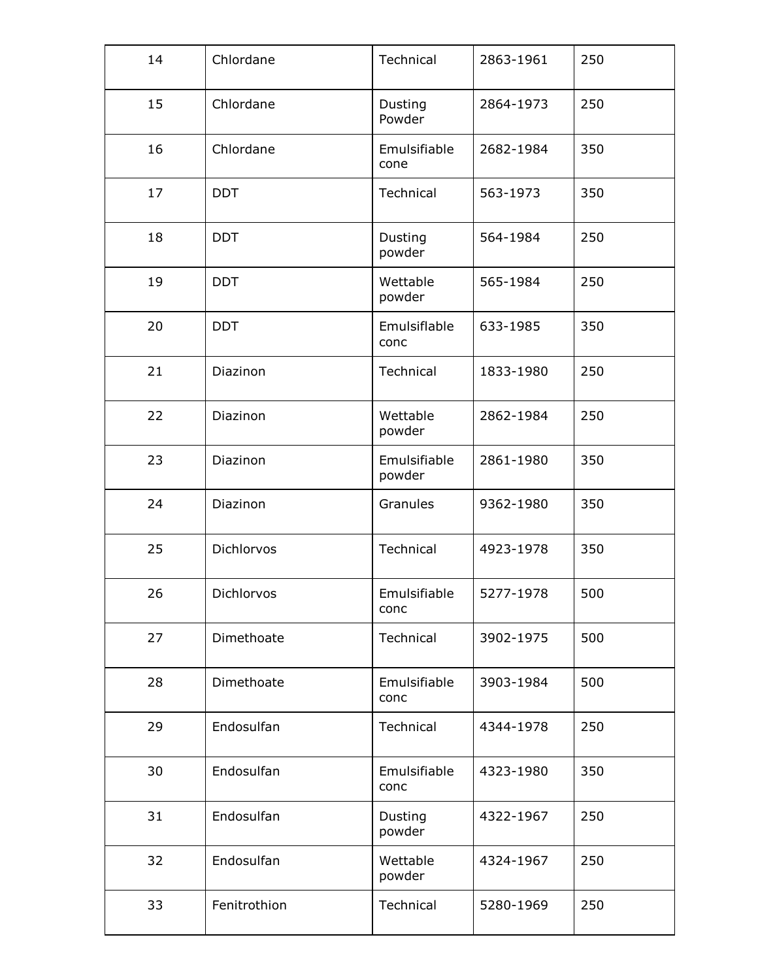| 14 | Chlordane    | Technical              | 2863-1961 | 250 |
|----|--------------|------------------------|-----------|-----|
| 15 | Chlordane    | Dusting<br>Powder      | 2864-1973 | 250 |
| 16 | Chlordane    | Emulsifiable<br>cone   | 2682-1984 | 350 |
| 17 | <b>DDT</b>   | Technical              | 563-1973  | 350 |
| 18 | <b>DDT</b>   | Dusting<br>powder      | 564-1984  | 250 |
| 19 | <b>DDT</b>   | Wettable<br>powder     | 565-1984  | 250 |
| 20 | <b>DDT</b>   | Emulsiflable<br>conc   | 633-1985  | 350 |
| 21 | Diazinon     | Technical              | 1833-1980 | 250 |
| 22 | Diazinon     | Wettable<br>powder     | 2862-1984 | 250 |
| 23 | Diazinon     | Emulsifiable<br>powder | 2861-1980 | 350 |
| 24 | Diazinon     | Granules               | 9362-1980 | 350 |
| 25 | Dichlorvos   | Technical              | 4923-1978 | 350 |
| 26 | Dichlorvos   | Emulsifiable<br>conc   | 5277-1978 | 500 |
| 27 | Dimethoate   | Technical              | 3902-1975 | 500 |
| 28 | Dimethoate   | Emulsifiable<br>conc   | 3903-1984 | 500 |
| 29 | Endosulfan   | Technical              | 4344-1978 | 250 |
| 30 | Endosulfan   | Emulsifiable<br>conc   | 4323-1980 | 350 |
| 31 | Endosulfan   | Dusting<br>powder      | 4322-1967 | 250 |
| 32 | Endosulfan   | Wettable<br>powder     | 4324-1967 | 250 |
| 33 | Fenitrothion | Technical              | 5280-1969 | 250 |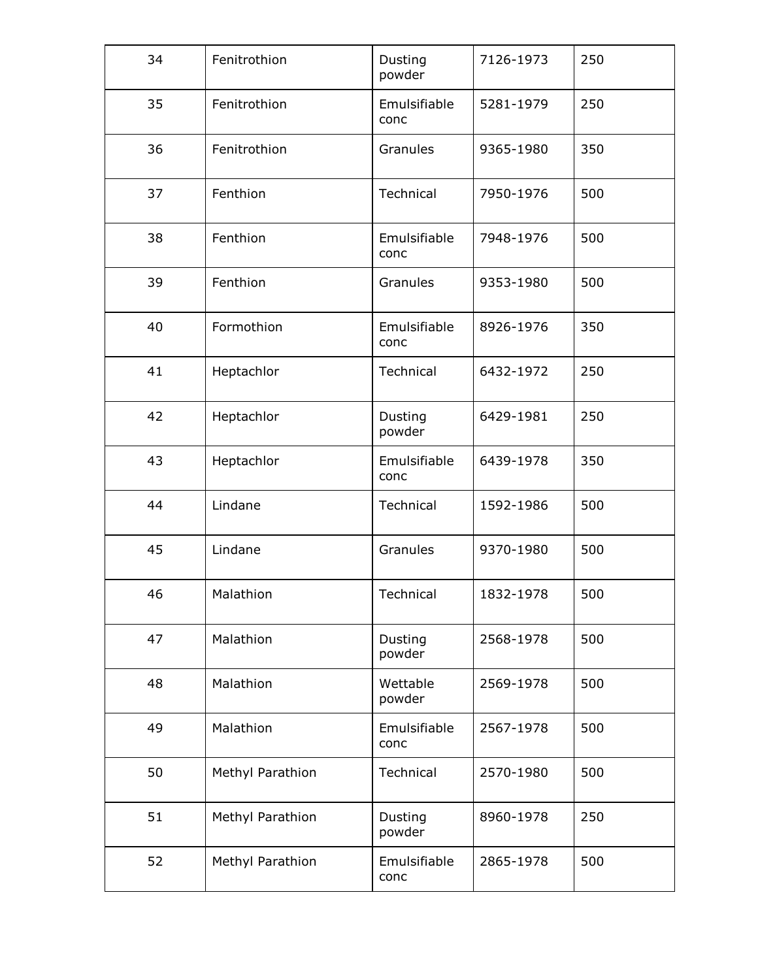| 34 | Fenitrothion     | Dusting<br>powder    | 7126-1973 | 250 |
|----|------------------|----------------------|-----------|-----|
| 35 | Fenitrothion     | Emulsifiable<br>conc | 5281-1979 | 250 |
| 36 | Fenitrothion     | Granules             | 9365-1980 | 350 |
| 37 | Fenthion         | Technical            | 7950-1976 | 500 |
| 38 | Fenthion         | Emulsifiable<br>conc | 7948-1976 | 500 |
| 39 | Fenthion         | Granules             | 9353-1980 | 500 |
| 40 | Formothion       | Emulsifiable<br>conc | 8926-1976 | 350 |
| 41 | Heptachlor       | Technical            | 6432-1972 | 250 |
| 42 | Heptachlor       | Dusting<br>powder    | 6429-1981 | 250 |
| 43 | Heptachlor       | Emulsifiable<br>conc | 6439-1978 | 350 |
| 44 | Lindane          | Technical            | 1592-1986 | 500 |
| 45 | Lindane          | Granules             | 9370-1980 | 500 |
| 46 | Malathion        | Technical            | 1832-1978 | 500 |
| 47 | Malathion        | Dusting<br>powder    | 2568-1978 | 500 |
| 48 | Malathion        | Wettable<br>powder   | 2569-1978 | 500 |
| 49 | Malathion        | Emulsifiable<br>conc | 2567-1978 | 500 |
| 50 | Methyl Parathion | Technical            | 2570-1980 | 500 |
| 51 | Methyl Parathion | Dusting<br>powder    | 8960-1978 | 250 |
| 52 | Methyl Parathion | Emulsifiable<br>conc | 2865-1978 | 500 |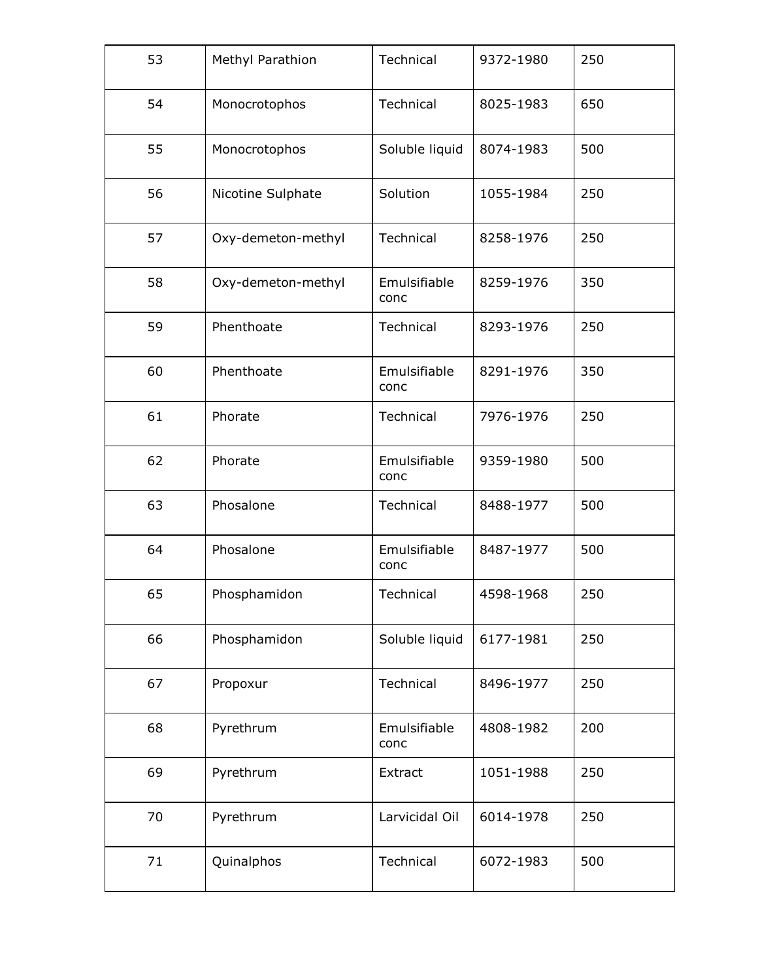| 53 | Methyl Parathion   | Technical                         | 9372-1980        | 250 |
|----|--------------------|-----------------------------------|------------------|-----|
| 54 | Monocrotophos      | Technical                         | 8025-1983        | 650 |
| 55 | Monocrotophos      | Soluble liquid                    | 8074-1983        | 500 |
| 56 | Nicotine Sulphate  | Solution                          | 1055-1984        | 250 |
| 57 | Oxy-demeton-methyl | Technical                         | 8258-1976        | 250 |
| 58 | Oxy-demeton-methyl | Emulsifiable<br>conc              | 8259-1976        | 350 |
| 59 | Phenthoate         | Technical                         | 8293-1976        | 250 |
| 60 | Phenthoate         | Emulsifiable<br>conc              | 8291-1976        | 350 |
| 61 | Phorate            | Technical<br>7976-1976            |                  | 250 |
| 62 | Phorate            | Emulsifiable<br>conc              | 9359-1980        | 500 |
| 63 | Phosalone          | Technical<br>8488-1977            |                  | 500 |
| 64 | Phosalone          | Emulsifiable<br>8487-1977<br>conc |                  | 500 |
| 65 | Phosphamidon       | Technical                         | 4598-1968        | 250 |
| 66 | Phosphamidon       | Soluble liquid                    | 6177-1981        | 250 |
| 67 | Propoxur           | Technical                         | 8496-1977        | 250 |
| 68 | Pyrethrum          | Emulsifiable<br>conc              | 4808-1982        | 200 |
| 69 | Pyrethrum          | Extract                           | 1051-1988        | 250 |
| 70 | Pyrethrum          | Larvicidal Oil                    | 6014-1978        | 250 |
| 71 | Quinalphos         | Technical                         | 500<br>6072-1983 |     |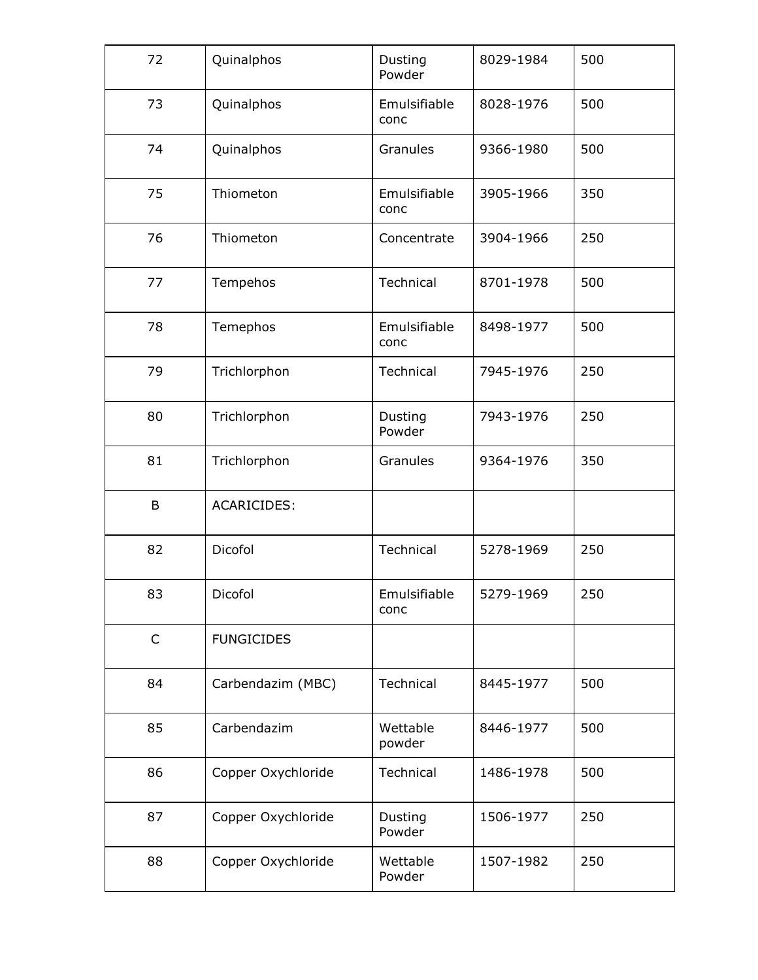| 72           | Quinalphos         | Dusting<br>Powder               | 8029-1984 | 500 |
|--------------|--------------------|---------------------------------|-----------|-----|
| 73           | Quinalphos         | Emulsifiable<br>conc            | 8028-1976 | 500 |
| 74           | Quinalphos         | Granules                        | 9366-1980 | 500 |
| 75           | Thiometon          | Emulsifiable<br>conc            | 3905-1966 | 350 |
| 76           | Thiometon          | Concentrate                     | 3904-1966 | 250 |
| 77           | Tempehos           | Technical                       | 8701-1978 | 500 |
| 78           | Temephos           | Emulsifiable<br>conc            | 8498-1977 | 500 |
| 79           | Trichlorphon       | Technical                       | 7945-1976 | 250 |
| 80           | Trichlorphon       | Dusting<br>7943-1976<br>Powder  |           | 250 |
| 81           | Trichlorphon       | Granules<br>9364-1976           |           | 350 |
| $\mathsf B$  | <b>ACARICIDES:</b> |                                 |           |     |
| 82           | Dicofol            | Technical                       | 5278-1969 | 250 |
| 83           | Dicofol            | Emulsifiable<br>conc            | 5279-1969 | 250 |
| $\mathsf{C}$ | <b>FUNGICIDES</b>  |                                 |           |     |
| 84           | Carbendazim (MBC)  | Technical                       | 8445-1977 | 500 |
| 85           | Carbendazim        | Wettable<br>8446-1977<br>powder |           | 500 |
| 86           | Copper Oxychloride | Technical                       | 1486-1978 | 500 |
| 87           | Copper Oxychloride | Dusting<br>Powder               | 1506-1977 | 250 |
| 88           | Copper Oxychloride | Wettable<br>Powder              | 1507-1982 | 250 |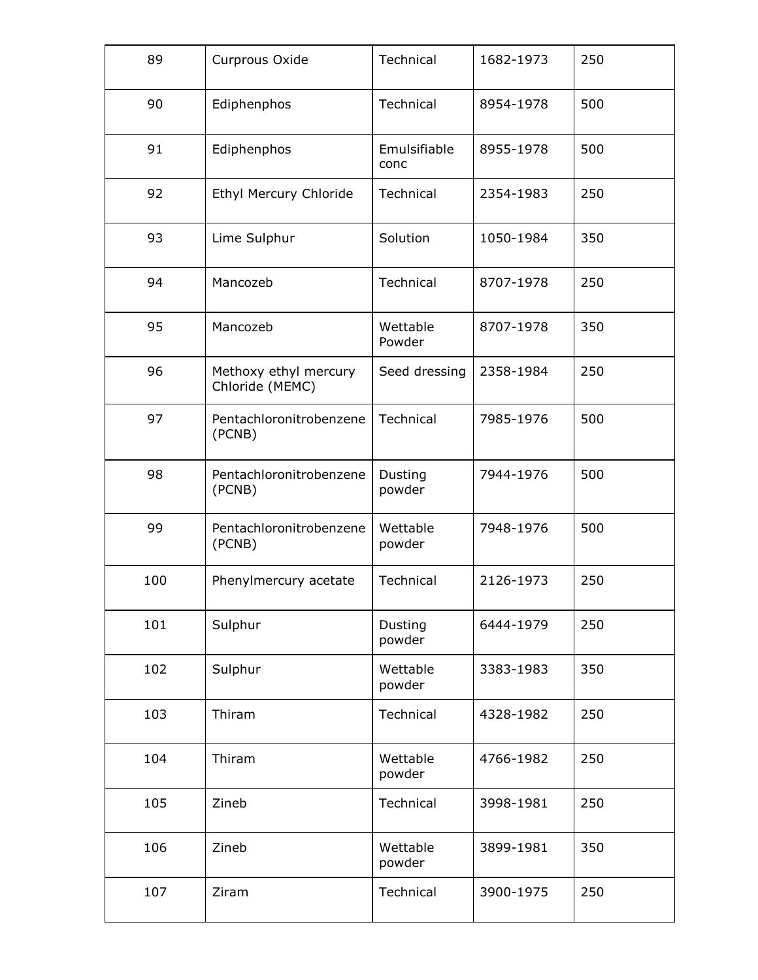| 89  | Curprous Oxide                           | Technical                       | 1682-1973 | 250 |
|-----|------------------------------------------|---------------------------------|-----------|-----|
| 90  | Ediphenphos                              | Technical                       | 8954-1978 | 500 |
| 91  | Ediphenphos                              | Emulsifiable<br>conc            | 8955-1978 | 500 |
| 92  | Ethyl Mercury Chloride                   | Technical                       | 2354-1983 | 250 |
| 93  | Lime Sulphur                             | Solution                        | 1050-1984 | 350 |
| 94  | Mancozeb                                 | Technical                       | 8707-1978 | 250 |
| 95  | Mancozeb                                 | Wettable<br>Powder              | 8707-1978 | 350 |
| 96  | Methoxy ethyl mercury<br>Chloride (MEMC) | Seed dressing                   | 2358-1984 | 250 |
| 97  | Pentachloronitrobenzene<br>(PCNB)        | Technical<br>7985-1976          |           | 500 |
| 98  | Pentachloronitrobenzene<br>(PCNB)        | Dusting<br>7944-1976<br>powder  |           | 500 |
| 99  | Pentachloronitrobenzene<br>(PCNB)        | Wettable<br>powder              | 7948-1976 | 500 |
| 100 | Phenylmercury acetate                    | Technical                       | 2126-1973 | 250 |
| 101 | Sulphur                                  | Dusting<br>powder               | 6444-1979 | 250 |
| 102 | Sulphur                                  | Wettable<br>3383-1983<br>powder |           | 350 |
| 103 | Thiram                                   | Technical<br>4328-1982          |           | 250 |
| 104 | Thiram                                   |                                 | 4766-1982 | 250 |
| 105 | Zineb                                    | Technical<br>3998-1981          |           | 250 |
| 106 | Zineb                                    |                                 | 3899-1981 | 350 |
| 107 | Ziram                                    | Technical                       | 3900-1975 | 250 |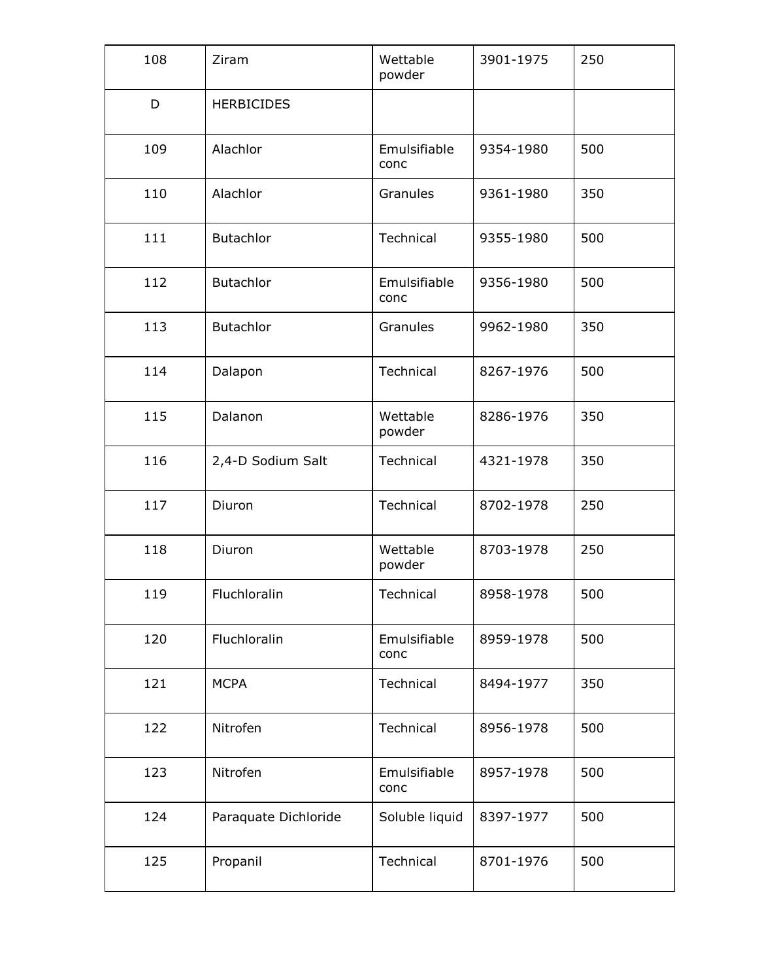| 108 | Ziram                | Wettable<br>powder     | 3901-1975        | 250 |
|-----|----------------------|------------------------|------------------|-----|
| D   | <b>HERBICIDES</b>    |                        |                  |     |
| 109 | Alachlor             | Emulsifiable<br>conc   | 9354-1980        | 500 |
| 110 | Alachlor             | Granules               | 9361-1980        | 350 |
| 111 | <b>Butachlor</b>     | Technical              | 9355-1980        | 500 |
| 112 | <b>Butachlor</b>     | Emulsifiable<br>conc   | 9356-1980        | 500 |
| 113 | <b>Butachlor</b>     | Granules               | 9962-1980        | 350 |
| 114 | Technical<br>Dalapon |                        | 8267-1976<br>500 |     |
| 115 | Dalanon              | Wettable<br>powder     | 8286-1976        | 350 |
| 116 | 2,4-D Sodium Salt    | Technical<br>4321-1978 |                  | 350 |
| 117 | Diuron               | Technical              | 8702-1978        | 250 |
| 118 | Diuron               | Wettable<br>powder     | 8703-1978        | 250 |
| 119 | Fluchloralin         | Technical              | 8958-1978        | 500 |
| 120 | Fluchloralin         | Emulsifiable<br>conc   | 8959-1978        | 500 |
| 121 | <b>MCPA</b>          | Technical              | 8494-1977        | 350 |
| 122 | Nitrofen             | Technical              | 8956-1978        | 500 |
| 123 | Nitrofen             | Emulsifiable<br>conc   | 8957-1978        | 500 |
| 124 | Paraquate Dichloride | Soluble liquid         | 8397-1977        | 500 |
| 125 | Propanil             | Technical              | 8701-1976        | 500 |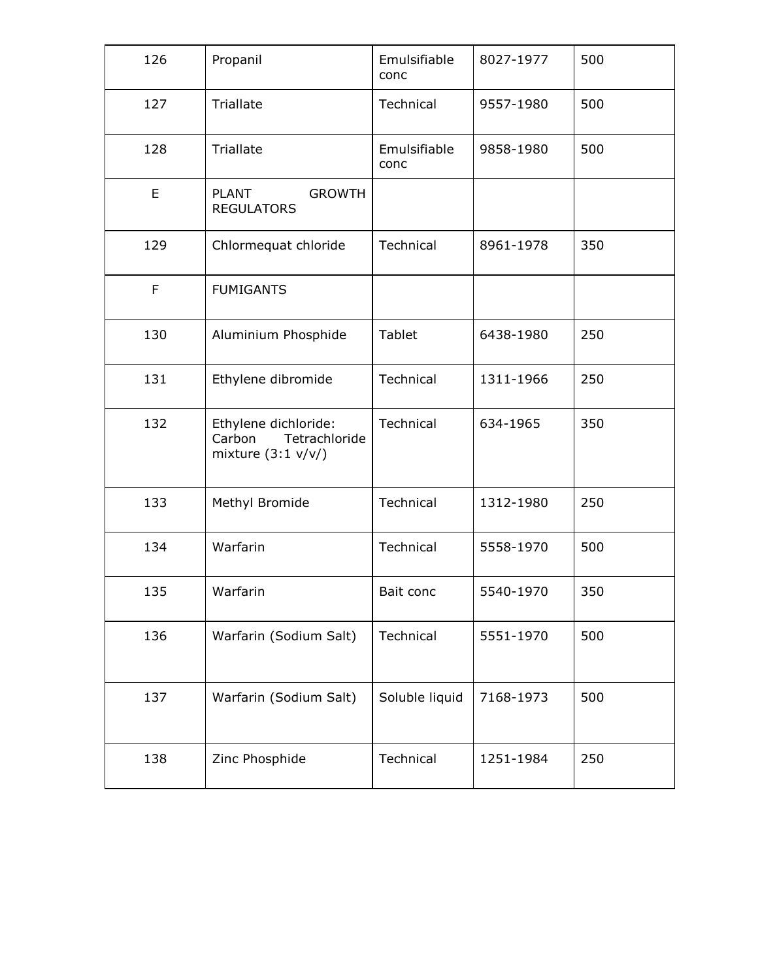| 126         | Propanil                                                               | Emulsifiable<br>conc   | 8027-1977 | 500 |
|-------------|------------------------------------------------------------------------|------------------------|-----------|-----|
| 127         | Triallate                                                              | Technical              | 9557-1980 | 500 |
| 128         | Triallate                                                              | Emulsifiable<br>conc   | 9858-1980 | 500 |
| E           | <b>PLANT</b><br><b>GROWTH</b><br><b>REGULATORS</b>                     |                        |           |     |
| 129         | Chlormequat chloride                                                   | Technical              | 8961-1978 | 350 |
| $\mathsf F$ | <b>FUMIGANTS</b>                                                       |                        |           |     |
| 130         | Aluminium Phosphide                                                    | Tablet                 | 250       |     |
| 131         | Ethylene dibromide                                                     | Technical<br>1311-1966 |           | 250 |
| 132         | Ethylene dichloride:<br>Tetrachloride<br>Carbon<br>mixture $(3:1 v/v)$ | Technical              | 634-1965  | 350 |
| 133         | Methyl Bromide                                                         | Technical              | 1312-1980 | 250 |
| 134         | Warfarin                                                               | Technical              | 5558-1970 | 500 |
| 135         | Warfarin                                                               | 5540-1970<br>Bait conc |           | 350 |
| 136         | Warfarin (Sodium Salt)                                                 | Technical              | 5551-1970 | 500 |
| 137         | Warfarin (Sodium Salt)                                                 | Soluble liquid         | 7168-1973 | 500 |
| 138         | Zinc Phosphide                                                         | Technical<br>1251-1984 |           | 250 |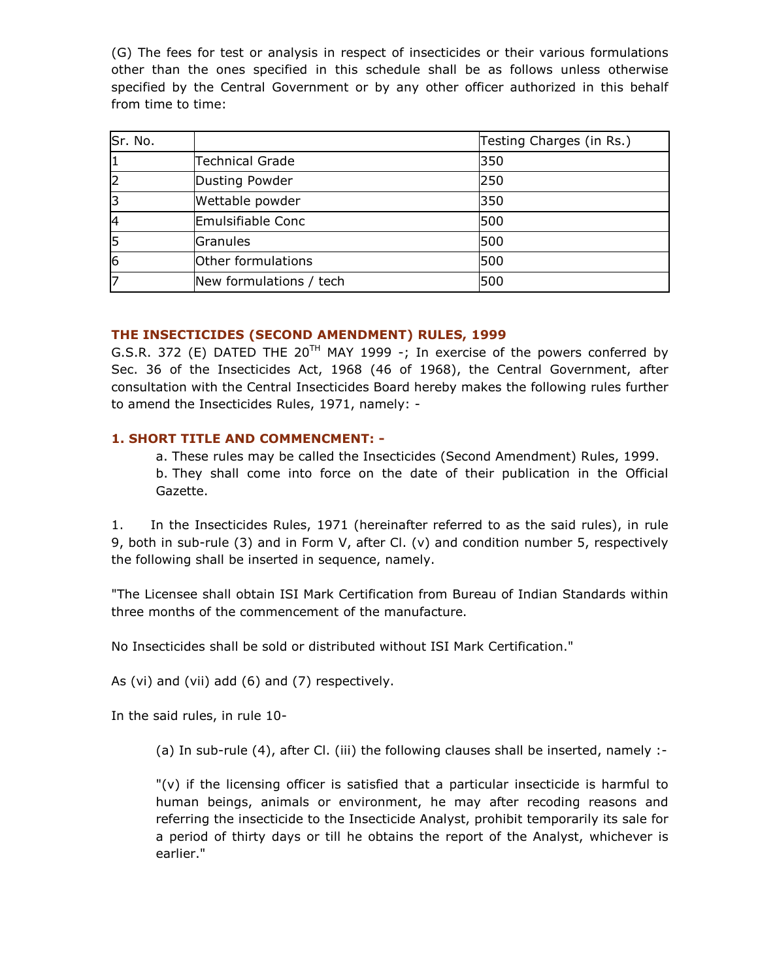(G) The fees for test or analysis in respect of insecticides or their various formulations other than the ones specified in this schedule shall be as follows unless otherwise specified by the Central Government or by any other officer authorized in this behalf from time to time:

| Sr. No.        |                         | Testing Charges (in Rs.) |
|----------------|-------------------------|--------------------------|
| 1              | <b>Technical Grade</b>  | 350                      |
| $\overline{c}$ | Dusting Powder          | 250                      |
| 3              | Wettable powder         | 350                      |
| 4              | Emulsifiable Conc       | 500                      |
| 5              | Granules                | 500                      |
| 6              | Other formulations      | 500                      |
| 7              | New formulations / tech | 500                      |

#### THE INSECTICIDES (SECOND AMENDMENT) RULES, 1999

G.S.R. 372 (E) DATED THE 20<sup>TH</sup> MAY 1999 -; In exercise of the powers conferred by Sec. 36 of the Insecticides Act, 1968 (46 of 1968), the Central Government, after consultation with the Central Insecticides Board hereby makes the following rules further to amend the Insecticides Rules, 1971, namely: -

#### 1. SHORT TITLE AND COMMENCMENT: -

a. These rules may be called the Insecticides (Second Amendment) Rules, 1999. b. They shall come into force on the date of their publication in the Official Gazette.

1. In the Insecticides Rules, 1971 (hereinafter referred to as the said rules), in rule 9, both in sub-rule (3) and in Form V, after Cl. (v) and condition number 5, respectively the following shall be inserted in sequence, namely.

"The Licensee shall obtain ISI Mark Certification from Bureau of Indian Standards within three months of the commencement of the manufacture.

No Insecticides shall be sold or distributed without ISI Mark Certification."

As (vi) and (vii) add (6) and (7) respectively.

In the said rules, in rule 10-

(a) In sub-rule (4), after Cl. (iii) the following clauses shall be inserted, namely :-

 $\mathbb{I}(v)$  if the licensing officer is satisfied that a particular insecticide is harmful to human beings, animals or environment, he may after recoding reasons and referring the insecticide to the Insecticide Analyst, prohibit temporarily its sale for a period of thirty days or till he obtains the report of the Analyst, whichever is earlier."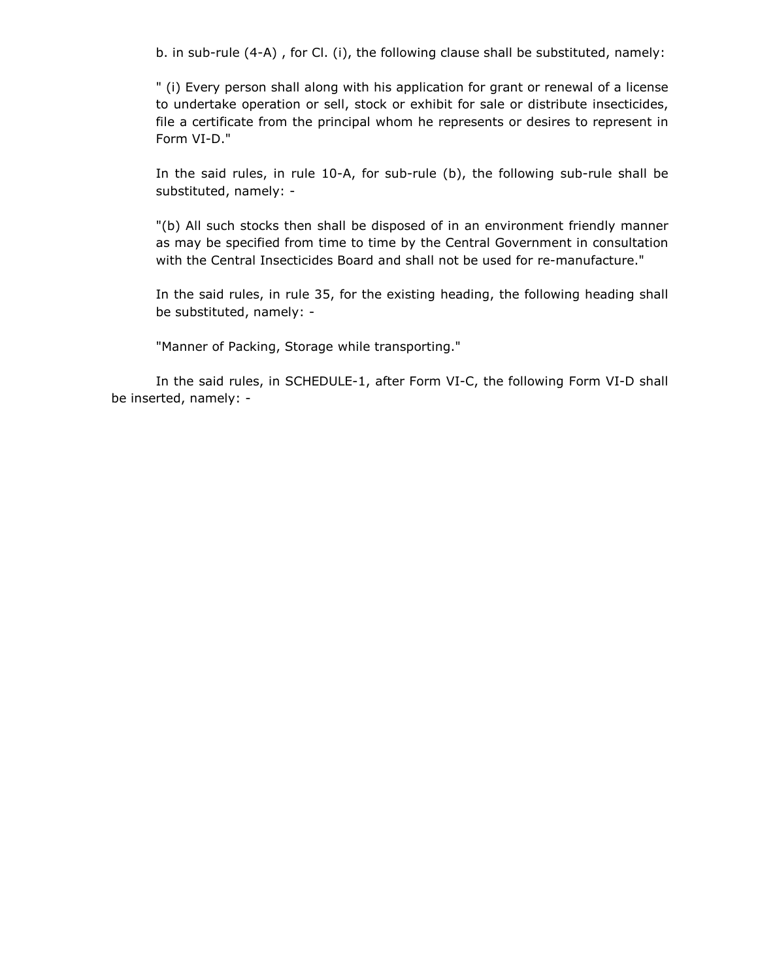b. in sub-rule (4-A) , for Cl. (i), the following clause shall be substituted, namely:

" (i) Every person shall along with his application for grant or renewal of a license to undertake operation or sell, stock or exhibit for sale or distribute insecticides, file a certificate from the principal whom he represents or desires to represent in Form VI-D."

In the said rules, in rule 10-A, for sub-rule (b), the following sub-rule shall be substituted, namely: -

"(b) All such stocks then shall be disposed of in an environment friendly manner as may be specified from time to time by the Central Government in consultation with the Central Insecticides Board and shall not be used for re-manufacture."

In the said rules, in rule 35, for the existing heading, the following heading shall be substituted, namely: -

"Manner of Packing, Storage while transporting."

 In the said rules, in SCHEDULE-1, after Form VI-C, the following Form VI-D shall be inserted, namely: -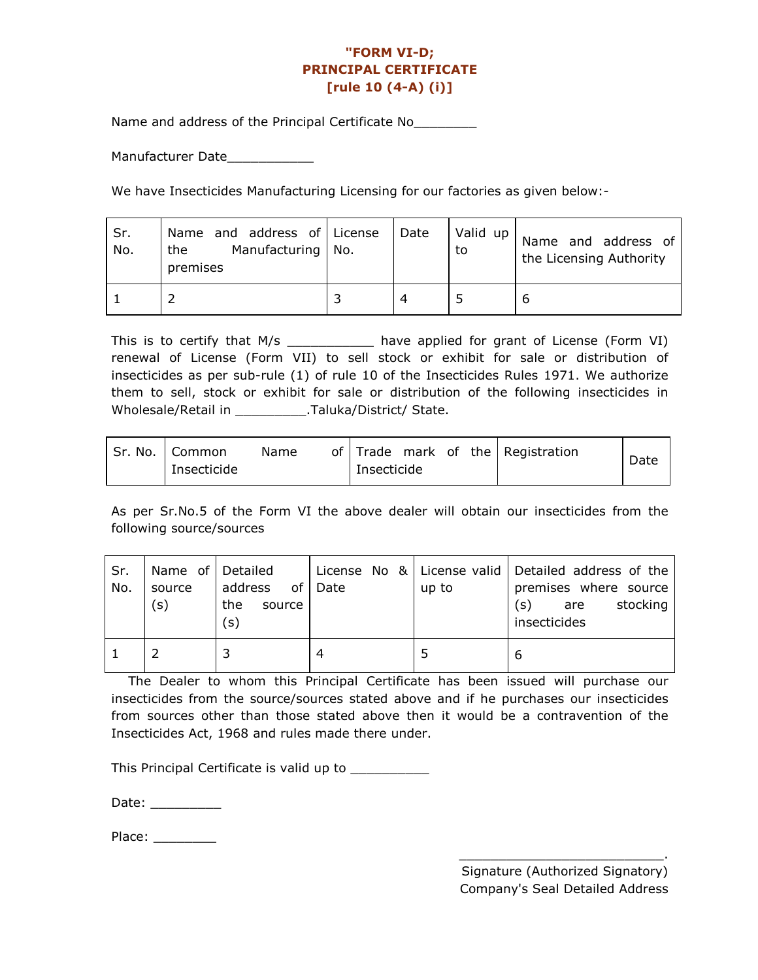# "FORM VI-D; PRINCIPAL CERTIFICATE [rule 10 (4-A) (i)]

Name and address of the Principal Certificate No\_\_\_\_\_\_\_\_\_

Manufacturer Date\_\_\_\_\_\_\_\_\_\_\_

We have Insecticides Manufacturing Licensing for our factories as given below:-

| Sr.<br>No. | Name and address of License<br>Manufacturing   No.<br>the<br>premises | Date | Valid up<br>to | Name and address of<br>the Licensing Authority |
|------------|-----------------------------------------------------------------------|------|----------------|------------------------------------------------|
|            |                                                                       | 4    |                | ь                                              |

This is to certify that M/s \_\_\_\_\_\_\_\_\_\_\_\_ have applied for grant of License (Form VI) renewal of License (Form VII) to sell stock or exhibit for sale or distribution of insecticides as per sub-rule (1) of rule 10 of the Insecticides Rules 1971. We authorize them to sell, stock or exhibit for sale or distribution of the following insecticides in Wholesale/Retail in \_\_\_\_\_\_\_\_\_.Taluka/District/ State.

| Sr. No.   Common | Name |             |  | of Trade mark of the Registration | Date |
|------------------|------|-------------|--|-----------------------------------|------|
| Insecticide      |      | Insecticide |  |                                   |      |

As per Sr.No.5 of the Form VI the above dealer will obtain our insecticides from the following source/sources

| Sr.<br>No. | Name of Detailed<br>source<br>(s) | address<br>οf<br>the<br>source<br>(s) | Date | up to | License No $\&$ License valid Detailed address of the<br>premises where source<br>stocking<br>(s)<br>are<br>insecticides |
|------------|-----------------------------------|---------------------------------------|------|-------|--------------------------------------------------------------------------------------------------------------------------|
|            |                                   |                                       | 4    |       | 6                                                                                                                        |

 The Dealer to whom this Principal Certificate has been issued will purchase our insecticides from the source/sources stated above and if he purchases our insecticides from sources other than those stated above then it would be a contravention of the Insecticides Act, 1968 and rules made there under.

This Principal Certificate is valid up to \_\_\_\_\_\_\_\_\_\_\_

Date: \_\_\_\_\_\_\_\_\_\_\_

Place: \_\_\_\_\_\_\_\_\_\_

\_\_\_\_\_\_\_\_\_\_\_\_\_\_\_\_\_\_\_\_\_\_\_\_\_\_.